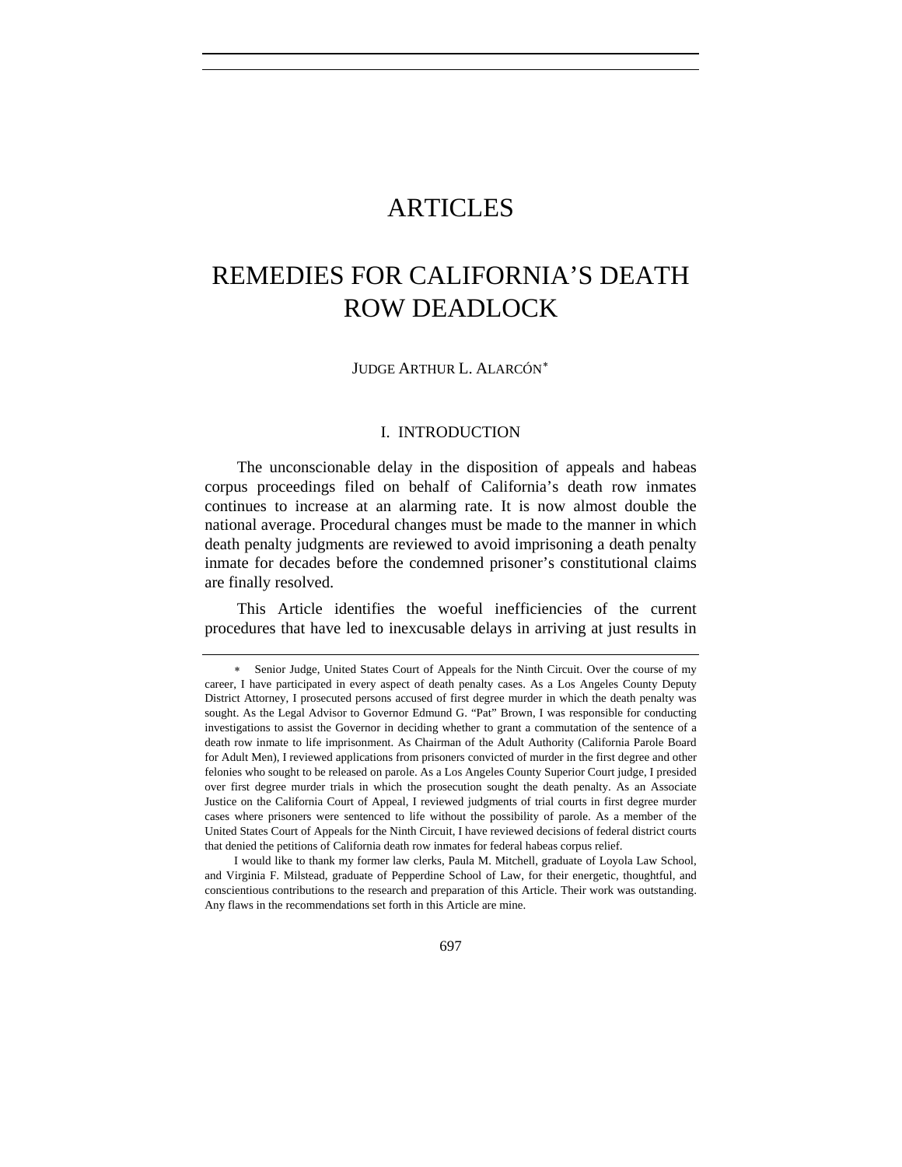## **ARTICLES**

# REMEDIES FOR CALIFORNIA'S DEATH ROW DEADLOCK

JUDGE ARTHUR L. ALARCÓN[∗](#page-0-0)

#### I. INTRODUCTION

The unconscionable delay in the disposition of appeals and habeas corpus proceedings filed on behalf of California's death row inmates continues to increase at an alarming rate. It is now almost double the national average. Procedural changes must be made to the manner in which death penalty judgments are reviewed to avoid imprisoning a death penalty inmate for decades before the condemned prisoner's constitutional claims are finally resolved.

This Article identifies the woeful inefficiencies of the current procedures that have led to inexcusable delays in arriving at just results in

<span id="page-0-0"></span>Senior Judge, United States Court of Appeals for the Ninth Circuit. Over the course of my career, I have participated in every aspect of death penalty cases. As a Los Angeles County Deputy District Attorney, I prosecuted persons accused of first degree murder in which the death penalty was sought. As the Legal Advisor to Governor Edmund G. "Pat" Brown, I was responsible for conducting investigations to assist the Governor in deciding whether to grant a commutation of the sentence of a death row inmate to life imprisonment. As Chairman of the Adult Authority (California Parole Board for Adult Men), I reviewed applications from prisoners convicted of murder in the first degree and other felonies who sought to be released on parole. As a Los Angeles County Superior Court judge, I presided over first degree murder trials in which the prosecution sought the death penalty. As an Associate Justice on the California Court of Appeal, I reviewed judgments of trial courts in first degree murder cases where prisoners were sentenced to life without the possibility of parole. As a member of the United States Court of Appeals for the Ninth Circuit, I have reviewed decisions of federal district courts that denied the petitions of California death row inmates for federal habeas corpus relief.

I would like to thank my former law clerks, Paula M. Mitchell, graduate of Loyola Law School, and Virginia F. Milstead, graduate of Pepperdine School of Law, for their energetic, thoughtful, and conscientious contributions to the research and preparation of this Article. Their work was outstanding. Any flaws in the recommendations set forth in this Article are mine.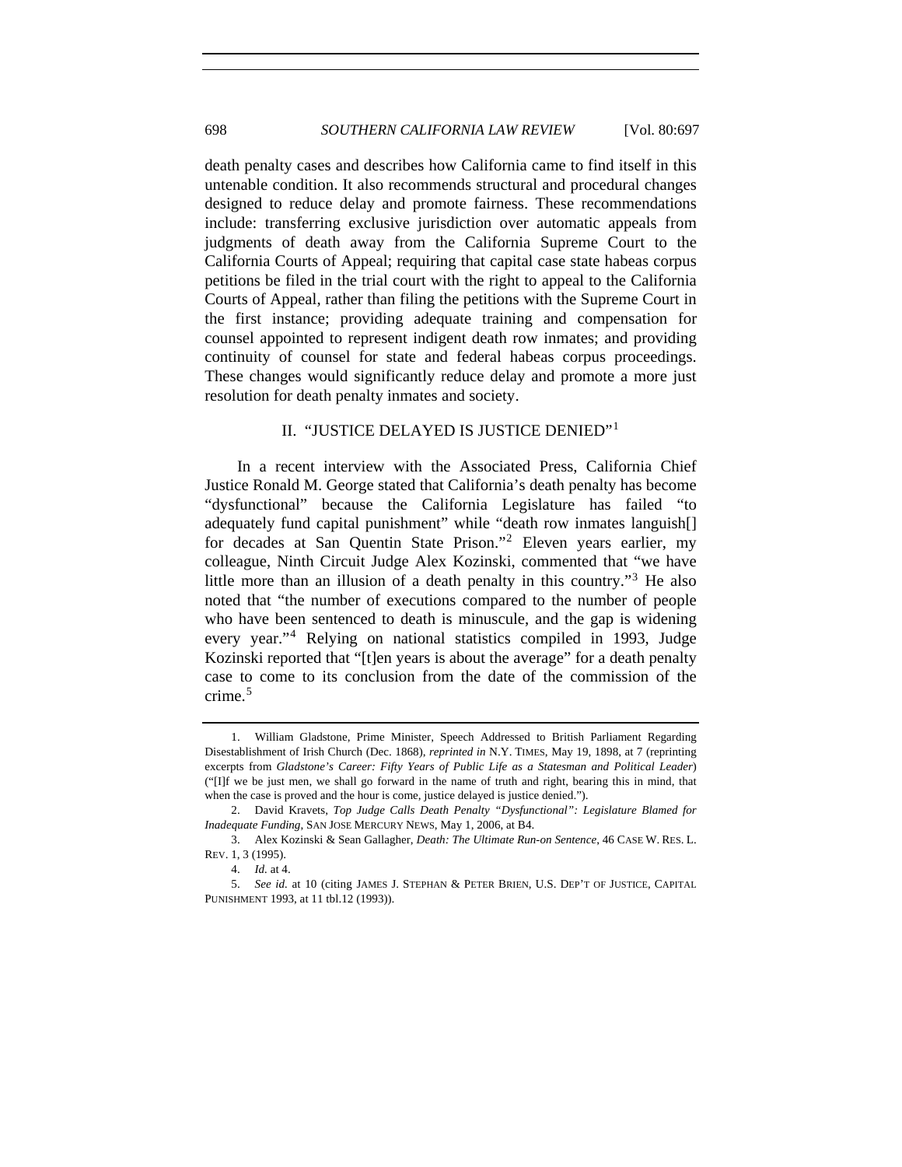death penalty cases and describes how California came to find itself in this untenable condition. It also recommends structural and procedural changes designed to reduce delay and promote fairness. These recommendations include: transferring exclusive jurisdiction over automatic appeals from judgments of death away from the California Supreme Court to the California Courts of Appeal; requiring that capital case state habeas corpus petitions be filed in the trial court with the right to appeal to the California Courts of Appeal, rather than filing the petitions with the Supreme Court in the first instance; providing adequate training and compensation for counsel appointed to represent indigent death row inmates; and providing continuity of counsel for state and federal habeas corpus proceedings. These changes would significantly reduce delay and promote a more just resolution for death penalty inmates and society.

## II. "JUSTICE DELAYED IS JUSTICE DENIED"[1](#page-1-0)

In a recent interview with the Associated Press, California Chief Justice Ronald M. George stated that California's death penalty has become "dysfunctional" because the California Legislature has failed "to adequately fund capital punishment" while "death row inmates languish[] for decades at San Quentin State Prison."[2](#page-1-1) Eleven years earlier, my colleague, Ninth Circuit Judge Alex Kozinski, commented that "we have little more than an illusion of a death penalty in this country.<sup>[3](#page-1-2)</sup> He also noted that "the number of executions compared to the number of people who have been sentenced to death is minuscule, and the gap is widening every year."[4](#page-1-3) Relying on national statistics compiled in 1993, Judge Kozinski reported that "[t]en years is about the average" for a death penalty case to come to its conclusion from the date of the commission of the crime.<sup>[5](#page-1-4)</sup>

<span id="page-1-0"></span><sup>1.</sup> William Gladstone, Prime Minister, Speech Addressed to British Parliament Regarding Disestablishment of Irish Church (Dec. 1868), *reprinted in* N.Y. TIMES, May 19, 1898, at 7 (reprinting excerpts from *Gladstone's Career: Fifty Years of Public Life as a Statesman and Political Leader*) ("[I]f we be just men, we shall go forward in the name of truth and right, bearing this in mind, that when the case is proved and the hour is come, justice delayed is justice denied.").

<span id="page-1-1"></span><sup>2.</sup> David Kravets, *Top Judge Calls Death Penalty "Dysfunctional": Legislature Blamed for Inadequate Funding*, SAN JOSE MERCURY NEWS, May 1, 2006, at B4.

<span id="page-1-2"></span><sup>3.</sup> Alex Kozinski & Sean Gallagher, *Death: The Ultimate Run-on Sentence*, 46 CASE W. RES. L. REV. 1, 3 (1995).

<sup>4.</sup> *Id.* at 4.

<span id="page-1-4"></span><span id="page-1-3"></span><sup>5.</sup> *See id.* at 10 (citing JAMES J. STEPHAN & PETER BRIEN, U.S. DEP'T OF JUSTICE, CAPITAL PUNISHMENT 1993, at 11 tbl.12 (1993)).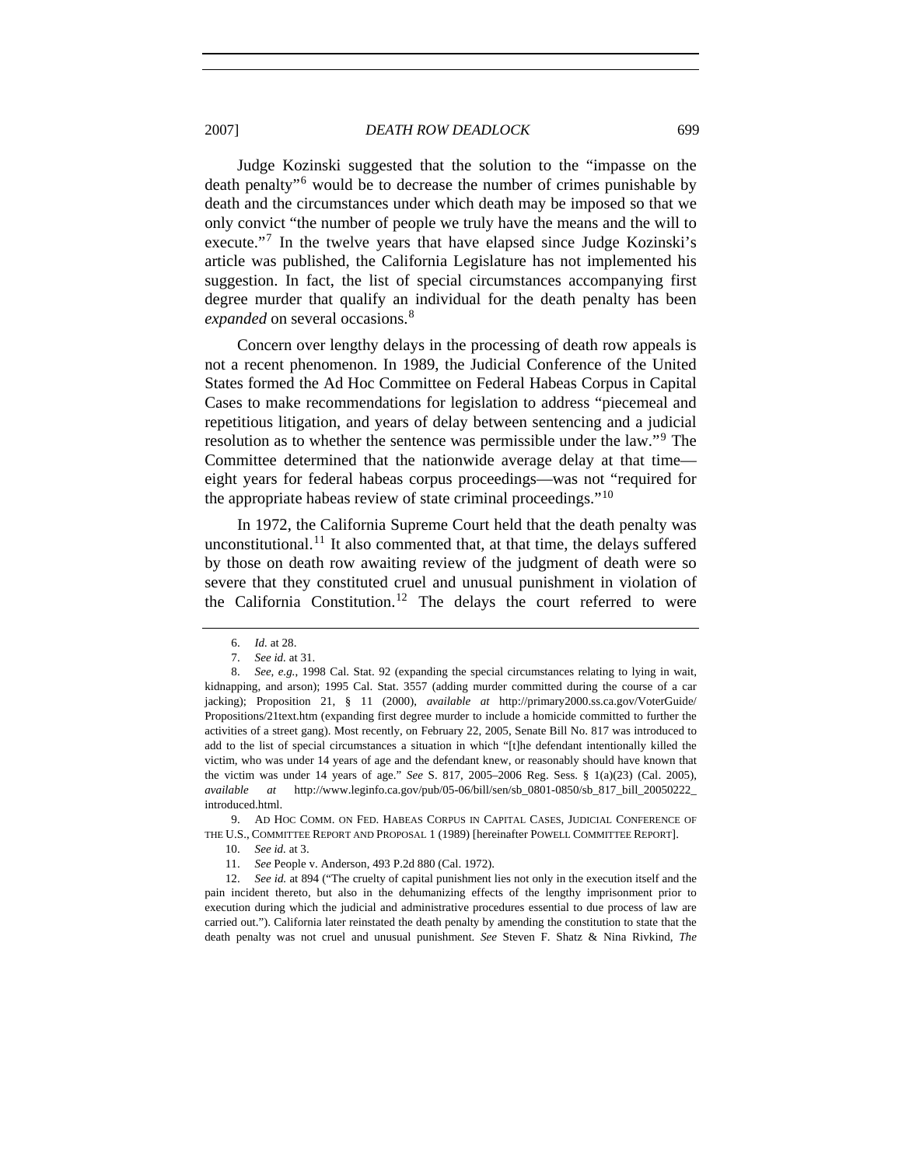2007] *DEATH ROW DEADLOCK* 699

Judge Kozinski suggested that the solution to the "impasse on the death penalty"[6](#page-2-0) would be to decrease the number of crimes punishable by death and the circumstances under which death may be imposed so that we only convict "the number of people we truly have the means and the will to execute."<sup>[7](#page-2-1)</sup> In the twelve years that have elapsed since Judge Kozinski's article was published, the California Legislature has not implemented his suggestion. In fact, the list of special circumstances accompanying first degree murder that qualify an individual for the death penalty has been *expanded* on several occasions.<sup>[8](#page-2-2)</sup>

Concern over lengthy delays in the processing of death row appeals is not a recent phenomenon. In 1989, the Judicial Conference of the United States formed the Ad Hoc Committee on Federal Habeas Corpus in Capital Cases to make recommendations for legislation to address "piecemeal and repetitious litigation, and years of delay between sentencing and a judicial resolution as to whether the sentence was permissible under the law."[9](#page-2-3) The Committee determined that the nationwide average delay at that time eight years for federal habeas corpus proceedings—was not "required for the appropriate habeas review of state criminal proceedings." $10$ 

In 1972, the California Supreme Court held that the death penalty was unconstitutional.<sup>[11](#page-2-5)</sup> It also commented that, at that time, the delays suffered by those on death row awaiting review of the judgment of death were so severe that they constituted cruel and unusual punishment in violation of the California Constitution.[12](#page-2-6) The delays the court referred to were

<span id="page-2-4"></span><span id="page-2-3"></span>9. AD HOC COMM. ON FED. HABEAS CORPUS IN CAPITAL CASES, JUDICIAL CONFERENCE OF THE U.S., COMMITTEE REPORT AND PROPOSAL 1 (1989) [hereinafter POWELL COMMITTEE REPORT].

<span id="page-2-6"></span><span id="page-2-5"></span>12. *See id.* at 894 ("The cruelty of capital punishment lies not only in the execution itself and the pain incident thereto, but also in the dehumanizing effects of the lengthy imprisonment prior to execution during which the judicial and administrative procedures essential to due process of law are carried out."). California later reinstated the death penalty by amending the constitution to state that the death penalty was not cruel and unusual punishment. *See* Steven F. Shatz & Nina Rivkind, *The* 

<sup>6.</sup> *Id.* at 28.

<sup>7.</sup> *See id.* at 31.

<span id="page-2-2"></span><span id="page-2-1"></span><span id="page-2-0"></span><sup>8.</sup> *See, e.g.*, 1998 Cal. Stat. 92 (expanding the special circumstances relating to lying in wait, kidnapping, and arson); 1995 Cal. Stat. 3557 (adding murder committed during the course of a car jacking); Proposition 21, § 11 (2000), *available at* http://primary2000.ss.ca.gov/VoterGuide/ Propositions/21text.htm (expanding first degree murder to include a homicide committed to further the activities of a street gang). Most recently, on February 22, 2005, Senate Bill No. 817 was introduced to add to the list of special circumstances a situation in which "[t]he defendant intentionally killed the victim, who was under 14 years of age and the defendant knew, or reasonably should have known that the victim was under 14 years of age." *See* S. 817, 2005–2006 Reg. Sess. § 1(a)(23) (Cal. 2005), *available at* http://www.leginfo.ca.gov/pub/05-06/bill/sen/sb\_0801-0850/sb\_817\_bill\_20050222\_ introduced.html.

<sup>10.</sup> *See id.* at 3.

 <sup>11.</sup> *See* People v. Anderson, 493 P.2d 880 (Cal. 1972).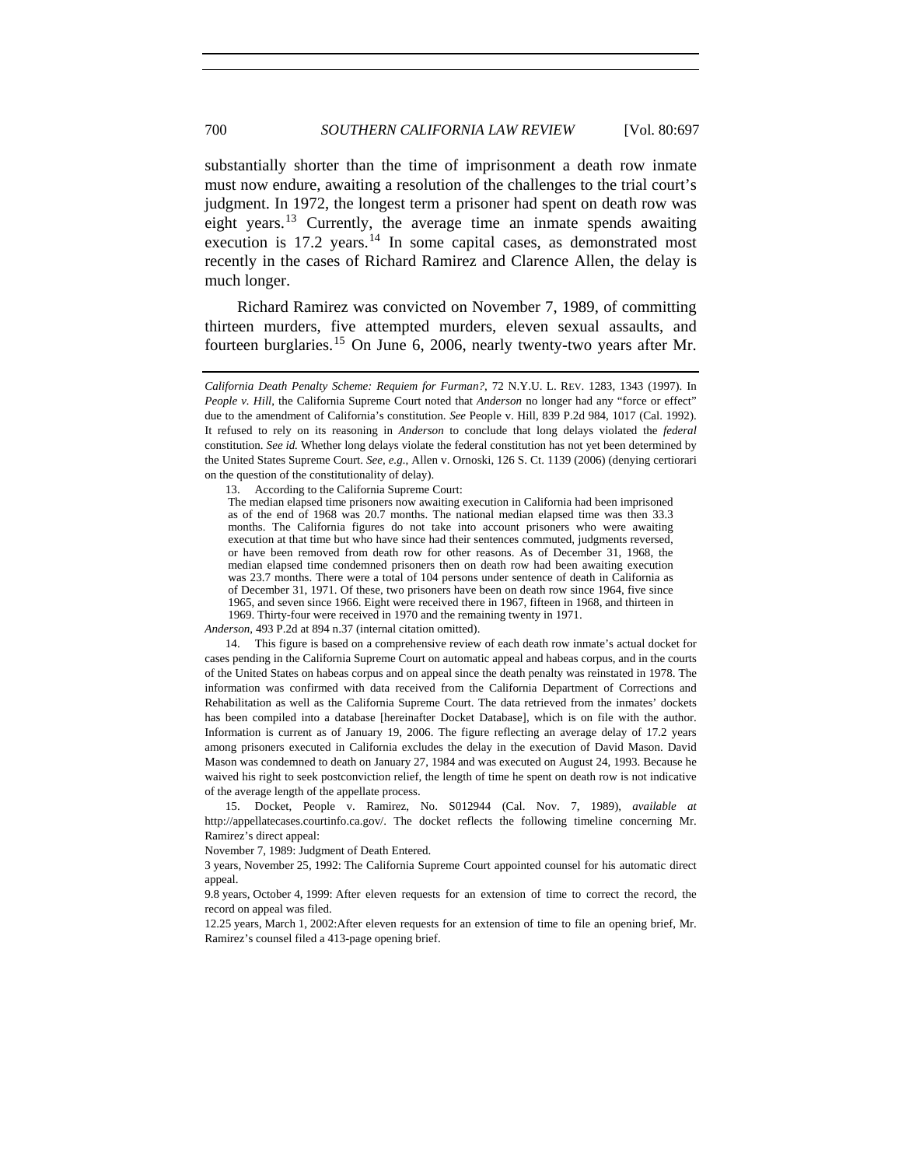substantially shorter than the time of imprisonment a death row inmate must now endure, awaiting a resolution of the challenges to the trial court's judgment. In 1972, the longest term a prisoner had spent on death row was eight years.<sup>[13](#page-3-0)</sup> Currently, the average time an inmate spends awaiting execution is  $17.2$  years.<sup>[14](#page-3-1)</sup> In some capital cases, as demonstrated most recently in the cases of Richard Ramirez and Clarence Allen, the delay is much longer.

Richard Ramirez was convicted on November 7, 1989, of committing thirteen murders, five attempted murders, eleven sexual assaults, and fourteen burglaries.[15](#page-3-2) On June 6, 2006, nearly twenty-two years after Mr.

<span id="page-3-0"></span>13. According to the California Supreme Court:

The median elapsed time prisoners now awaiting execution in California had been imprisoned as of the end of 1968 was 20.7 months. The national median elapsed time was then 33.3 months. The California figures do not take into account prisoners who were awaiting execution at that time but who have since had their sentences commuted, judgments reversed, or have been removed from death row for other reasons. As of December 31, 1968, the median elapsed time condemned prisoners then on death row had been awaiting execution was 23.7 months. There were a total of 104 persons under sentence of death in California as of December 31, 1971. Of these, two prisoners have been on death row since 1964, five since 1965, and seven since 1966. Eight were received there in 1967, fifteen in 1968, and thirteen in 1969. Thirty-four were received in 1970 and the remaining twenty in 1971.

*Anderson*, 493 P.2d at 894 n.37 (internal citation omitted).

<span id="page-3-1"></span>14. This figure is based on a comprehensive review of each death row inmate's actual docket for cases pending in the California Supreme Court on automatic appeal and habeas corpus, and in the courts of the United States on habeas corpus and on appeal since the death penalty was reinstated in 1978. The information was confirmed with data received from the California Department of Corrections and Rehabilitation as well as the California Supreme Court. The data retrieved from the inmates' dockets has been compiled into a database [hereinafter Docket Database], which is on file with the author. Information is current as of January 19, 2006. The figure reflecting an average delay of 17.2 years among prisoners executed in California excludes the delay in the execution of David Mason. David Mason was condemned to death on January 27, 1984 and was executed on August 24, 1993. Because he waived his right to seek postconviction relief, the length of time he spent on death row is not indicative of the average length of the appellate process.

<span id="page-3-2"></span>15. Docket, People v. Ramirez, No. S012944 (Cal. Nov. 7, 1989), *available at*  http://appellatecases.courtinfo.ca.gov/. The docket reflects the following timeline concerning Mr. Ramirez's direct appeal:

November 7, 1989: Judgment of Death Entered.

3 years, November 25, 1992: The California Supreme Court appointed counsel for his automatic direct appeal.

9.8 years, October 4, 1999: After eleven requests for an extension of time to correct the record, the record on appeal was filed.

12.25 years, March 1, 2002:After eleven requests for an extension of time to file an opening brief, Mr. Ramirez's counsel filed a 413-page opening brief.

*California Death Penalty Scheme: Requiem for Furman?*, 72 N.Y.U. L. REV. 1283, 1343 (1997). In *People v. Hill*, the California Supreme Court noted that *Anderson* no longer had any "force or effect" due to the amendment of California's constitution. *See* People v. Hill, 839 P.2d 984, 1017 (Cal. 1992). It refused to rely on its reasoning in *Anderson* to conclude that long delays violated the *federal*  constitution. *See id.* Whether long delays violate the federal constitution has not yet been determined by the United States Supreme Court. *See, e.g.*, Allen v. Ornoski, 126 S. Ct. 1139 (2006) (denying certiorari on the question of the constitutionality of delay).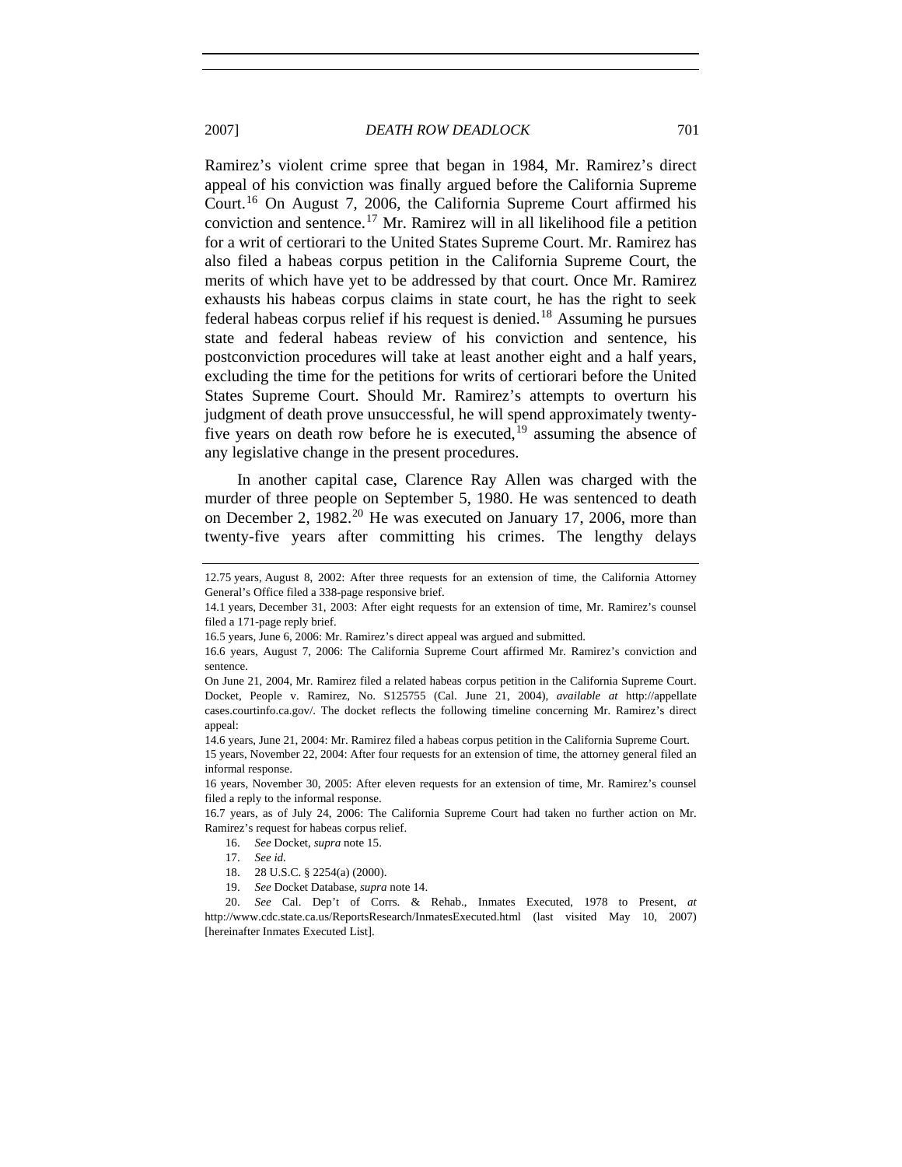2007] *DEATH ROW DEADLOCK* 701

Ramirez's violent crime spree that began in 1984, Mr. Ramirez's direct appeal of his conviction was finally argued before the California Supreme Court.[16](#page-4-0) On August 7, 2006, the California Supreme Court affirmed his conviction and sentence.<sup>[17](#page-4-1)</sup> Mr. Ramirez will in all likelihood file a petition for a writ of certiorari to the United States Supreme Court. Mr. Ramirez has also filed a habeas corpus petition in the California Supreme Court, the merits of which have yet to be addressed by that court. Once Mr. Ramirez exhausts his habeas corpus claims in state court, he has the right to seek federal habeas corpus relief if his request is denied.[18](#page-4-2) Assuming he pursues state and federal habeas review of his conviction and sentence, his postconviction procedures will take at least another eight and a half years, excluding the time for the petitions for writs of certiorari before the United States Supreme Court. Should Mr. Ramirez's attempts to overturn his judgment of death prove unsuccessful, he will spend approximately twentyfive years on death row before he is executed,  $19$  assuming the absence of any legislative change in the present procedures.

In another capital case, Clarence Ray Allen was charged with the murder of three people on September 5, 1980. He was sentenced to death on December 2, 1982.<sup>[20](#page-4-4)</sup> He was executed on January 17, 2006, more than twenty-five years after committing his crimes. The lengthy delays

<sup>12.75</sup> years, August 8, 2002: After three requests for an extension of time, the California Attorney General's Office filed a 338-page responsive brief.

<sup>14.1</sup> years, December 31, 2003: After eight requests for an extension of time, Mr. Ramirez's counsel filed a 171-page reply brief.

<sup>16.5</sup> years, June 6, 2006: Mr. Ramirez's direct appeal was argued and submitted.

<sup>16.6</sup> years, August 7, 2006: The California Supreme Court affirmed Mr. Ramirez's conviction and sentence.

On June 21, 2004, Mr. Ramirez filed a related habeas corpus petition in the California Supreme Court. Docket, People v. Ramirez, No. S125755 (Cal. June 21, 2004), *available at* http://appellate cases.courtinfo.ca.gov/. The docket reflects the following timeline concerning Mr. Ramirez's direct appeal:

<sup>14.6</sup> years, June 21, 2004: Mr. Ramirez filed a habeas corpus petition in the California Supreme Court. 15 years, November 22, 2004: After four requests for an extension of time, the attorney general filed an informal response.

<sup>16</sup> years, November 30, 2005: After eleven requests for an extension of time, Mr. Ramirez's counsel filed a reply to the informal response.

<span id="page-4-1"></span><span id="page-4-0"></span><sup>16.7</sup> years, as of July 24, 2006: The California Supreme Court had taken no further action on Mr. Ramirez's request for habeas corpus relief.

<sup>16.</sup> *See* Docket, *supra* note 15.

 <sup>17.</sup> *See id.*

<sup>18. 28</sup> U.S.C. § 2254(a) (2000).

<sup>19.</sup> *See* Docket Database, *supra* note 14.

<span id="page-4-4"></span><span id="page-4-3"></span><span id="page-4-2"></span><sup>20.</sup> *See* Cal. Dep't of Corrs. & Rehab., Inmates Executed, 1978 to Present, *at*  http://www.cdc.state.ca.us/ReportsResearch/InmatesExecuted.html (last visited May 10, 2007) [hereinafter Inmates Executed List].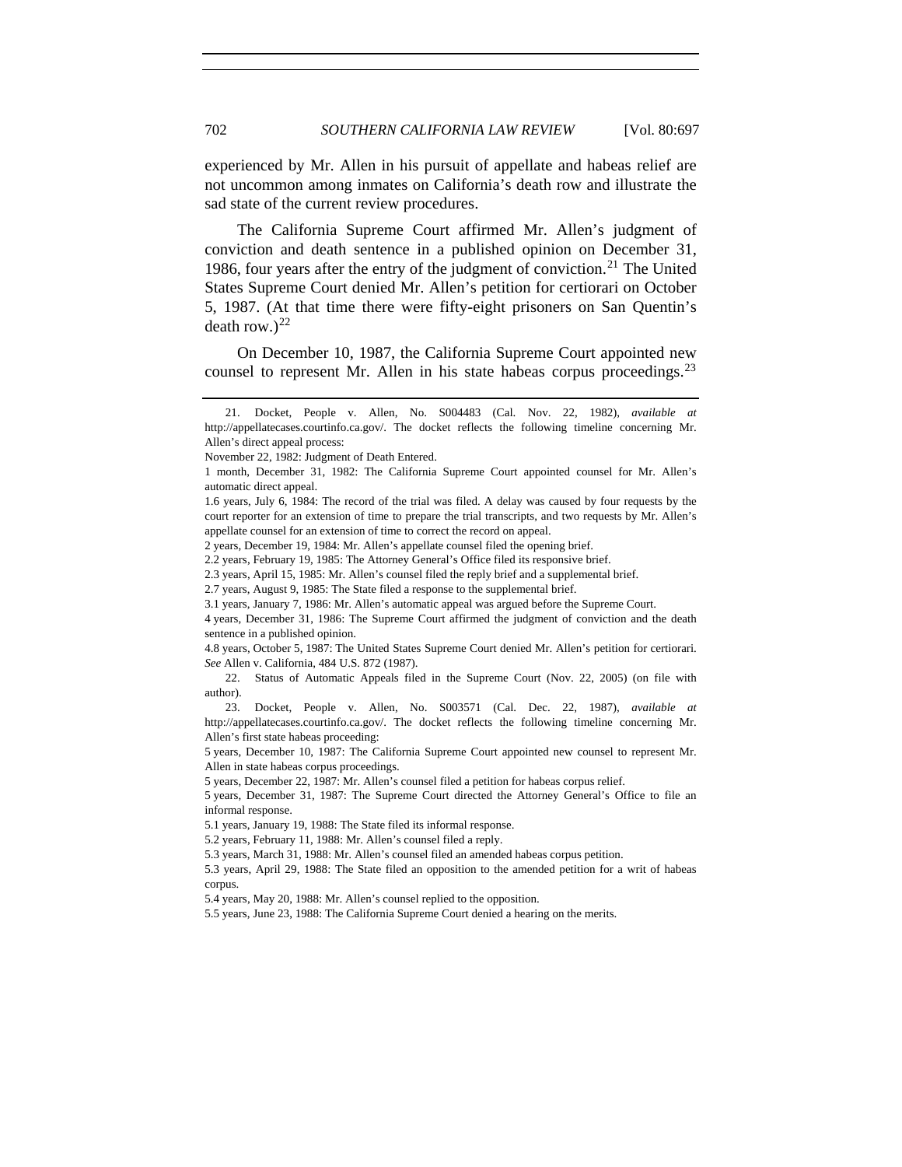experienced by Mr. Allen in his pursuit of appellate and habeas relief are not uncommon among inmates on California's death row and illustrate the sad state of the current review procedures.

The California Supreme Court affirmed Mr. Allen's judgment of conviction and death sentence in a published opinion on December 31, 1986, four years after the entry of the judgment of conviction.<sup>[21](#page-5-0)</sup> The United States Supreme Court denied Mr. Allen's petition for certiorari on October 5, 1987. (At that time there were fifty-eight prisoners on San Quentin's death row.) $^{22}$  $^{22}$  $^{22}$ 

On December 10, 1987, the California Supreme Court appointed new counsel to represent Mr. Allen in his state habeas corpus proceedings.<sup>[23](#page-5-2)</sup>

<span id="page-5-1"></span>22. Status of Automatic Appeals filed in the Supreme Court (Nov. 22, 2005) (on file with author).

<span id="page-5-2"></span>23. Docket, People v. Allen, No. S003571 (Cal. Dec. 22, 1987), *available at* http://appellatecases.courtinfo.ca.gov/. The docket reflects the following timeline concerning Mr. Allen's first state habeas proceeding:

5 years, December 10, 1987: The California Supreme Court appointed new counsel to represent Mr. Allen in state habeas corpus proceedings.

5 years, December 31, 1987: The Supreme Court directed the Attorney General's Office to file an informal response.

5.1 years, January 19, 1988: The State filed its informal response.

5.3 years, April 29, 1988: The State filed an opposition to the amended petition for a writ of habeas corpus.

5.4 years, May 20, 1988: Mr. Allen's counsel replied to the opposition.

<span id="page-5-0"></span><sup>21.</sup> Docket, People v. Allen, No. S004483 (Cal. Nov. 22, 1982), *available at*  http://appellatecases.courtinfo.ca.gov/. The docket reflects the following timeline concerning Mr. Allen's direct appeal process:

November 22, 1982: Judgment of Death Entered.

<sup>1</sup> month, December 31, 1982: The California Supreme Court appointed counsel for Mr. Allen's automatic direct appeal.

<sup>1.6</sup> years, July 6, 1984: The record of the trial was filed. A delay was caused by four requests by the court reporter for an extension of time to prepare the trial transcripts, and two requests by Mr. Allen's appellate counsel for an extension of time to correct the record on appeal.

<sup>2</sup> years, December 19, 1984: Mr. Allen's appellate counsel filed the opening brief.

<sup>2.2</sup> years, February 19, 1985: The Attorney General's Office filed its responsive brief.

<sup>2.3</sup> years, April 15, 1985: Mr. Allen's counsel filed the reply brief and a supplemental brief.

<sup>2.7</sup> years, August 9, 1985: The State filed a response to the supplemental brief.

<sup>3.1</sup> years, January 7, 1986: Mr. Allen's automatic appeal was argued before the Supreme Court.

<sup>4</sup> years, December 31, 1986: The Supreme Court affirmed the judgment of conviction and the death sentence in a published opinion.

<sup>4.8</sup> years, October 5, 1987: The United States Supreme Court denied Mr. Allen's petition for certiorari. *See* Allen v. California, 484 U.S. 872 (1987).

<sup>5</sup> years, December 22, 1987: Mr. Allen's counsel filed a petition for habeas corpus relief.

<sup>5.2</sup> years, February 11, 1988: Mr. Allen's counsel filed a reply.

<sup>5.3</sup> years, March 31, 1988: Mr. Allen's counsel filed an amended habeas corpus petition.

<sup>5.5</sup> years, June 23, 1988: The California Supreme Court denied a hearing on the merits.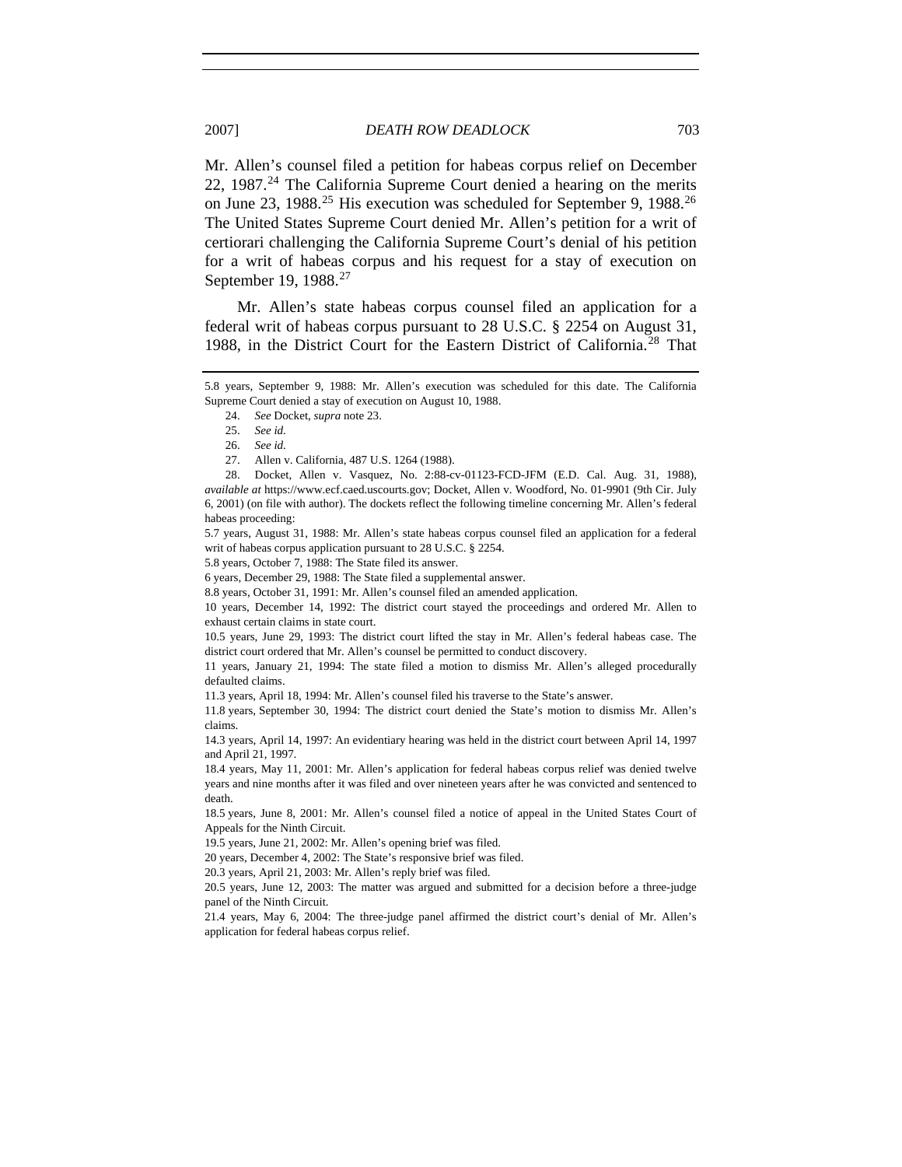Mr. Allen's counsel filed a petition for habeas corpus relief on December 22, 1987. $^{24}$  $^{24}$  $^{24}$  The California Supreme Court denied a hearing on the merits on June 23, 1988.<sup>[25](#page-6-1)</sup> His execution was scheduled for September 9, 1988.<sup>[26](#page-6-2)</sup> The United States Supreme Court denied Mr. Allen's petition for a writ of certiorari challenging the California Supreme Court's denial of his petition for a writ of habeas corpus and his request for a stay of execution on September 19, 1988.<sup>[27](#page-6-3)</sup>

Mr. Allen's state habeas corpus counsel filed an application for a federal writ of habeas corpus pursuant to 28 U.S.C. § 2254 on August 31, 1988, in the District Court for the Eastern District of California.[28](#page-6-4) That

5.7 years, August 31, 1988: Mr. Allen's state habeas corpus counsel filed an application for a federal writ of habeas corpus application pursuant to 28 U.S.C. § 2254.

5.8 years, October 7, 1988: The State filed its answer.

6 years, December 29, 1988: The State filed a supplemental answer.

8.8 years, October 31, 1991: Mr. Allen's counsel filed an amended application.

10 years, December 14, 1992: The district court stayed the proceedings and ordered Mr. Allen to exhaust certain claims in state court.

10.5 years, June 29, 1993: The district court lifted the stay in Mr. Allen's federal habeas case. The district court ordered that Mr. Allen's counsel be permitted to conduct discovery.

11 years, January 21, 1994: The state filed a motion to dismiss Mr. Allen's alleged procedurally defaulted claims.

11.3 years, April 18, 1994: Mr. Allen's counsel filed his traverse to the State's answer.

11.8 years, September 30, 1994: The district court denied the State's motion to dismiss Mr. Allen's claims.

14.3 years, April 14, 1997: An evidentiary hearing was held in the district court between April 14, 1997 and April 21, 1997.

18.4 years, May 11, 2001: Mr. Allen's application for federal habeas corpus relief was denied twelve years and nine months after it was filed and over nineteen years after he was convicted and sentenced to death.

18.5 years, June 8, 2001: Mr. Allen's counsel filed a notice of appeal in the United States Court of Appeals for the Ninth Circuit.

19.5 years, June 21, 2002: Mr. Allen's opening brief was filed.

20 years, December 4, 2002: The State's responsive brief was filed.

20.3 years, April 21, 2003: Mr. Allen's reply brief was filed.

20.5 years, June 12, 2003: The matter was argued and submitted for a decision before a three-judge panel of the Ninth Circuit.

21.4 years, May 6, 2004: The three-judge panel affirmed the district court's denial of Mr. Allen's application for federal habeas corpus relief.

<span id="page-6-1"></span><span id="page-6-0"></span><sup>5.8</sup> years, September 9, 1988: Mr. Allen's execution was scheduled for this date. The California Supreme Court denied a stay of execution on August 10, 1988.

 <sup>24.</sup> *See* Docket, *supra* note 23.

 <sup>25.</sup> *See id.*

 <sup>26.</sup> *See id.*

<sup>27.</sup> Allen v. California, 487 U.S. 1264 (1988).

<span id="page-6-4"></span><span id="page-6-3"></span><span id="page-6-2"></span><sup>28.</sup> Docket, Allen v. Vasquez, No. 2:88-cv-01123-FCD-JFM (E.D. Cal. Aug. 31, 1988), *available at* https://www.ecf.caed.uscourts.gov; Docket, Allen v. Woodford, No. 01-9901 (9th Cir. July 6, 2001) (on file with author). The dockets reflect the following timeline concerning Mr. Allen's federal habeas proceeding: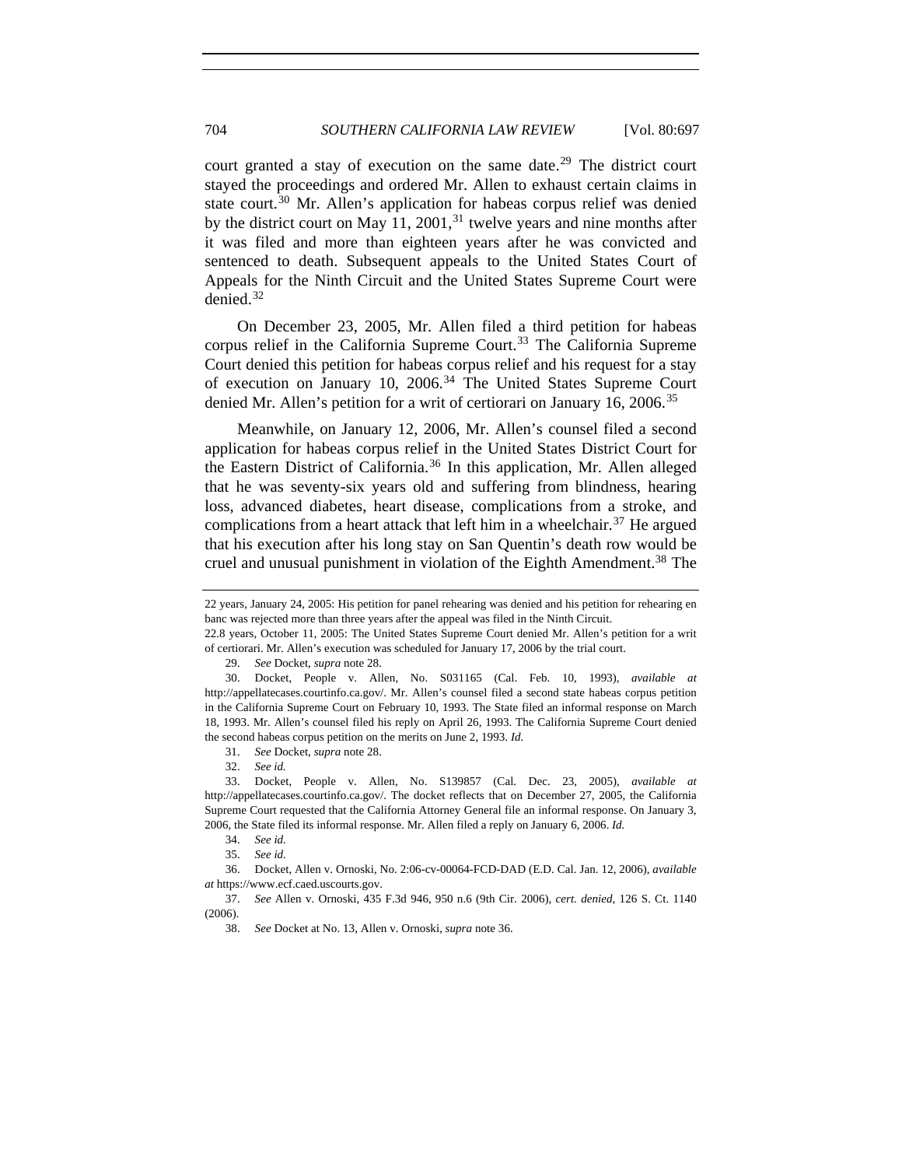court granted a stay of execution on the same date.<sup>[29](#page-7-0)</sup> The district court stayed the proceedings and ordered Mr. Allen to exhaust certain claims in state court.<sup>[30](#page-7-1)</sup> Mr. Allen's application for habeas corpus relief was denied by the district court on May 11, 2001, $31$  twelve years and nine months after it was filed and more than eighteen years after he was convicted and sentenced to death. Subsequent appeals to the United States Court of Appeals for the Ninth Circuit and the United States Supreme Court were denied.[32](#page-7-3)

On December 23, 2005, Mr. Allen filed a third petition for habeas corpus relief in the California Supreme Court.<sup>[33](#page-7-4)</sup> The California Supreme Court denied this petition for habeas corpus relief and his request for a stay of execution on January 10,  $2006$ .<sup>[34](#page-7-5)</sup> The United States Supreme Court denied Mr. Allen's petition for a writ of certiorari on January 16, 2006.<sup>[35](#page-7-6)</sup>

Meanwhile, on January 12, 2006, Mr. Allen's counsel filed a second application for habeas corpus relief in the United States District Court for the Eastern District of California.<sup>[36](#page-7-7)</sup> In this application, Mr. Allen alleged that he was seventy-six years old and suffering from blindness, hearing loss, advanced diabetes, heart disease, complications from a stroke, and complications from a heart attack that left him in a wheelchair.<sup>[37](#page-7-8)</sup> He argued that his execution after his long stay on San Quentin's death row would be cruel and unusual punishment in violation of the Eighth Amendment.<sup>[38](#page-7-9)</sup> The

31. *See* Docket, *supra* note 28.

<sup>22</sup> years, January 24, 2005: His petition for panel rehearing was denied and his petition for rehearing en banc was rejected more than three years after the appeal was filed in the Ninth Circuit.

<sup>22.8</sup> years, October 11, 2005: The United States Supreme Court denied Mr. Allen's petition for a writ of certiorari. Mr. Allen's execution was scheduled for January 17, 2006 by the trial court.

<sup>29.</sup> *See* Docket, *supra* note 28.

<span id="page-7-1"></span><span id="page-7-0"></span><sup>30.</sup> Docket, People v. Allen, No. S031165 (Cal. Feb. 10, 1993), *available at*  http://appellatecases.courtinfo.ca.gov/. Mr. Allen's counsel filed a second state habeas corpus petition in the California Supreme Court on February 10, 1993. The State filed an informal response on March 18, 1993. Mr. Allen's counsel filed his reply on April 26, 1993. The California Supreme Court denied the second habeas corpus petition on the merits on June 2, 1993. *Id.* 

 <sup>32.</sup> *See id.* 

<span id="page-7-4"></span><span id="page-7-3"></span><span id="page-7-2"></span><sup>33.</sup> Docket, People v. Allen, No. S139857 (Cal. Dec. 23, 2005), *available at* http://appellatecases.courtinfo.ca.gov/. The docket reflects that on December 27, 2005, the California Supreme Court requested that the California Attorney General file an informal response. On January 3, 2006, the State filed its informal response. Mr. Allen filed a reply on January 6, 2006. *Id.* 

<sup>34.</sup> *See id.*

<sup>35.</sup> *See id.*

<span id="page-7-7"></span><span id="page-7-6"></span><span id="page-7-5"></span><sup>36.</sup> Docket, Allen v. Ornoski, No. 2:06-cv-00064-FCD-DAD (E.D. Cal. Jan. 12, 2006), *available at* https://www.ecf.caed.uscourts.gov.

<span id="page-7-9"></span><span id="page-7-8"></span><sup>37.</sup> *See* Allen v. Ornoski, 435 F.3d 946, 950 n.6 (9th Cir. 2006), *cert. denied*, 126 S. Ct. 1140 (2006).

<sup>38.</sup> *See* Docket at No. 13, Allen v. Ornoski, *supra* note 36.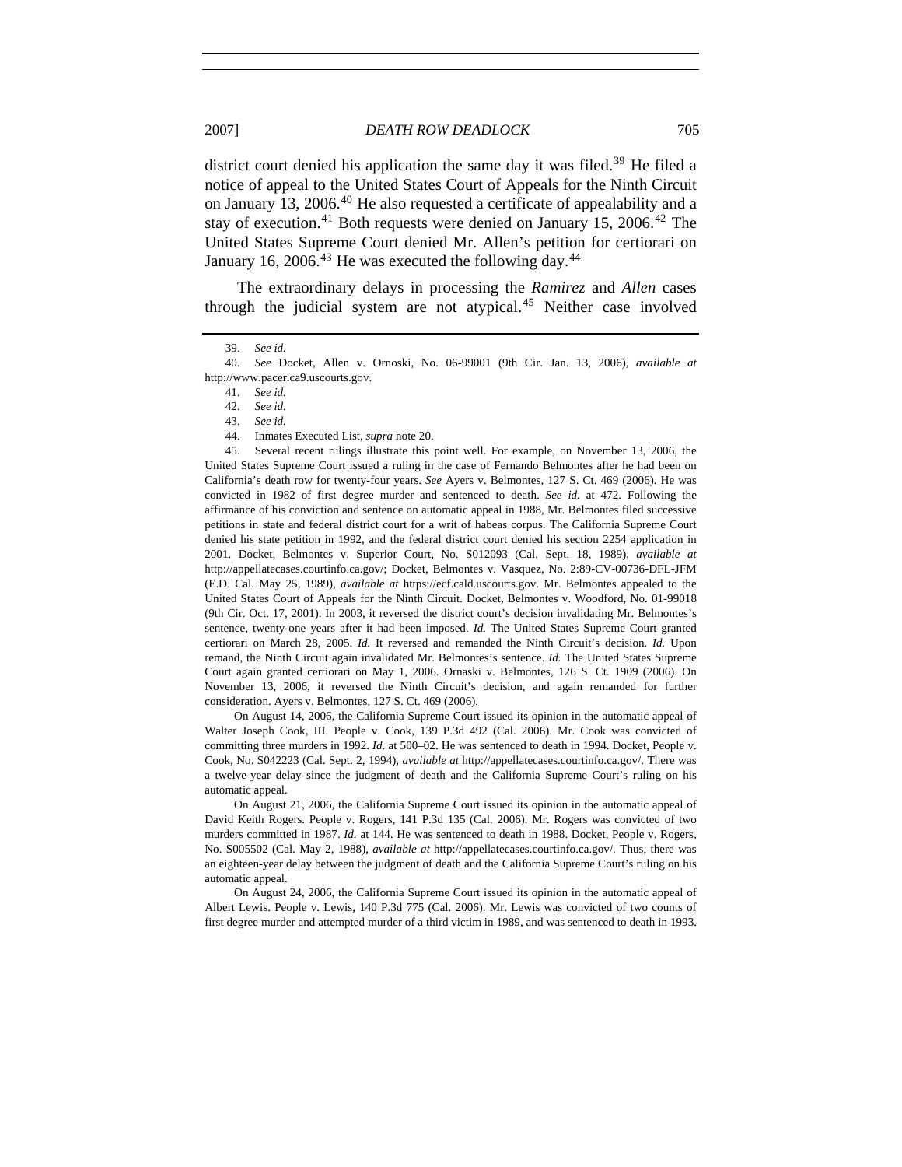district court denied his application the same day it was filed.<sup>[39](#page-8-0)</sup> He filed a notice of appeal to the United States Court of Appeals for the Ninth Circuit on January 13, 2006.[40](#page-8-1) He also requested a certificate of appealability and a stay of execution.<sup>[41](#page-8-2)</sup> Both requests were denied on January 15, 2006.<sup>[42](#page-8-3)</sup> The United States Supreme Court denied Mr. Allen's petition for certiorari on January 16, 2006.<sup>[43](#page-8-4)</sup> He was executed the following day.<sup>[44](#page-8-5)</sup>

The extraordinary delays in processing the *Ramirez* and *Allen* cases through the judicial system are not atypical.<sup>[45](#page-8-6)</sup> Neither case involved

<span id="page-8-6"></span><span id="page-8-5"></span><span id="page-8-4"></span>45. Several recent rulings illustrate this point well. For example, on November 13, 2006, the United States Supreme Court issued a ruling in the case of Fernando Belmontes after he had been on California's death row for twenty-four years. *See* Ayers v. Belmontes, 127 S. Ct. 469 (2006). He was convicted in 1982 of first degree murder and sentenced to death. *See id.* at 472. Following the affirmance of his conviction and sentence on automatic appeal in 1988, Mr. Belmontes filed successive petitions in state and federal district court for a writ of habeas corpus. The California Supreme Court denied his state petition in 1992, and the federal district court denied his section 2254 application in 2001. Docket, Belmontes v. Superior Court, No. S012093 (Cal. Sept. 18, 1989), *available at* http://appellatecases.courtinfo.ca.gov/; Docket, Belmontes v. Vasquez, No. 2:89-CV-00736-DFL-JFM (E.D. Cal. May 25, 1989), *available at* [https://ecf.cald.uscourts.gov.](https://ecf.cald.uscourts.gov/) Mr. Belmontes appealed to the United States Court of Appeals for the Ninth Circuit. Docket, Belmontes v. Woodford, No. 01-99018 (9th Cir. Oct. 17, 2001). In 2003, it reversed the district court's decision invalidating Mr. Belmontes's sentence, twenty-one years after it had been imposed. *Id.* The United States Supreme Court granted certiorari on March 28, 2005. *Id.* It reversed and remanded the Ninth Circuit's decision. *Id.* Upon remand, the Ninth Circuit again invalidated Mr. Belmontes's sentence. *Id.* The United States Supreme Court again granted certiorari on May 1, 2006. Ornaski v. Belmontes, 126 S. Ct. 1909 (2006). On November 13, 2006, it reversed the Ninth Circuit's decision, and again remanded for further consideration. Ayers v. Belmontes, 127 S. Ct. 469 (2006).

On August 14, 2006, the California Supreme Court issued its opinion in the automatic appeal of Walter Joseph Cook, III. People v. Cook, 139 P.3d 492 (Cal. 2006). Mr. Cook was convicted of committing three murders in 1992. *Id.* at 500–02. He was sentenced to death in 1994. Docket, People v. Cook, No. S042223 (Cal. Sept. 2, 1994), *available at* http://appellatecases.courtinfo.ca.gov/. There was a twelve-year delay since the judgment of death and the California Supreme Court's ruling on his automatic appeal.

On August 21, 2006, the California Supreme Court issued its opinion in the automatic appeal of David Keith Rogers. People v. Rogers, 141 P.3d 135 (Cal. 2006). Mr. Rogers was convicted of two murders committed in 1987. *Id.* at 144. He was sentenced to death in 1988. Docket, People v. Rogers, No. S005502 (Cal. May 2, 1988), *available at* http://appellatecases.courtinfo.ca.gov/. Thus, there was an eighteen-year delay between the judgment of death and the California Supreme Court's ruling on his automatic appeal.

On August 24, 2006, the California Supreme Court issued its opinion in the automatic appeal of Albert Lewis. People v. Lewis, 140 P.3d 775 (Cal. 2006). Mr. Lewis was convicted of two counts of first degree murder and attempted murder of a third victim in 1989, and was sentenced to death in 1993.

<sup>39.</sup> *See id.*

<span id="page-8-3"></span><span id="page-8-2"></span><span id="page-8-1"></span><span id="page-8-0"></span><sup>40.</sup> *See* Docket, Allen v. Ornoski, No. 06-99001 (9th Cir. Jan. 13, 2006), *available at* http://www.pacer.ca9.uscourts.gov.

 <sup>41.</sup> *See id.*

<sup>42.</sup> *See id.*

<sup>43.</sup> *See id.*

<sup>44.</sup> Inmates Executed List, *supra* note 20.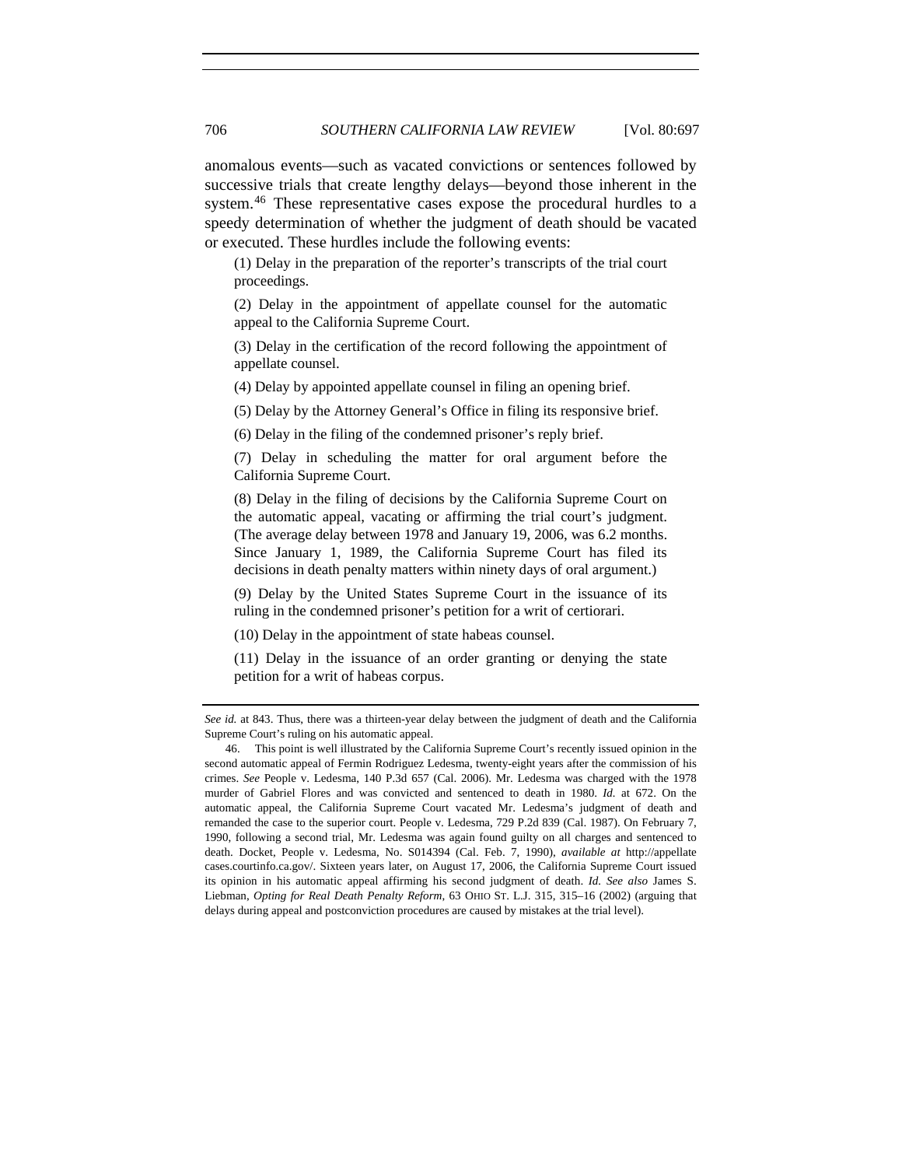anomalous events—such as vacated convictions or sentences followed by successive trials that create lengthy delays—beyond those inherent in the system.<sup>[46](#page-9-0)</sup> These representative cases expose the procedural hurdles to a speedy determination of whether the judgment of death should be vacated or executed. These hurdles include the following events:

(1) Delay in the preparation of the reporter's transcripts of the trial court proceedings.

(2) Delay in the appointment of appellate counsel for the automatic appeal to the California Supreme Court.

(3) Delay in the certification of the record following the appointment of appellate counsel.

(4) Delay by appointed appellate counsel in filing an opening brief.

(5) Delay by the Attorney General's Office in filing its responsive brief.

(6) Delay in the filing of the condemned prisoner's reply brief.

(7) Delay in scheduling the matter for oral argument before the California Supreme Court.

(8) Delay in the filing of decisions by the California Supreme Court on the automatic appeal, vacating or affirming the trial court's judgment. (The average delay between 1978 and January 19, 2006, was 6.2 months. Since January 1, 1989, the California Supreme Court has filed its decisions in death penalty matters within ninety days of oral argument.)

(9) Delay by the United States Supreme Court in the issuance of its ruling in the condemned prisoner's petition for a writ of certiorari.

(10) Delay in the appointment of state habeas counsel.

(11) Delay in the issuance of an order granting or denying the state petition for a writ of habeas corpus.

*See id.* at 843. Thus, there was a thirteen-year delay between the judgment of death and the California Supreme Court's ruling on his automatic appeal.

<span id="page-9-0"></span><sup>46.</sup> This point is well illustrated by the California Supreme Court's recently issued opinion in the second automatic appeal of Fermin Rodriguez Ledesma, twenty-eight years after the commission of his crimes. *See* People v. Ledesma, 140 P.3d 657 (Cal. 2006). Mr. Ledesma was charged with the 1978 murder of Gabriel Flores and was convicted and sentenced to death in 1980. *Id.* at 672. On the automatic appeal, the California Supreme Court vacated Mr. Ledesma's judgment of death and remanded the case to the superior court. People v. Ledesma, 729 P.2d 839 (Cal. 1987). On February 7, 1990, following a second trial, Mr. Ledesma was again found guilty on all charges and sentenced to death. Docket, People v. Ledesma, No. S014394 (Cal. Feb. 7, 1990), *available at* http://appellate cases.courtinfo.ca.gov/. Sixteen years later, on August 17, 2006, the California Supreme Court issued its opinion in his automatic appeal affirming his second judgment of death. *Id. See also* James S. Liebman, *Opting for Real Death Penalty Reform*, 63 OHIO ST. L.J. 315, 315–16 (2002) (arguing that delays during appeal and postconviction procedures are caused by mistakes at the trial level).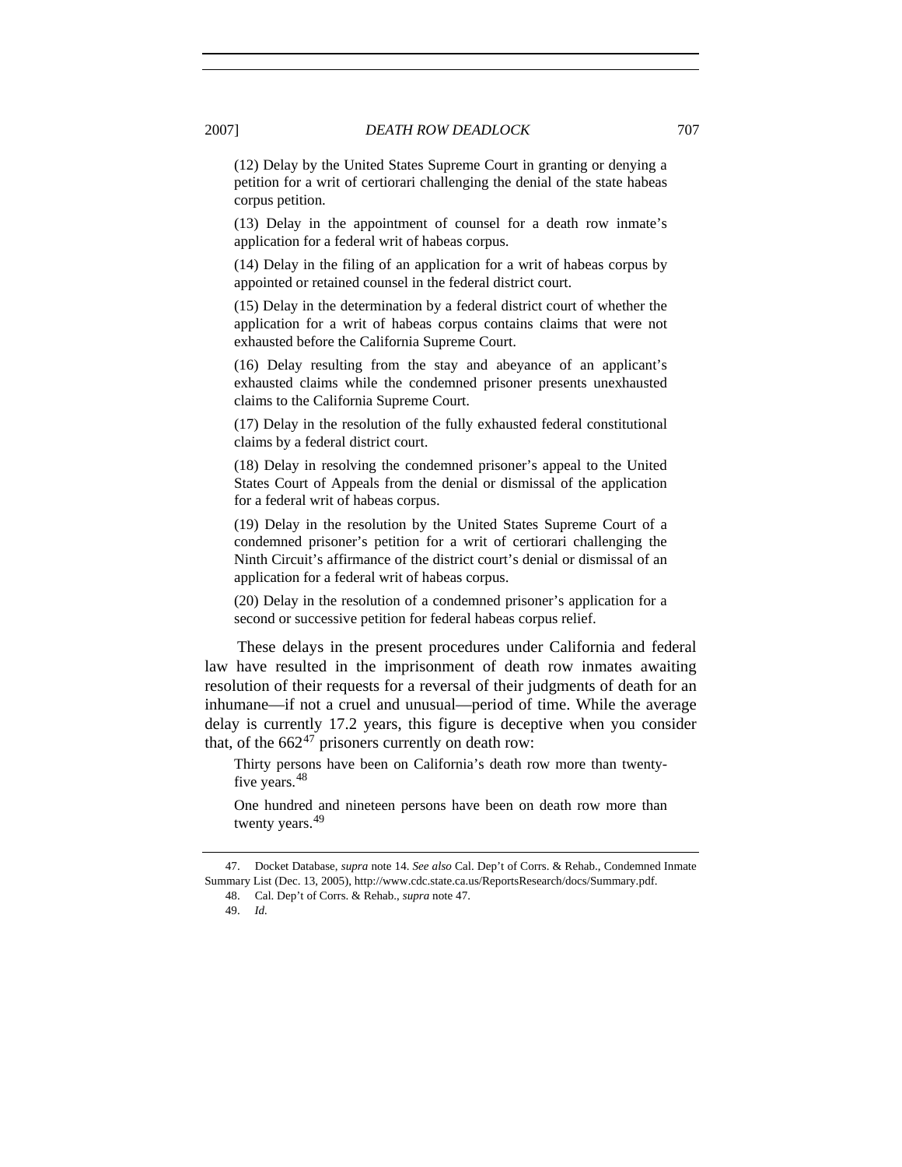(12) Delay by the United States Supreme Court in granting or denying a petition for a writ of certiorari challenging the denial of the state habeas corpus petition.

(13) Delay in the appointment of counsel for a death row inmate's application for a federal writ of habeas corpus.

(14) Delay in the filing of an application for a writ of habeas corpus by appointed or retained counsel in the federal district court.

(15) Delay in the determination by a federal district court of whether the application for a writ of habeas corpus contains claims that were not exhausted before the California Supreme Court.

(16) Delay resulting from the stay and abeyance of an applicant's exhausted claims while the condemned prisoner presents unexhausted claims to the California Supreme Court.

(17) Delay in the resolution of the fully exhausted federal constitutional claims by a federal district court.

(18) Delay in resolving the condemned prisoner's appeal to the United States Court of Appeals from the denial or dismissal of the application for a federal writ of habeas corpus.

(19) Delay in the resolution by the United States Supreme Court of a condemned prisoner's petition for a writ of certiorari challenging the Ninth Circuit's affirmance of the district court's denial or dismissal of an application for a federal writ of habeas corpus.

(20) Delay in the resolution of a condemned prisoner's application for a second or successive petition for federal habeas corpus relief.

These delays in the present procedures under California and federal law have resulted in the imprisonment of death row inmates awaiting resolution of their requests for a reversal of their judgments of death for an inhumane—if not a cruel and unusual—period of time. While the average delay is currently 17.2 years, this figure is deceptive when you consider that, of the  $662^{47}$  $662^{47}$  $662^{47}$  prisoners currently on death row:

Thirty persons have been on California's death row more than twenty-five years.<sup>[48](#page-10-1)</sup>

One hundred and nineteen persons have been on death row more than twenty years.<sup>[49](#page-10-2)</sup>

<span id="page-10-2"></span><span id="page-10-1"></span><span id="page-10-0"></span><sup>47.</sup> Docket Database, *supra* note 14. *See also* Cal. Dep't of Corrs. & Rehab., Condemned Inmate Summary List (Dec. 13, 2005), http://www.cdc.state.ca.us/ReportsResearch/docs/Summary.pdf.

<sup>48.</sup> Cal. Dep't of Corrs. & Rehab., *supra* note 47.

<sup>49.</sup> *Id.*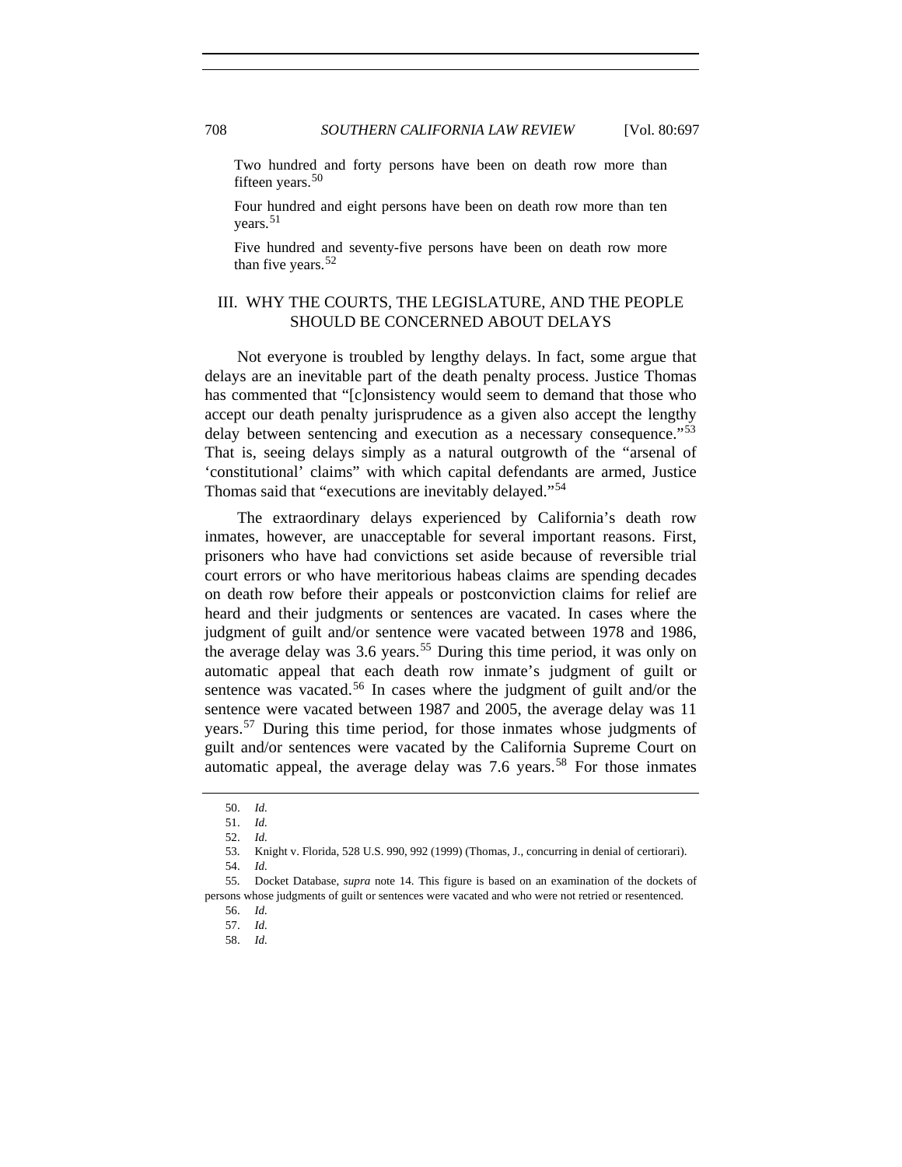Two hundred and forty persons have been on death row more than fifteen years. $50$ 

Four hundred and eight persons have been on death row more than ten vears. $51$ 

Five hundred and seventy-five persons have been on death row more than five years. $52$ 

## III. WHY THE COURTS, THE LEGISLATURE, AND THE PEOPLE SHOULD BE CONCERNED ABOUT DELAYS

Not everyone is troubled by lengthy delays. In fact, some argue that delays are an inevitable part of the death penalty process. Justice Thomas has commented that "[c]onsistency would seem to demand that those who accept our death penalty jurisprudence as a given also accept the lengthy delay between sentencing and execution as a necessary consequence.<sup>"[53](#page-11-3)</sup> That is, seeing delays simply as a natural outgrowth of the "arsenal of 'constitutional' claims" with which capital defendants are armed, Justice Thomas said that "executions are inevitably delayed."[54](#page-11-4)

The extraordinary delays experienced by California's death row inmates, however, are unacceptable for several important reasons. First, prisoners who have had convictions set aside because of reversible trial court errors or who have meritorious habeas claims are spending decades on death row before their appeals or postconviction claims for relief are heard and their judgments or sentences are vacated. In cases where the judgment of guilt and/or sentence were vacated between 1978 and 1986, the average delay was  $3.6$  years.<sup>[55](#page-11-5)</sup> During this time period, it was only on automatic appeal that each death row inmate's judgment of guilt or sentence was vacated.<sup>[56](#page-11-6)</sup> In cases where the judgment of guilt and/or the sentence were vacated between 1987 and 2005, the average delay was 11 years.[57](#page-11-7) During this time period, for those inmates whose judgments of guilt and/or sentences were vacated by the California Supreme Court on automatic appeal, the average delay was  $7.6$  years.<sup>[58](#page-11-8)</sup> For those inmates

<sup>50.</sup> *Id.*

 <sup>51.</sup> *Id.*

 <sup>52.</sup> *Id.*

 <sup>53.</sup> Knight v. Florida, 528 U.S. 990, 992 (1999) (Thomas, J., concurring in denial of certiorari).

 <sup>54.</sup> *Id.*

<span id="page-11-8"></span><span id="page-11-7"></span><span id="page-11-6"></span><span id="page-11-5"></span><span id="page-11-4"></span><span id="page-11-3"></span><span id="page-11-2"></span><span id="page-11-1"></span><span id="page-11-0"></span> <sup>55.</sup> Docket Database, *supra* note 14. This figure is based on an examination of the dockets of persons whose judgments of guilt or sentences were vacated and who were not retried or resentenced.

 <sup>56.</sup> *Id.*

 <sup>57.</sup> *Id.*

 <sup>58.</sup> *Id.*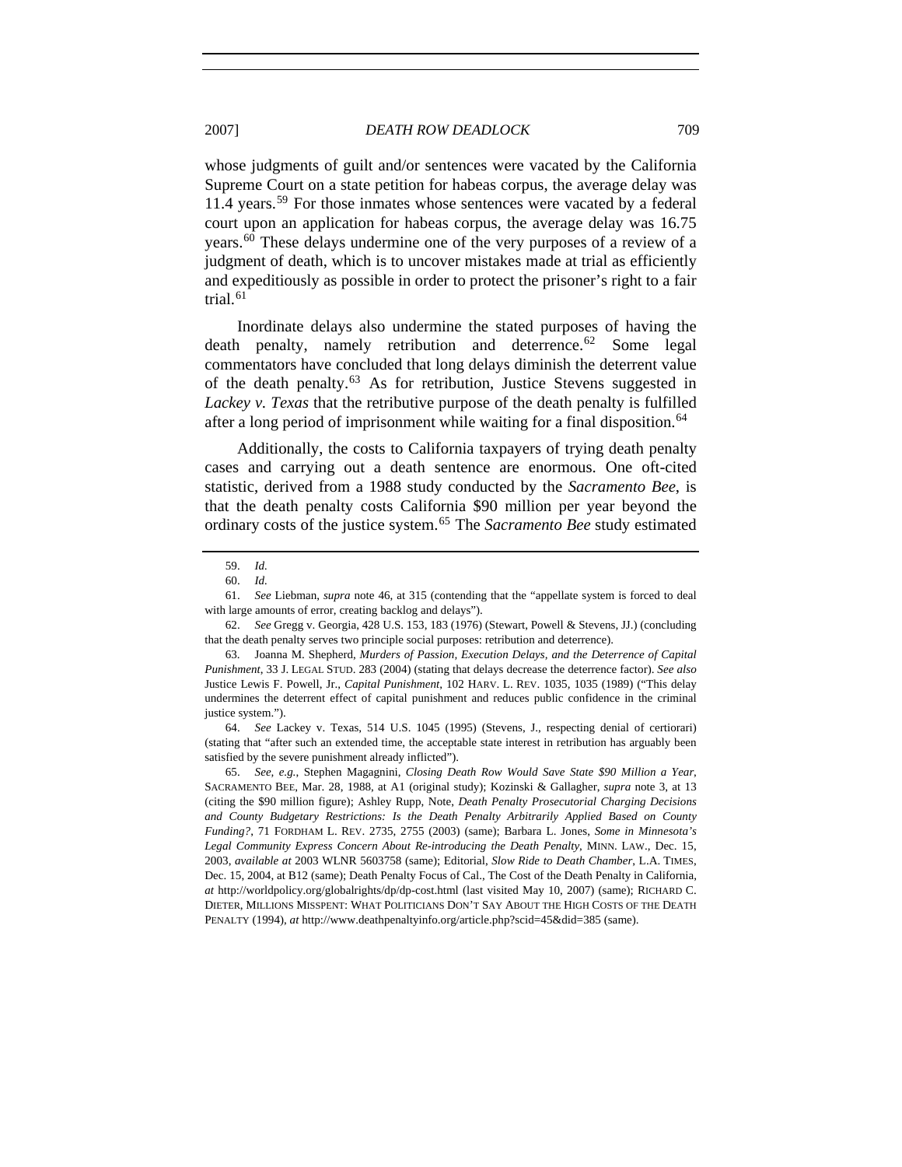whose judgments of guilt and/or sentences were vacated by the California Supreme Court on a state petition for habeas corpus, the average delay was 11.4 years.[59](#page-12-0) For those inmates whose sentences were vacated by a federal court upon an application for habeas corpus, the average delay was 16.75

years.<sup>[60](#page-12-1)</sup> These delays undermine one of the very purposes of a review of a judgment of death, which is to uncover mistakes made at trial as efficiently and expeditiously as possible in order to protect the prisoner's right to a fair trial. $61$ 

Inordinate delays also undermine the stated purposes of having the death penalty, namely retribution and deterrence.<sup>[62](#page-12-3)</sup> Some legal commentators have concluded that long delays diminish the deterrent value of the death penalty.[63](#page-12-4) As for retribution, Justice Stevens suggested in *Lackey v. Texas* that the retributive purpose of the death penalty is fulfilled after a long period of imprisonment while waiting for a final disposition.<sup>[64](#page-12-5)</sup>

Additionally, the costs to California taxpayers of trying death penalty cases and carrying out a death sentence are enormous. One oft-cited statistic, derived from a 1988 study conducted by the *Sacramento Bee*, is that the death penalty costs California \$90 million per year beyond the ordinary costs of the justice system.[65](#page-12-6) The *Sacramento Bee* study estimated

<span id="page-12-5"></span> 64. *See* Lackey v. Texas, 514 U.S. 1045 (1995) (Stevens, J., respecting denial of certiorari) (stating that "after such an extended time, the acceptable state interest in retribution has arguably been satisfied by the severe punishment already inflicted").

 <sup>59.</sup> *Id.*

 <sup>60.</sup> *Id.*

<span id="page-12-2"></span><span id="page-12-1"></span><span id="page-12-0"></span> <sup>61.</sup> *See* Liebman, *supra* note 46, at 315 (contending that the "appellate system is forced to deal with large amounts of error, creating backlog and delays").

<span id="page-12-3"></span> <sup>62.</sup> *See* Gregg v. Georgia, 428 U.S. 153, 183 (1976) (Stewart, Powell & Stevens, JJ.) (concluding that the death penalty serves two principle social purposes: retribution and deterrence).

<span id="page-12-4"></span> <sup>63.</sup> Joanna M. Shepherd, *Murders of Passion, Execution Delays, and the Deterrence of Capital Punishment*, 33 J. LEGAL STUD. 283 (2004) (stating that delays decrease the deterrence factor). *See also*  Justice Lewis F. Powell, Jr., *Capital Punishment*, 102 HARV. L. REV. 1035, 1035 (1989) ("This delay undermines the deterrent effect of capital punishment and reduces public confidence in the criminal justice system.").

<span id="page-12-6"></span> <sup>65.</sup> *See, e.g.*, Stephen Magagnini, *Closing Death Row Would Save State \$90 Million a Year*, SACRAMENTO BEE, Mar. 28, 1988, at A1 (original study); Kozinski & Gallagher, *supra* note 3, at 13 (citing the \$90 million figure); Ashley Rupp, Note, *Death Penalty Prosecutorial Charging Decisions and County Budgetary Restrictions: Is the Death Penalty Arbitrarily Applied Based on County Funding?*, 71 FORDHAM L. REV. 2735, 2755 (2003) (same); Barbara L. Jones, *Some in Minnesota's Legal Community Express Concern About Re-introducing the Death Penalty*, MINN. LAW., Dec. 15, 2003, *available at* 2003 WLNR 5603758 (same); Editorial, *Slow Ride to Death Chamber*, L.A. TIMES, Dec. 15, 2004, at B12 (same); Death Penalty Focus of Cal., The Cost of the Death Penalty in California, *at* http://worldpolicy.org/globalrights/dp/dp-cost.html (last visited May 10, 2007) (same); RICHARD C. DIETER, MILLIONS MISSPENT: WHAT POLITICIANS DON'T SAY ABOUT THE HIGH COSTS OF THE DEATH PENALTY (1994), *at* http://www.deathpenaltyinfo.org/article.php?scid=45&did=385 (same).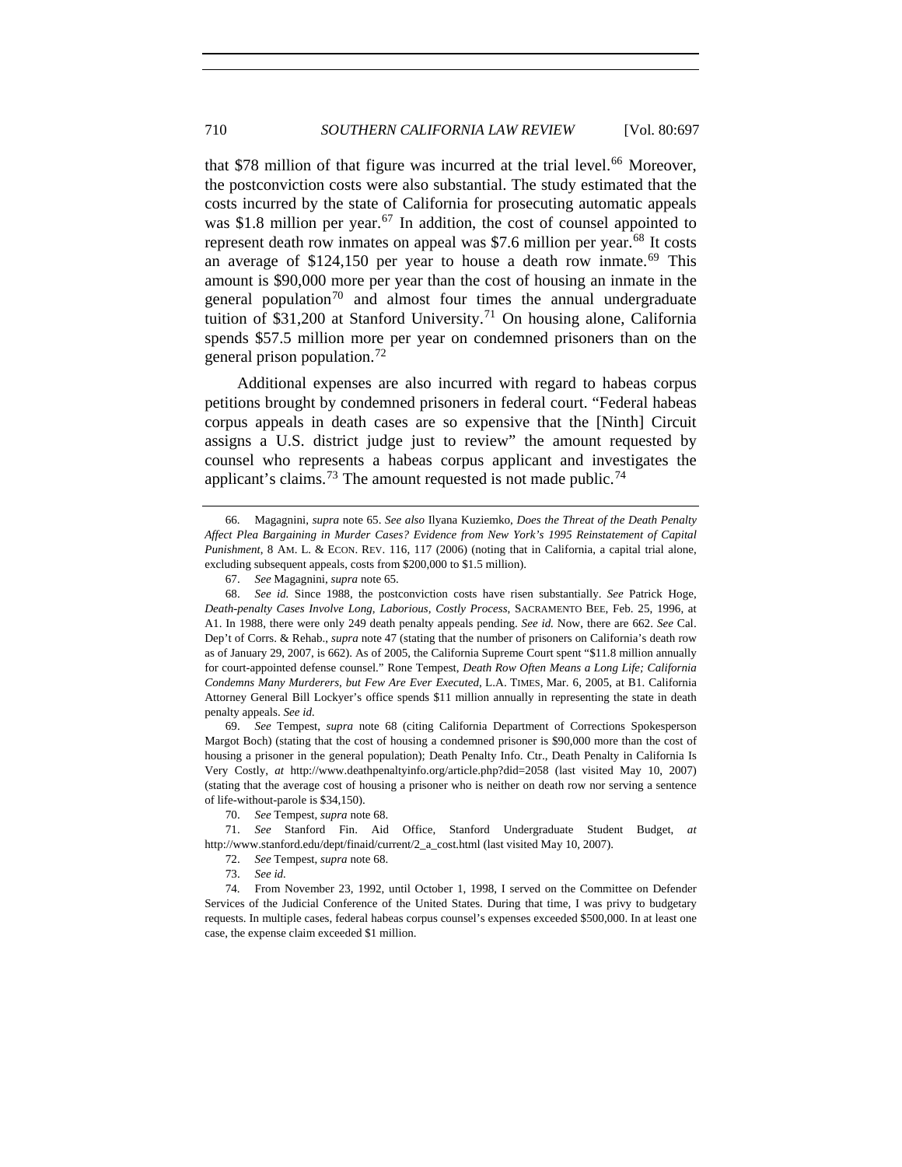that \$78 million of that figure was incurred at the trial level.<sup>[66](#page-13-0)</sup> Moreover, the postconviction costs were also substantial. The study estimated that the costs incurred by the state of California for prosecuting automatic appeals was \$1.8 million per year.<sup>[67](#page-13-1)</sup> In addition, the cost of counsel appointed to represent death row inmates on appeal was  $$7.6$  million per year.<sup>[68](#page-13-2)</sup> It costs an average of  $$124,150$  per year to house a death row inmate.<sup>[69](#page-13-3)</sup> This amount is \$90,000 more per year than the cost of housing an inmate in the general population<sup>[70](#page-13-4)</sup> and almost four times the annual undergraduate tuition of \$31,200 at Stanford University.<sup>[71](#page-13-5)</sup> On housing alone, California spends \$57.5 million more per year on condemned prisoners than on the general prison population.<sup>[72](#page-13-6)</sup>

Additional expenses are also incurred with regard to habeas corpus petitions brought by condemned prisoners in federal court. "Federal habeas corpus appeals in death cases are so expensive that the [Ninth] Circuit assigns a U.S. district judge just to review" the amount requested by counsel who represents a habeas corpus applicant and investigates the applicant's claims.<sup>[73](#page-13-7)</sup> The amount requested is not made public.<sup>[74](#page-13-8)</sup>

<span id="page-13-3"></span> 69. *See* Tempest, *supra* note 68 (citing California Department of Corrections Spokesperson Margot Boch) (stating that the cost of housing a condemned prisoner is \$90,000 more than the cost of housing a prisoner in the general population); Death Penalty Info. Ctr., Death Penalty in California Is Very Costly, *at* http://www.deathpenaltyinfo.org/article.php?did=2058 (last visited May 10, 2007) (stating that the average cost of housing a prisoner who is neither on death row nor serving a sentence of life-without-parole is \$34,150).

70. *See* Tempest, *supra* note 68.

<span id="page-13-6"></span><span id="page-13-5"></span><span id="page-13-4"></span> 71. *See* Stanford Fin. Aid Office, Stanford Undergraduate Student Budget, *at* http://www.stanford.edu/dept/finaid/current/2\_a\_cost.html (last visited May 10, 2007).

72. *See* Tempest, *supra* note 68.

<span id="page-13-8"></span><span id="page-13-7"></span> 74. From November 23, 1992, until October 1, 1998, I served on the Committee on Defender Services of the Judicial Conference of the United States. During that time, I was privy to budgetary requests. In multiple cases, federal habeas corpus counsel's expenses exceeded \$500,000. In at least one case, the expense claim exceeded \$1 million.

<span id="page-13-0"></span> <sup>66.</sup> Magagnini, *supra* note 65. *See also* Ilyana Kuziemko, *Does the Threat of the Death Penalty Affect Plea Bargaining in Murder Cases? Evidence from New York's 1995 Reinstatement of Capital Punishment*, 8 AM. L. & ECON. REV. 116, 117 (2006) (noting that in California, a capital trial alone, excluding subsequent appeals, costs from \$200,000 to \$1.5 million).

 <sup>67.</sup> *See* Magagnini, *supra* note 65.

<span id="page-13-2"></span><span id="page-13-1"></span> <sup>68.</sup> *See id.* Since 1988, the postconviction costs have risen substantially. *See* Patrick Hoge, *Death-penalty Cases Involve Long, Laborious, Costly Process*, SACRAMENTO BEE, Feb. 25, 1996, at A1. In 1988, there were only 249 death penalty appeals pending. *See id.* Now, there are 662. *See* Cal. Dep't of Corrs. & Rehab., *supra* note 47 (stating that the number of prisoners on California's death row as of January 29, 2007, is 662). As of 2005, the California Supreme Court spent "\$11.8 million annually for court-appointed defense counsel." Rone Tempest, *Death Row Often Means a Long Life; California Condemns Many Murderers, but Few Are Ever Executed*, L.A. TIMES, Mar. 6, 2005, at B1. California Attorney General Bill Lockyer's office spends \$11 million annually in representing the state in death penalty appeals. *See id.*

 <sup>73.</sup> *See id.*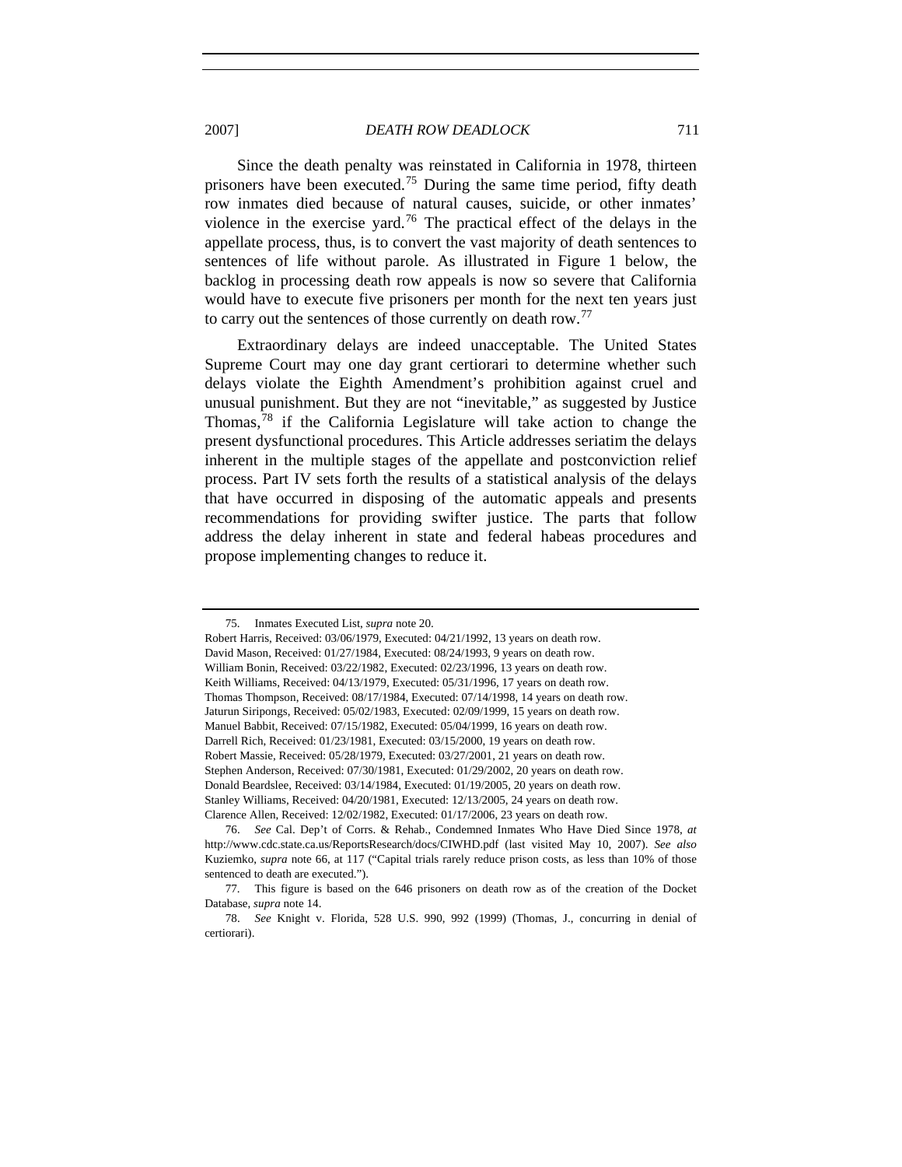2007] *DEATH ROW DEADLOCK* 711

Since the death penalty was reinstated in California in 1978, thirteen prisoners have been executed.<sup>[75](#page-14-0)</sup> During the same time period, fifty death row inmates died because of natural causes, suicide, or other inmates' violence in the exercise yard.<sup>[76](#page-14-1)</sup> The practical effect of the delays in the appellate process, thus, is to convert the vast majority of death sentences to sentences of life without parole. As illustrated in Figure 1 below, the backlog in processing death row appeals is now so severe that California would have to execute five prisoners per month for the next ten years just to carry out the sentences of those currently on death row.[77](#page-14-2)

Extraordinary delays are indeed unacceptable. The United States Supreme Court may one day grant certiorari to determine whether such delays violate the Eighth Amendment's prohibition against cruel and unusual punishment. But they are not "inevitable," as suggested by Justice Thomas,<sup>[78](#page-14-3)</sup> if the California Legislature will take action to change the present dysfunctional procedures. This Article addresses seriatim the delays inherent in the multiple stages of the appellate and postconviction relief process. Part IV sets forth the results of a statistical analysis of the delays that have occurred in disposing of the automatic appeals and presents recommendations for providing swifter justice. The parts that follow address the delay inherent in state and federal habeas procedures and propose implementing changes to reduce it.

 <sup>75.</sup> Inmates Executed List, *supra* note 20.

<span id="page-14-0"></span>Robert Harris, Received: 03/06/1979, Executed: 04/21/1992, 13 years on death row. David Mason, Received: 01/27/1984, Executed: 08/24/1993, 9 years on death row. William Bonin, Received: 03/22/1982, Executed: 02/23/1996, 13 years on death row. Keith Williams, Received: 04/13/1979, Executed: 05/31/1996, 17 years on death row. Thomas Thompson, Received: 08/17/1984, Executed: 07/14/1998, 14 years on death row. Jaturun Siripongs, Received: 05/02/1983, Executed: 02/09/1999, 15 years on death row. Manuel Babbit, Received: 07/15/1982, Executed: 05/04/1999, 16 years on death row. Darrell Rich, Received: 01/23/1981, Executed: 03/15/2000, 19 years on death row. Robert Massie, Received: 05/28/1979, Executed: 03/27/2001, 21 years on death row. Stephen Anderson, Received: 07/30/1981, Executed: 01/29/2002, 20 years on death row. Donald Beardslee, Received: 03/14/1984, Executed: 01/19/2005, 20 years on death row. Stanley Williams, Received: 04/20/1981, Executed: 12/13/2005, 24 years on death row. Clarence Allen, Received: 12/02/1982, Executed: 01/17/2006, 23 years on death row.

<span id="page-14-1"></span> <sup>76.</sup> *See* Cal. Dep't of Corrs. & Rehab., Condemned Inmates Who Have Died Since 1978, *at*  http://www.cdc.state.ca.us/ReportsResearch/docs/CIWHD.pdf (last visited May 10, 2007). *See also*  Kuziemko, *supra* note 66, at 117 ("Capital trials rarely reduce prison costs, as less than 10% of those sentenced to death are executed.").

<span id="page-14-2"></span> <sup>77.</sup> This figure is based on the 646 prisoners on death row as of the creation of the Docket Database, *supra* note 14.

<span id="page-14-3"></span> <sup>78.</sup> *See* Knight v. Florida, 528 U.S. 990, 992 (1999) (Thomas, J., concurring in denial of certiorari).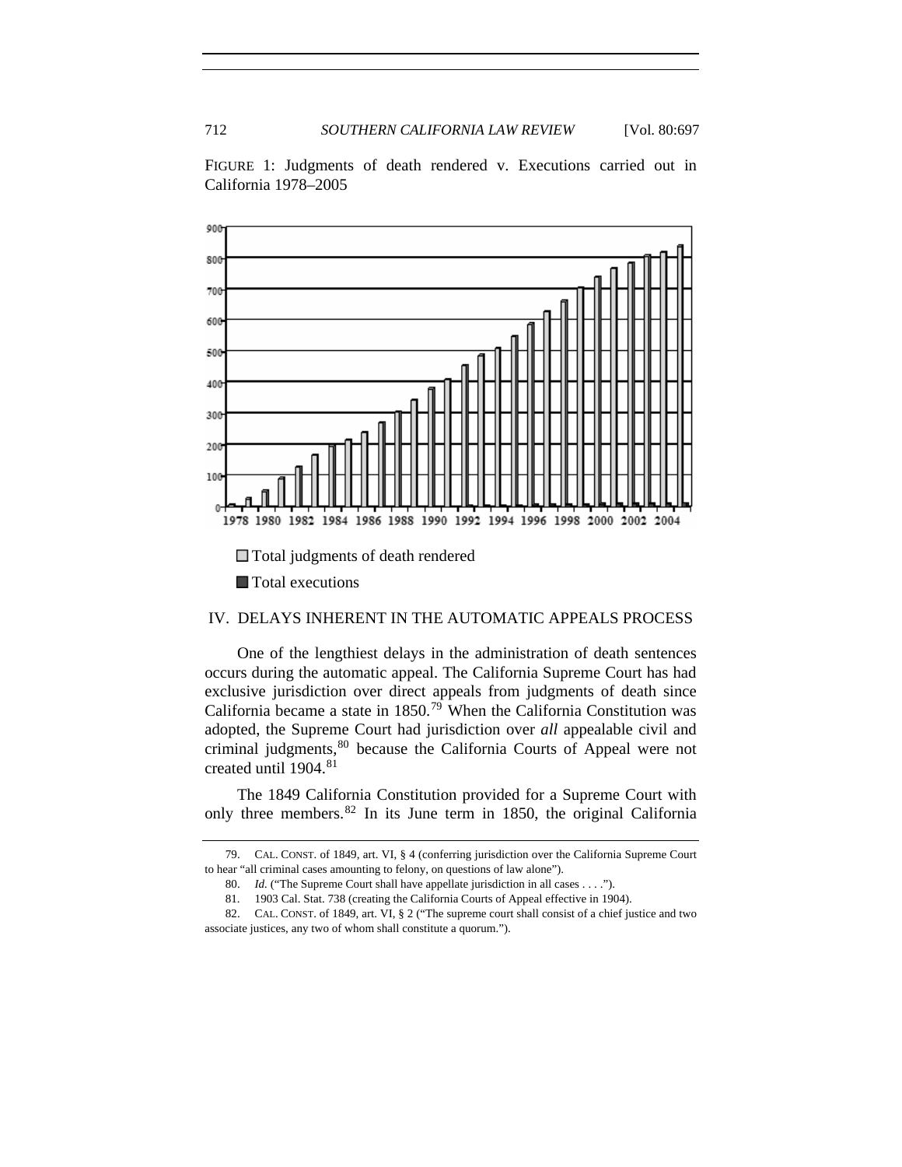FIGURE 1: Judgments of death rendered v. Executions carried out in California 1978–2005



## IV. DELAYS INHERENT IN THE AUTOMATIC APPEALS PROCESS

One of the lengthiest delays in the administration of death sentences occurs during the automatic appeal. The California Supreme Court has had exclusive jurisdiction over direct appeals from judgments of death since California became a state in  $1850$ .<sup>[79](#page-15-0)</sup> When the California Constitution was adopted, the Supreme Court had jurisdiction over *all* appealable civil and criminal judgments,<sup>[80](#page-15-1)</sup> because the California Courts of Appeal were not created until 1904.<sup>[81](#page-15-2)</sup>

The 1849 California Constitution provided for a Supreme Court with only three members.[82](#page-15-3) In its June term in 1850, the original California

<span id="page-15-0"></span> <sup>79.</sup> CAL. CONST. of 1849, art. VI, § 4 (conferring jurisdiction over the California Supreme Court to hear "all criminal cases amounting to felony, on questions of law alone").

 <sup>80.</sup> *Id.* ("The Supreme Court shall have appellate jurisdiction in all cases . . . .").

 <sup>81. 1903</sup> Cal. Stat. 738 (creating the California Courts of Appeal effective in 1904).

<span id="page-15-3"></span><span id="page-15-2"></span><span id="page-15-1"></span> <sup>82.</sup> CAL. CONST. of 1849, art. VI, § 2 ("The supreme court shall consist of a chief justice and two associate justices, any two of whom shall constitute a quorum.").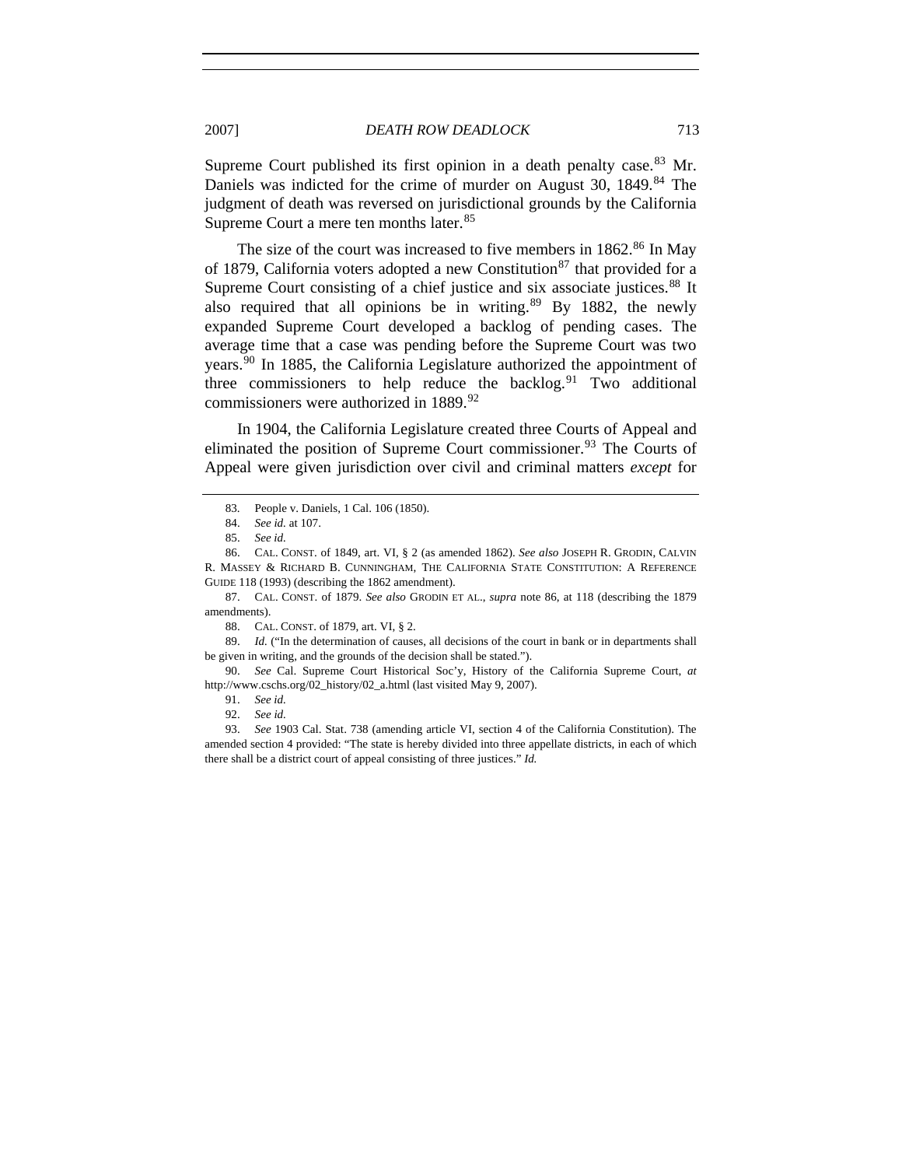Supreme Court published its first opinion in a death penalty case.  $83$  Mr. Daniels was indicted for the crime of murder on August 30, 1[84](#page-16-1)9.<sup>84</sup> The judgment of death was reversed on jurisdictional grounds by the California Supreme Court a mere ten months later.<sup>[85](#page-16-2)</sup>

The size of the court was increased to five members in  $1862$  $1862$  $1862$ .<sup>86</sup> In May of 1[87](#page-16-4)9, California voters adopted a new Constitution<sup>87</sup> that provided for a Supreme Court consisting of a chief justice and six associate justices.<sup>[88](#page-16-5)</sup> It also required that all opinions be in writing. $89$  By 1882, the newly expanded Supreme Court developed a backlog of pending cases. The average time that a case was pending before the Supreme Court was two years.<sup>[90](#page-16-7)</sup> In 1885, the California Legislature authorized the appointment of three commissioners to help reduce the backlog.<sup>[91](#page-16-8)</sup> Two additional commissioners were authorized in 1889.<sup>[92](#page-16-9)</sup>

In 1904, the California Legislature created three Courts of Appeal and eliminated the position of Supreme Court commissioner.<sup>[93](#page-16-10)</sup> The Courts of Appeal were given jurisdiction over civil and criminal matters *except* for

<span id="page-16-6"></span><span id="page-16-5"></span> 89. *Id.* ("In the determination of causes, all decisions of the court in bank or in departments shall be given in writing, and the grounds of the decision shall be stated.").

<span id="page-16-8"></span><span id="page-16-7"></span> 90. *See* Cal. Supreme Court Historical Soc'y, History of the California Supreme Court, *at*  http://www.cschs.org/02\_history/02\_a.html (last visited May 9, 2007).

 <sup>83.</sup> People v. Daniels, 1 Cal. 106 (1850).

 <sup>84.</sup> *See id.* at 107.

 <sup>85.</sup> *See id.* 

<span id="page-16-3"></span><span id="page-16-2"></span><span id="page-16-1"></span><span id="page-16-0"></span> <sup>86.</sup> CAL. CONST. of 1849, art. VI, § 2 (as amended 1862). *See also* JOSEPH R. GRODIN, CALVIN R. MASSEY & RICHARD B. CUNNINGHAM, THE CALIFORNIA STATE CONSTITUTION: A REFERENCE GUIDE 118 (1993) (describing the 1862 amendment).

<span id="page-16-4"></span> <sup>87.</sup> CAL. CONST. of 1879. *See also* GRODIN ET AL., *supra* note 86, at 118 (describing the 1879 amendments).

 <sup>88.</sup> CAL. CONST. of 1879, art. VI, § 2.

 <sup>91.</sup> *See id.* 

 <sup>92.</sup> *See id.*

<span id="page-16-10"></span><span id="page-16-9"></span> <sup>93.</sup> *See* 1903 Cal. Stat. 738 (amending article VI, section 4 of the California Constitution). The amended section 4 provided: "The state is hereby divided into three appellate districts, in each of which there shall be a district court of appeal consisting of three justices." *Id.*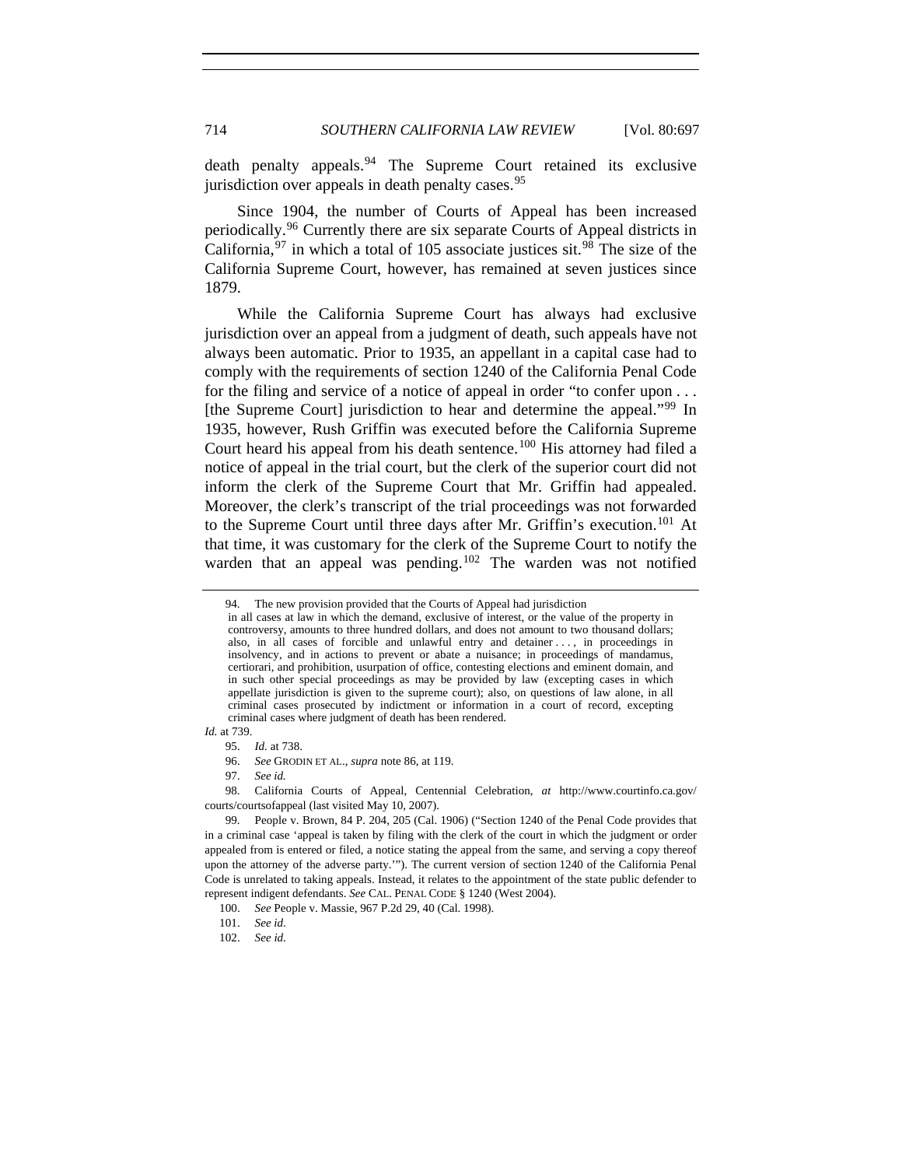death penalty appeals.<sup>[94](#page-17-0)</sup> The Supreme Court retained its exclusive jurisdiction over appeals in death penalty cases.<sup>[95](#page-17-1)</sup>

Since 1904, the number of Courts of Appeal has been increased periodically.[96](#page-17-2) Currently there are six separate Courts of Appeal districts in California,  $97$  in which a total of 105 associate justices sit.  $98$  The size of the California Supreme Court, however, has remained at seven justices since 1879.

While the California Supreme Court has always had exclusive jurisdiction over an appeal from a judgment of death, such appeals have not always been automatic. Prior to 1935, an appellant in a capital case had to comply with the requirements of section 1240 of the California Penal Code for the filing and service of a notice of appeal in order "to confer upon . . . [the Supreme Court] jurisdiction to hear and determine the appeal."[99](#page-17-5) In 1935, however, Rush Griffin was executed before the California Supreme Court heard his appeal from his death sentence.<sup>[100](#page-17-6)</sup> His attorney had filed a notice of appeal in the trial court, but the clerk of the superior court did not inform the clerk of the Supreme Court that Mr. Griffin had appealed. Moreover, the clerk's transcript of the trial proceedings was not forwarded to the Supreme Court until three days after Mr. Griffin's execution.<sup>[101](#page-17-7)</sup> At that time, it was customary for the clerk of the Supreme Court to notify the warden that an appeal was pending.<sup>[102](#page-17-8)</sup> The warden was not notified

<span id="page-17-2"></span><span id="page-17-1"></span>*Id.* at 739.

<span id="page-17-0"></span> <sup>94.</sup> The new provision provided that the Courts of Appeal had jurisdiction

in all cases at law in which the demand, exclusive of interest, or the value of the property in controversy, amounts to three hundred dollars, and does not amount to two thousand dollars; also, in all cases of forcible and unlawful entry and detainer . . . , in proceedings in insolvency, and in actions to prevent or abate a nuisance; in proceedings of mandamus, certiorari, and prohibition, usurpation of office, contesting elections and eminent domain, and in such other special proceedings as may be provided by law (excepting cases in which appellate jurisdiction is given to the supreme court); also, on questions of law alone, in all criminal cases prosecuted by indictment or information in a court of record, excepting criminal cases where judgment of death has been rendered.

 <sup>95.</sup> *Id.* at 738.

 <sup>96.</sup> *See* GRODIN ET AL., *supra* note 86, at 119.

 <sup>97.</sup> *See id.* 

<span id="page-17-3"></span> <sup>98.</sup> California Courts of Appeal, Centennial Celebration, *at* http://www.courtinfo.ca.gov/ courts/courtsofappeal (last visited May 10, 2007).

<span id="page-17-5"></span><span id="page-17-4"></span> <sup>99.</sup> People v. Brown, 84 P. 204, 205 (Cal. 1906) ("Section 1240 of the Penal Code provides that in a criminal case 'appeal is taken by filing with the clerk of the court in which the judgment or order appealed from is entered or filed, a notice stating the appeal from the same, and serving a copy thereof upon the attorney of the adverse party.'"). The current version of section 1240 of the California Penal Code is unrelated to taking appeals. Instead, it relates to the appointment of the state public defender to represent indigent defendants. *See* CAL. PENAL CODE § 1240 (West 2004).

<span id="page-17-6"></span> <sup>100.</sup> *See* People v. Massie, 967 P.2d 29, 40 (Cal. 1998).

 <sup>101.</sup> *See id.* 

<span id="page-17-8"></span><span id="page-17-7"></span> <sup>102.</sup> *See id.*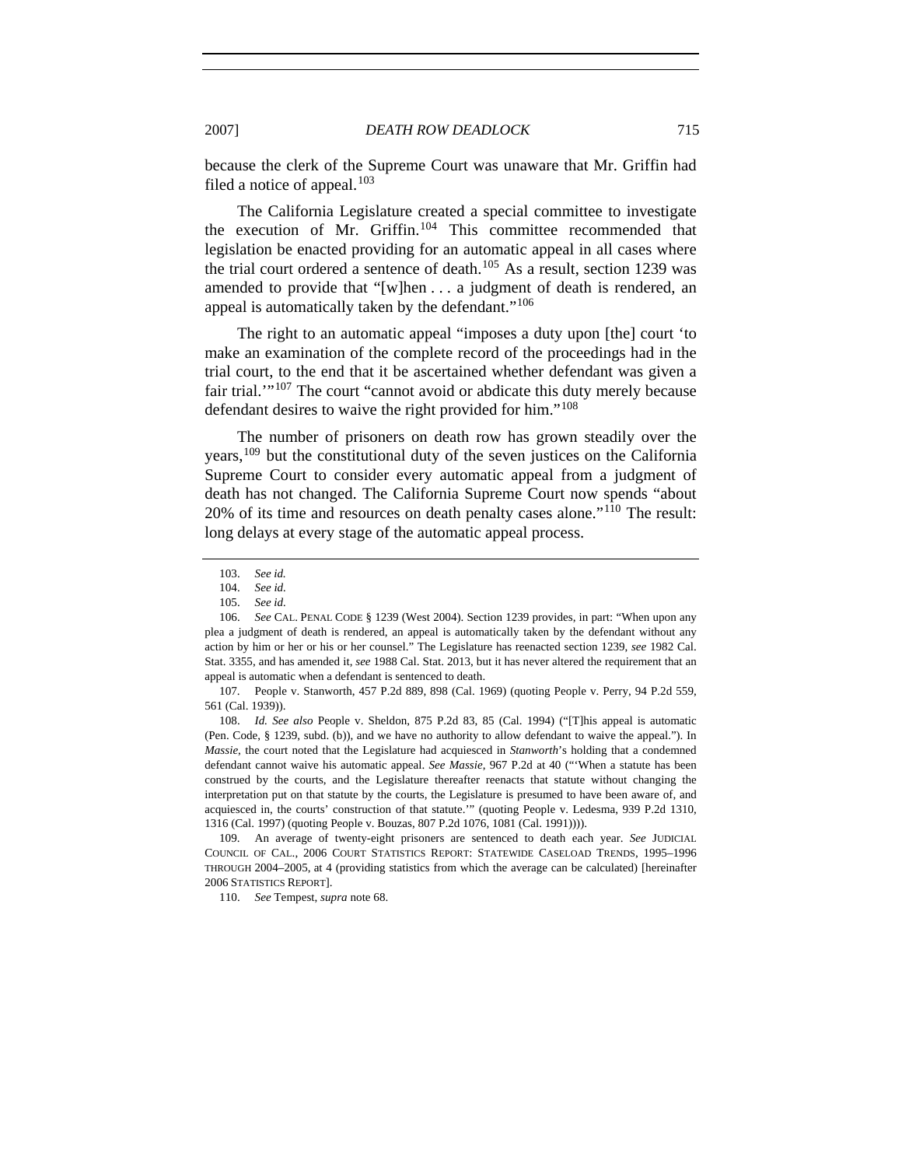because the clerk of the Supreme Court was unaware that Mr. Griffin had filed a notice of appeal.<sup>[103](#page-18-0)</sup>

The California Legislature created a special committee to investigate the execution of Mr. Griffin.[104](#page-18-1) This committee recommended that legislation be enacted providing for an automatic appeal in all cases where the trial court ordered a sentence of death.<sup>[105](#page-18-2)</sup> As a result, section 1239 was amended to provide that "[w]hen . . . a judgment of death is rendered, an appeal is automatically taken by the defendant."<sup>[106](#page-18-3)</sup>

The right to an automatic appeal "imposes a duty upon [the] court 'to make an examination of the complete record of the proceedings had in the trial court, to the end that it be ascertained whether defendant was given a fair trial.'"[107](#page-18-4) The court "cannot avoid or abdicate this duty merely because defendant desires to waive the right provided for him."[108](#page-18-5)

The number of prisoners on death row has grown steadily over the years,[109](#page-18-6) but the constitutional duty of the seven justices on the California Supreme Court to consider every automatic appeal from a judgment of death has not changed. The California Supreme Court now spends "about 20% of its time and resources on death penalty cases alone."[110](#page-18-7) The result: long delays at every stage of the automatic appeal process.

<span id="page-18-4"></span> 107. People v. Stanworth, 457 P.2d 889, 898 (Cal. 1969) (quoting People v. Perry, 94 P.2d 559, 561 (Cal. 1939)).

<span id="page-18-5"></span> 108. *Id. See also* People v. Sheldon, 875 P.2d 83, 85 (Cal. 1994) ("[T]his appeal is automatic (Pen. Code, § 1239, subd. (b)), and we have no authority to allow defendant to waive the appeal."). In *Massie*, the court noted that the Legislature had acquiesced in *Stanworth*'s holding that a condemned defendant cannot waive his automatic appeal. *See Massie*, 967 P.2d at 40 ("'When a statute has been construed by the courts, and the Legislature thereafter reenacts that statute without changing the interpretation put on that statute by the courts, the Legislature is presumed to have been aware of, and acquiesced in, the courts' construction of that statute.'" (quoting People v. Ledesma, 939 P.2d 1310, 1316 (Cal. 1997) (quoting People v. Bouzas, 807 P.2d 1076, 1081 (Cal. 1991)))).

<span id="page-18-7"></span><span id="page-18-6"></span> 109. An average of twenty-eight prisoners are sentenced to death each year. *See* JUDICIAL COUNCIL OF CAL., 2006 COURT STATISTICS REPORT: STATEWIDE CASELOAD TRENDS, 1995–1996 THROUGH 2004–2005, at 4 (providing statistics from which the average can be calculated) [hereinafter 2006 STATISTICS REPORT].

110. *See* Tempest, *supra* note 68.

 <sup>103.</sup> *See id.* 

 <sup>104.</sup> *See id.*

 <sup>105.</sup> *See id.* 

<span id="page-18-3"></span><span id="page-18-2"></span><span id="page-18-1"></span><span id="page-18-0"></span> <sup>106.</sup> *See* CAL. PENAL CODE § 1239 (West 2004). Section 1239 provides, in part: "When upon any plea a judgment of death is rendered, an appeal is automatically taken by the defendant without any action by him or her or his or her counsel." The Legislature has reenacted section 1239, *see* 1982 Cal. Stat. 3355, and has amended it, *see* 1988 Cal. Stat. 2013, but it has never altered the requirement that an appeal is automatic when a defendant is sentenced to death.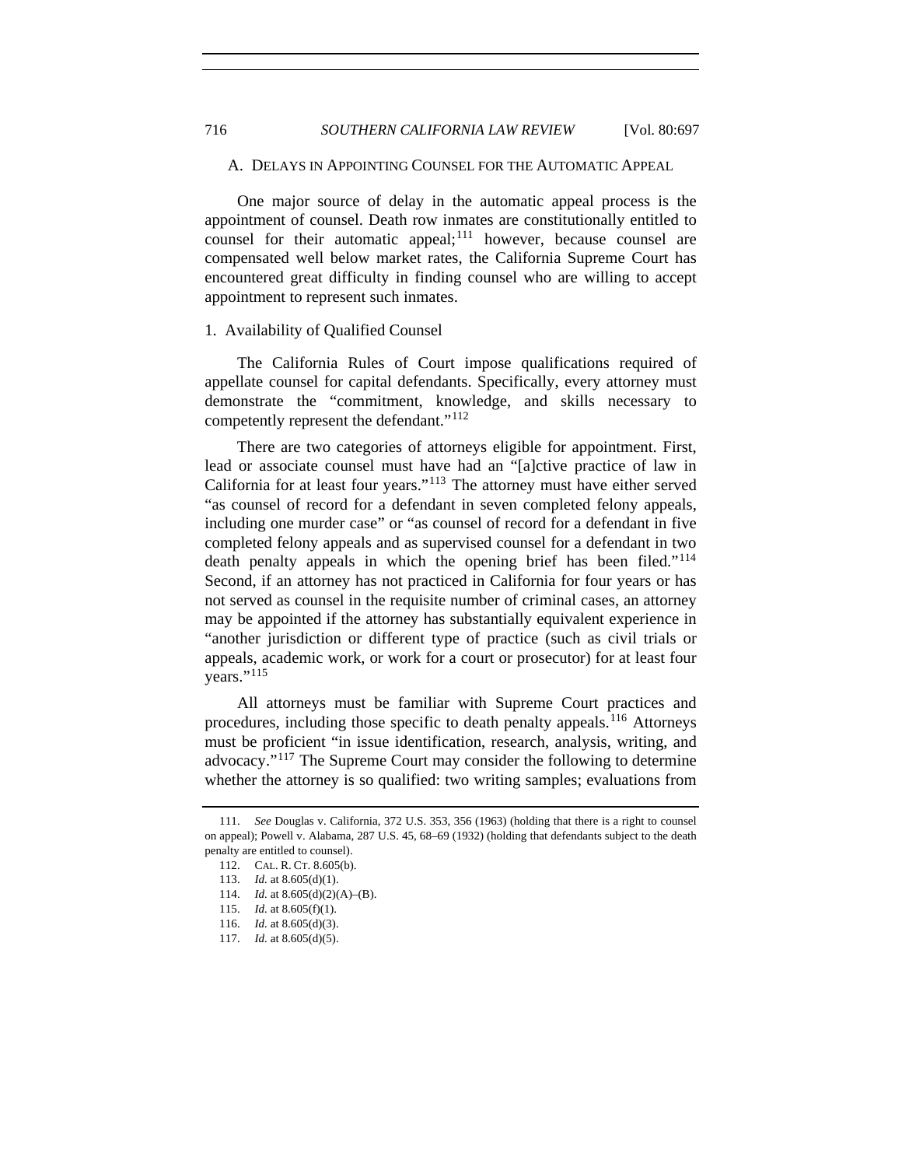A. DELAYS IN APPOINTING COUNSEL FOR THE AUTOMATIC APPEAL

One major source of delay in the automatic appeal process is the appointment of counsel. Death row inmates are constitutionally entitled to counsel for their automatic appeal; $111$  however, because counsel are compensated well below market rates, the California Supreme Court has encountered great difficulty in finding counsel who are willing to accept appointment to represent such inmates.

#### 1. Availability of Qualified Counsel

The California Rules of Court impose qualifications required of appellate counsel for capital defendants. Specifically, every attorney must demonstrate the "commitment, knowledge, and skills necessary to competently represent the defendant."[112](#page-19-1)

There are two categories of attorneys eligible for appointment. First, lead or associate counsel must have had an "[a]ctive practice of law in California for at least four years."[113](#page-19-2) The attorney must have either served "as counsel of record for a defendant in seven completed felony appeals, including one murder case" or "as counsel of record for a defendant in five completed felony appeals and as supervised counsel for a defendant in two death penalty appeals in which the opening brief has been filed."<sup>[114](#page-19-3)</sup> Second, if an attorney has not practiced in California for four years or has not served as counsel in the requisite number of criminal cases, an attorney may be appointed if the attorney has substantially equivalent experience in "another jurisdiction or different type of practice (such as civil trials or appeals, academic work, or work for a court or prosecutor) for at least four vears."<sup>[115](#page-19-4)</sup>

All attorneys must be familiar with Supreme Court practices and procedures, including those specific to death penalty appeals.<sup>[116](#page-19-5)</sup> Attorneys must be proficient "in issue identification, research, analysis, writing, and advocacy."[117](#page-19-6) The Supreme Court may consider the following to determine whether the attorney is so qualified: two writing samples; evaluations from

<span id="page-19-3"></span><span id="page-19-2"></span><span id="page-19-1"></span><span id="page-19-0"></span> <sup>111.</sup> *See* Douglas v. California, 372 U.S. 353, 356 (1963) (holding that there is a right to counsel on appeal); Powell v. Alabama, 287 U.S. 45, 68–69 (1932) (holding that defendants subject to the death penalty are entitled to counsel).

 <sup>112.</sup> CAL. R. CT. 8.605(b).

 <sup>113.</sup> *Id.* at 8.605(d)(1).

 <sup>114.</sup> *Id.* at 8.605(d)(2)(A)–(B).

<span id="page-19-4"></span><sup>115.</sup> *Id.* at  $8.605(f)(1)$ .

<span id="page-19-5"></span> <sup>116.</sup> *Id.* at 8.605(d)(3).

<span id="page-19-6"></span> <sup>117.</sup> *Id.* at 8.605(d)(5).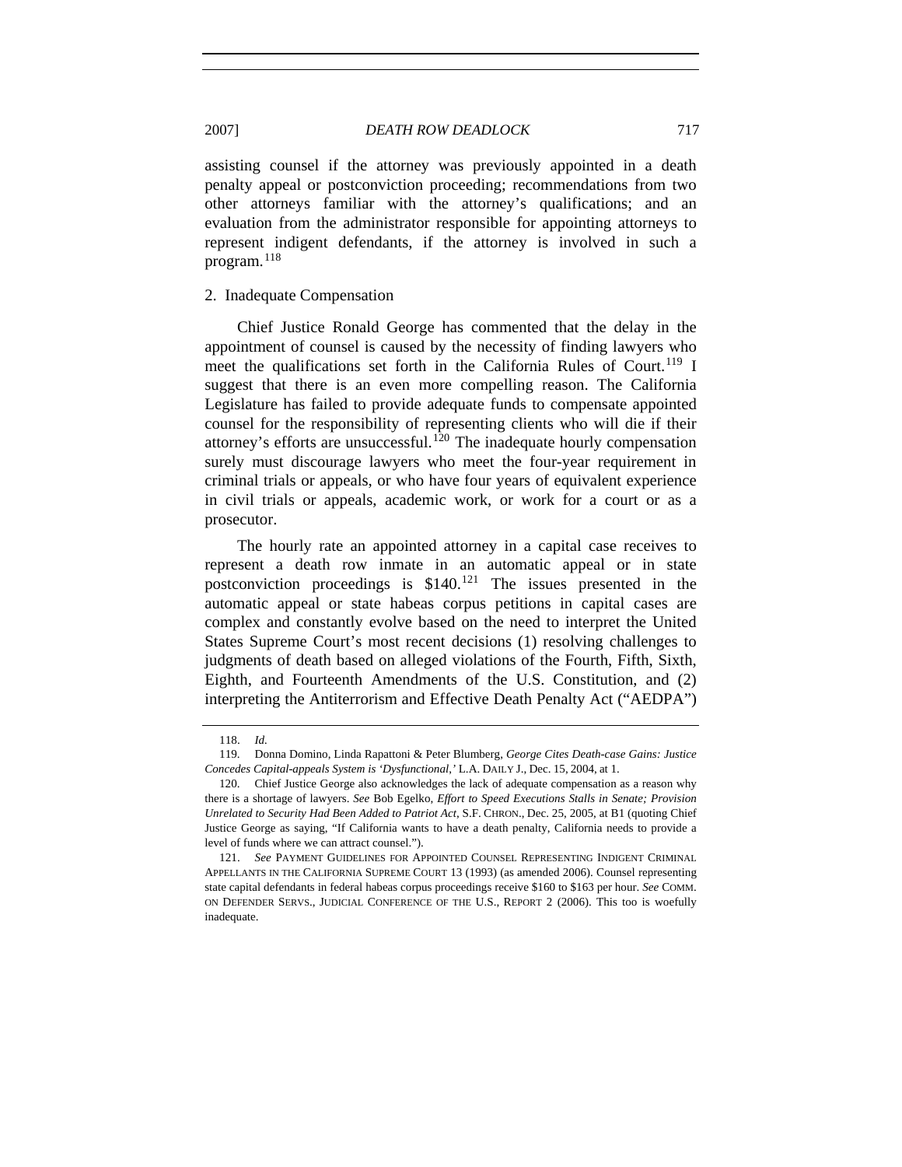#### 2007] *DEATH ROW DEADLOCK* 717

assisting counsel if the attorney was previously appointed in a death penalty appeal or postconviction proceeding; recommendations from two other attorneys familiar with the attorney's qualifications; and an evaluation from the administrator responsible for appointing attorneys to represent indigent defendants, if the attorney is involved in such a program. $118$ 

#### 2. Inadequate Compensation

Chief Justice Ronald George has commented that the delay in the appointment of counsel is caused by the necessity of finding lawyers who meet the qualifications set forth in the California Rules of Court.<sup>[119](#page-20-1)</sup> I suggest that there is an even more compelling reason. The California Legislature has failed to provide adequate funds to compensate appointed counsel for the responsibility of representing clients who will die if their attorney's efforts are unsuccessful.<sup>[120](#page-20-2)</sup> The inadequate hourly compensation surely must discourage lawyers who meet the four-year requirement in criminal trials or appeals, or who have four years of equivalent experience in civil trials or appeals, academic work, or work for a court or as a prosecutor.

The hourly rate an appointed attorney in a capital case receives to represent a death row inmate in an automatic appeal or in state postconviction proceedings is \$140.<sup>[121](#page-20-3)</sup> The issues presented in the automatic appeal or state habeas corpus petitions in capital cases are complex and constantly evolve based on the need to interpret the United States Supreme Court's most recent decisions (1) resolving challenges to judgments of death based on alleged violations of the Fourth, Fifth, Sixth, Eighth, and Fourteenth Amendments of the U.S. Constitution, and (2) interpreting the Antiterrorism and Effective Death Penalty Act ("AEDPA")

 <sup>118.</sup> *Id.*

<span id="page-20-1"></span><span id="page-20-0"></span> <sup>119.</sup> Donna Domino, Linda Rapattoni & Peter Blumberg, *George Cites Death-case Gains: Justice Concedes Capital-appeals System is 'Dysfunctional*,*'* L.A. DAILY J., Dec. 15, 2004, at 1.

<span id="page-20-2"></span> <sup>120.</sup> Chief Justice George also acknowledges the lack of adequate compensation as a reason why there is a shortage of lawyers. *See* Bob Egelko, *Effort to Speed Executions Stalls in Senate; Provision Unrelated to Security Had Been Added to Patriot Act*, S.F. CHRON., Dec. 25, 2005, at B1 (quoting Chief Justice George as saying, "If California wants to have a death penalty, California needs to provide a level of funds where we can attract counsel.").

<span id="page-20-3"></span> <sup>121.</sup> *See* PAYMENT GUIDELINES FOR APPOINTED COUNSEL REPRESENTING INDIGENT CRIMINAL APPELLANTS IN THE CALIFORNIA SUPREME COURT 13 (1993) (as amended 2006). Counsel representing state capital defendants in federal habeas corpus proceedings receive \$160 to \$163 per hour. *See* COMM. ON DEFENDER SERVS., JUDICIAL CONFERENCE OF THE U.S., REPORT 2 (2006). This too is woefully inadequate.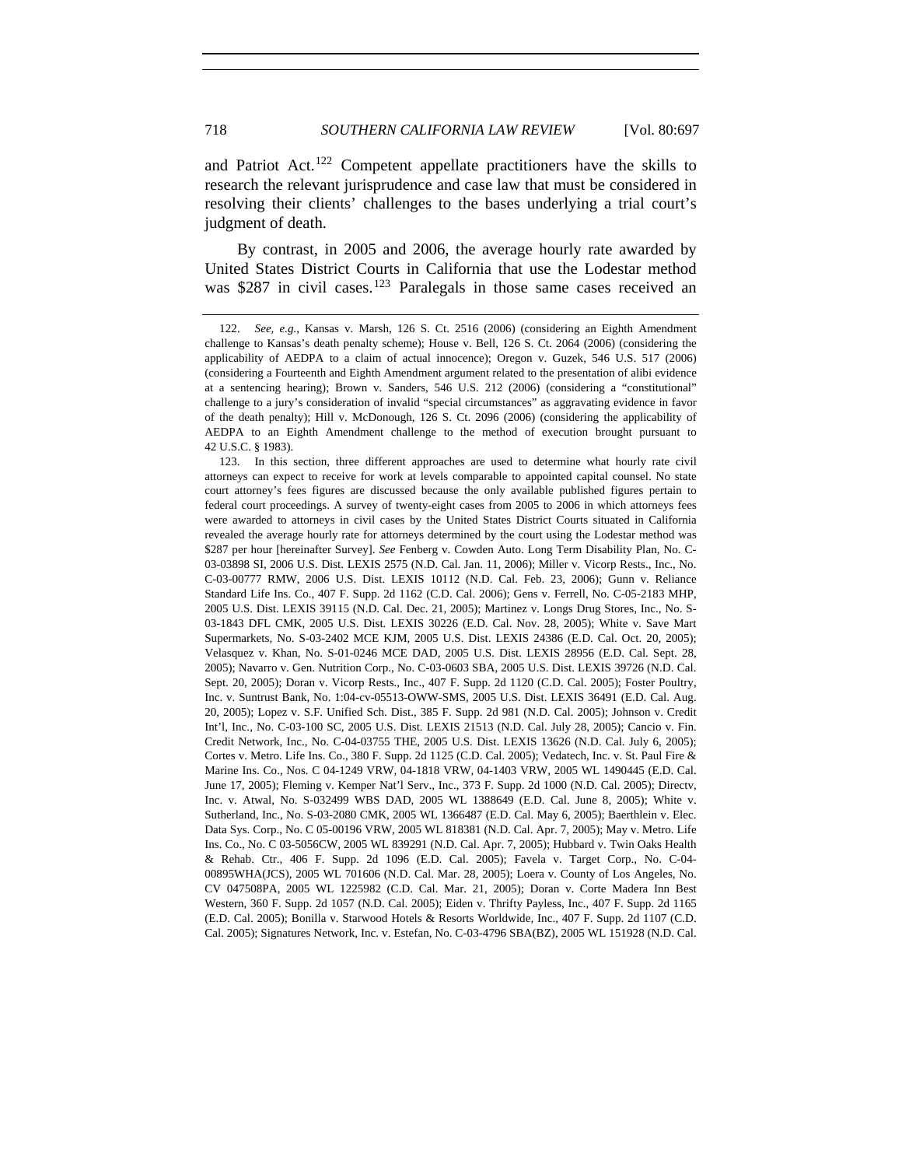and Patriot Act.<sup>[122](#page-21-0)</sup> Competent appellate practitioners have the skills to research the relevant jurisprudence and case law that must be considered in resolving their clients' challenges to the bases underlying a trial court's judgment of death.

By contrast, in 2005 and 2006, the average hourly rate awarded by United States District Courts in California that use the Lodestar method was \$287 in civil cases.<sup>[123](#page-21-1)</sup> Paralegals in those same cases received an

<span id="page-21-1"></span> 123. In this section, three different approaches are used to determine what hourly rate civil attorneys can expect to receive for work at levels comparable to appointed capital counsel. No state court attorney's fees figures are discussed because the only available published figures pertain to federal court proceedings. A survey of twenty-eight cases from 2005 to 2006 in which attorneys fees were awarded to attorneys in civil cases by the United States District Courts situated in California revealed the average hourly rate for attorneys determined by the court using the Lodestar method was \$287 per hour [hereinafter Survey]. *See* Fenberg v. Cowden Auto. Long Term Disability Plan, No. C-03-03898 SI, 2006 U.S. Dist. LEXIS 2575 (N.D. Cal. Jan. 11, 2006); Miller v. Vicorp Rests., Inc., No. C-03-00777 RMW, 2006 U.S. Dist. LEXIS 10112 (N.D. Cal. Feb. 23, 2006); Gunn v. Reliance Standard Life Ins. Co., 407 F. Supp. 2d 1162 (C.D. Cal. 2006); Gens v. Ferrell, No. C-05-2183 MHP, 2005 U.S. Dist. LEXIS 39115 (N.D. Cal. Dec. 21, 2005); Martinez v. Longs Drug Stores, Inc., No. S-03-1843 DFL CMK, 2005 U.S. Dist. LEXIS 30226 (E.D. Cal. Nov. 28, 2005); White v. Save Mart Supermarkets, No. S-03-2402 MCE KJM, 2005 U.S. Dist. LEXIS 24386 (E.D. Cal. Oct. 20, 2005); Velasquez v. Khan, No. S-01-0246 MCE DAD, 2005 U.S. Dist. LEXIS 28956 (E.D. Cal. Sept. 28, 2005); Navarro v. Gen. Nutrition Corp., No. C-03-0603 SBA, 2005 U.S. Dist. LEXIS 39726 (N.D. Cal. Sept. 20, 2005); Doran v. Vicorp Rests., Inc., 407 F. Supp. 2d 1120 (C.D. Cal. 2005); Foster Poultry, Inc. v. Suntrust Bank, No. 1:04-cv-05513-OWW-SMS, 2005 U.S. Dist. LEXIS 36491 (E.D. Cal. Aug. 20, 2005); Lopez v. S.F. Unified Sch. Dist., 385 F. Supp. 2d 981 (N.D. Cal. 2005); Johnson v. Credit Int'l, Inc., No. C-03-100 SC, 2005 U.S. Dist. LEXIS 21513 (N.D. Cal. July 28, 2005); Cancio v. Fin. Credit Network, Inc., No. C-04-03755 THE, 2005 U.S. Dist. LEXIS 13626 (N.D. Cal. July 6, 2005); Cortes v. Metro. Life Ins. Co., 380 F. Supp. 2d 1125 (C.D. Cal. 2005); Vedatech, Inc. v. St. Paul Fire & Marine Ins. Co., Nos. C 04-1249 VRW, 04-1818 VRW, 04-1403 VRW, 2005 WL 1490445 (E.D. Cal. June 17, 2005); Fleming v. Kemper Nat'l Serv., Inc., 373 F. Supp. 2d 1000 (N.D. Cal. 2005); Directv, Inc. v. Atwal, No. S-032499 WBS DAD, 2005 WL 1388649 (E.D. Cal. June 8, 2005); White v. Sutherland, Inc., No. S-03-2080 CMK, 2005 WL 1366487 (E.D. Cal. May 6, 2005); Baerthlein v. Elec. Data Sys. Corp., No. C 05-00196 VRW, 2005 WL 818381 (N.D. Cal. Apr. 7, 2005); May v. Metro. Life Ins. Co., No. C 03-5056CW, 2005 WL 839291 (N.D. Cal. Apr. 7, 2005); Hubbard v. Twin Oaks Health & Rehab. Ctr., 406 F. Supp. 2d 1096 (E.D. Cal. 2005); Favela v. Target Corp., No. C-04- 00895WHA(JCS), 2005 WL 701606 (N.D. Cal. Mar. 28, 2005); Loera v. County of Los Angeles, No. CV 047508PA, 2005 WL 1225982 (C.D. Cal. Mar. 21, 2005); Doran v. Corte Madera Inn Best Western, 360 F. Supp. 2d 1057 (N.D. Cal. 2005); Eiden v. Thrifty Payless, Inc., 407 F. Supp. 2d 1165 (E.D. Cal. 2005); Bonilla v. Starwood Hotels & Resorts Worldwide, Inc., 407 F. Supp. 2d 1107 (C.D. Cal. 2005); Signatures Network, Inc. v. Estefan, No. C-03-4796 SBA(BZ), 2005 WL 151928 (N.D. Cal.

<span id="page-21-0"></span> <sup>122.</sup> *See, e.g.*, Kansas v. Marsh, 126 S. Ct. 2516 (2006) (considering an Eighth Amendment challenge to Kansas's death penalty scheme); House v. Bell, 126 S. Ct. 2064 (2006) (considering the applicability of AEDPA to a claim of actual innocence); Oregon v. Guzek, 546 U.S. 517 (2006) (considering a Fourteenth and Eighth Amendment argument related to the presentation of alibi evidence at a sentencing hearing); Brown v. Sanders, 546 U.S. 212 (2006) (considering a "constitutional" challenge to a jury's consideration of invalid "special circumstances" as aggravating evidence in favor of the death penalty); Hill v. McDonough, 126 S. Ct. 2096 (2006) (considering the applicability of AEDPA to an Eighth Amendment challenge to the method of execution brought pursuant to 42 U.S.C. § 1983).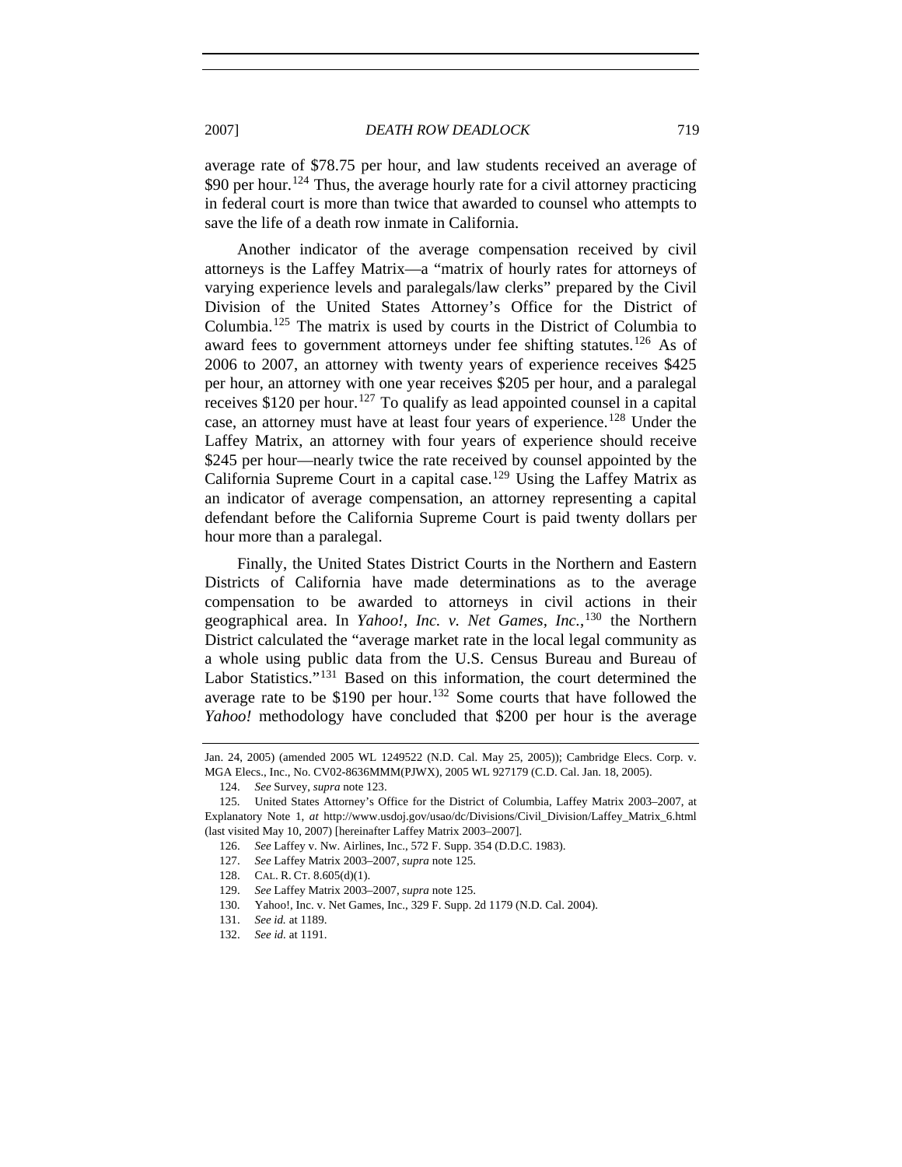2007] *DEATH ROW DEADLOCK* 719

average rate of \$78.75 per hour, and law students received an average of \$90 per hour.<sup>[124](#page-22-0)</sup> Thus, the average hourly rate for a civil attorney practicing in federal court is more than twice that awarded to counsel who attempts to save the life of a death row inmate in California.

Another indicator of the average compensation received by civil attorneys is the Laffey Matrix—a "matrix of hourly rates for attorneys of varying experience levels and paralegals/law clerks" prepared by the Civil Division of the United States Attorney's Office for the District of Columbia.[125](#page-22-1) The matrix is used by courts in the District of Columbia to award fees to government attorneys under fee shifting statutes.<sup>[126](#page-22-2)</sup> As of 2006 to 2007, an attorney with twenty years of experience receives \$425 per hour, an attorney with one year receives \$205 per hour, and a paralegal receives  $$120$  per hour.<sup>[127](#page-22-3)</sup> To qualify as lead appointed counsel in a capital case, an attorney must have at least four years of experience.<sup>[128](#page-22-4)</sup> Under the Laffey Matrix, an attorney with four years of experience should receive \$245 per hour—nearly twice the rate received by counsel appointed by the California Supreme Court in a capital case.<sup>[129](#page-22-5)</sup> Using the Laffey Matrix as an indicator of average compensation, an attorney representing a capital defendant before the California Supreme Court is paid twenty dollars per hour more than a paralegal.

Finally, the United States District Courts in the Northern and Eastern Districts of California have made determinations as to the average compensation to be awarded to attorneys in civil actions in their geographical area. In *Yahoo!, Inc. v. Net Games, Inc.*,<sup>[130](#page-22-6)</sup> the Northern District calculated the "average market rate in the local legal community as a whole using public data from the U.S. Census Bureau and Bureau of Labor Statistics."<sup>[131](#page-22-7)</sup> Based on this information, the court determined the average rate to be \$190 per hour.<sup>[132](#page-22-8)</sup> Some courts that have followed the *Yahoo!* methodology have concluded that \$200 per hour is the average

Jan. 24, 2005) (amended 2005 WL 1249522 (N.D. Cal. May 25, 2005)); Cambridge Elecs. Corp. v. MGA Elecs., Inc., No. CV02-8636MMM(PJWX), 2005 WL 927179 (C.D. Cal. Jan. 18, 2005).

 <sup>124.</sup> *See* Survey, *supra* note 123.

<span id="page-22-4"></span><span id="page-22-3"></span><span id="page-22-2"></span><span id="page-22-1"></span><span id="page-22-0"></span> <sup>125.</sup> United States Attorney's Office for the District of Columbia, Laffey Matrix 2003–2007, at Explanatory Note 1, *at* http://www.usdoj.gov/usao/dc/Divisions/Civil\_Division/Laffey\_Matrix\_6.html (last visited May 10, 2007) [hereinafter Laffey Matrix 2003–2007].

 <sup>126.</sup> *See* Laffey v. Nw. Airlines, Inc., 572 F. Supp. 354 (D.D.C. 1983).

 <sup>127.</sup> *See* Laffey Matrix 2003–2007, *supra* note 125.

<span id="page-22-5"></span> <sup>128.</sup> CAL. R. CT. 8.605(d)(1).

 <sup>129.</sup> *See* Laffey Matrix 2003–2007, *supra* note 125.

<span id="page-22-6"></span> <sup>130.</sup> Yahoo!, Inc. v. Net Games, Inc., 329 F. Supp. 2d 1179 (N.D. Cal. 2004).

 <sup>131.</sup> *See id.* at 1189.

<span id="page-22-8"></span><span id="page-22-7"></span> <sup>132.</sup> *See id.* at 1191.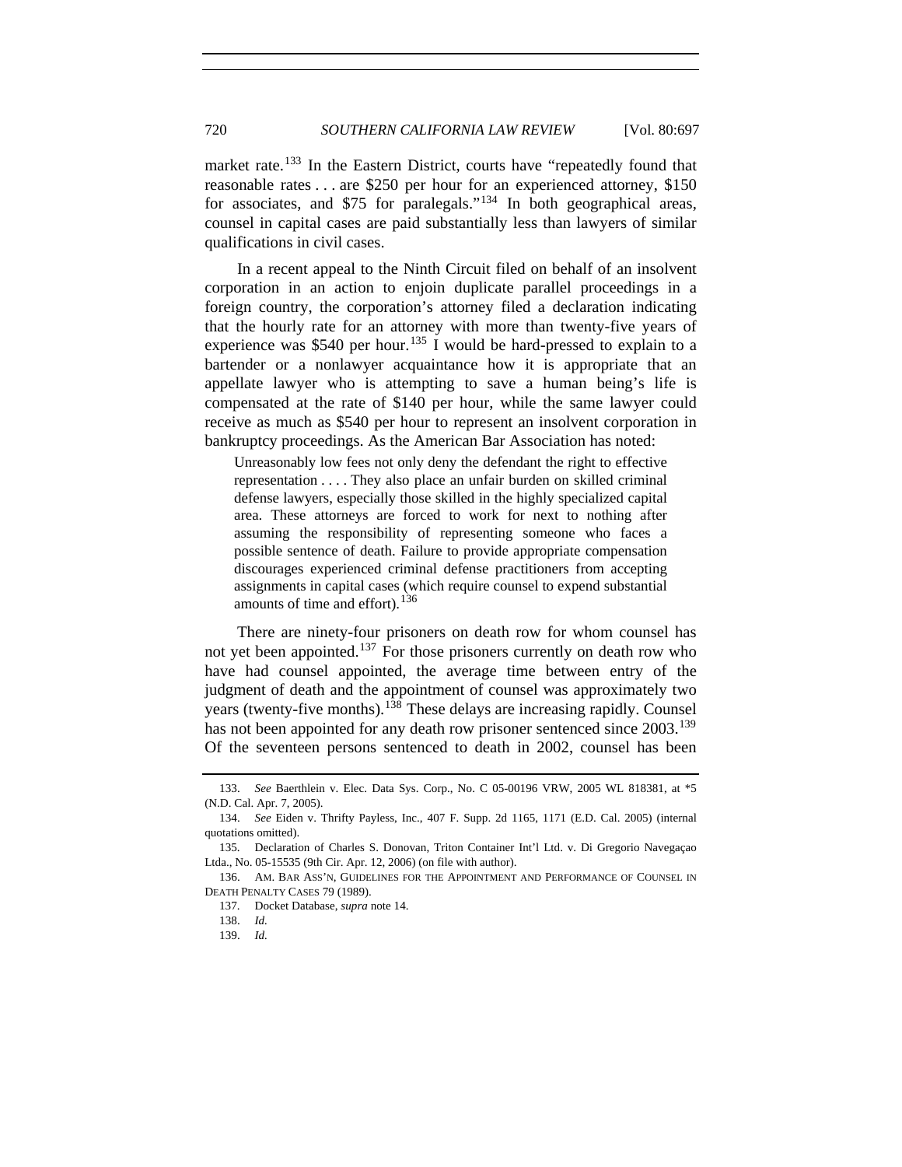market rate.<sup>[133](#page-23-0)</sup> In the Eastern District, courts have "repeatedly found that reasonable rates . . . are \$250 per hour for an experienced attorney, \$150 for associates, and \$75 for paralegals."[134](#page-23-1) In both geographical areas, counsel in capital cases are paid substantially less than lawyers of similar qualifications in civil cases.

In a recent appeal to the Ninth Circuit filed on behalf of an insolvent corporation in an action to enjoin duplicate parallel proceedings in a foreign country, the corporation's attorney filed a declaration indicating that the hourly rate for an attorney with more than twenty-five years of experience was \$540 per hour.<sup>[135](#page-23-2)</sup> I would be hard-pressed to explain to a bartender or a nonlawyer acquaintance how it is appropriate that an appellate lawyer who is attempting to save a human being's life is compensated at the rate of \$140 per hour, while the same lawyer could receive as much as \$540 per hour to represent an insolvent corporation in bankruptcy proceedings. As the American Bar Association has noted:

Unreasonably low fees not only deny the defendant the right to effective representation . . . . They also place an unfair burden on skilled criminal defense lawyers, especially those skilled in the highly specialized capital area. These attorneys are forced to work for next to nothing after assuming the responsibility of representing someone who faces a possible sentence of death. Failure to provide appropriate compensation discourages experienced criminal defense practitioners from accepting assignments in capital cases (which require counsel to expend substantial amounts of time and effort).  $136$ 

There are ninety-four prisoners on death row for whom counsel has not yet been appointed.<sup>[137](#page-23-4)</sup> For those prisoners currently on death row who have had counsel appointed, the average time between entry of the judgment of death and the appointment of counsel was approximately two years (twenty-five months).<sup>[138](#page-23-5)</sup> These delays are increasing rapidly. Counsel has not been appointed for any death row prisoner sentenced since 2003.<sup>[139](#page-23-6)</sup> Of the seventeen persons sentenced to death in 2002, counsel has been

<span id="page-23-0"></span> <sup>133.</sup> *See* Baerthlein v. Elec. Data Sys. Corp., No. C 05-00196 VRW, 2005 WL 818381, at \*5 (N.D. Cal. Apr. 7, 2005).

<span id="page-23-1"></span> <sup>134.</sup> *See* Eiden v. Thrifty Payless, Inc., 407 F. Supp. 2d 1165, 1171 (E.D. Cal. 2005) (internal quotations omitted).

<span id="page-23-2"></span> <sup>135.</sup> Declaration of Charles S. Donovan, Triton Container Int'l Ltd. v. Di Gregorio Navegaçao Ltda., No. 05-15535 (9th Cir. Apr. 12, 2006) (on file with author).

<span id="page-23-6"></span><span id="page-23-5"></span><span id="page-23-4"></span><span id="page-23-3"></span> <sup>136.</sup> AM. BAR ASS'N, GUIDELINES FOR THE APPOINTMENT AND PERFORMANCE OF COUNSEL IN DEATH PENALTY CASES 79 (1989).

 <sup>137.</sup> Docket Database, *supra* note 14.

 <sup>138.</sup> *Id.*

 <sup>139.</sup> *Id.*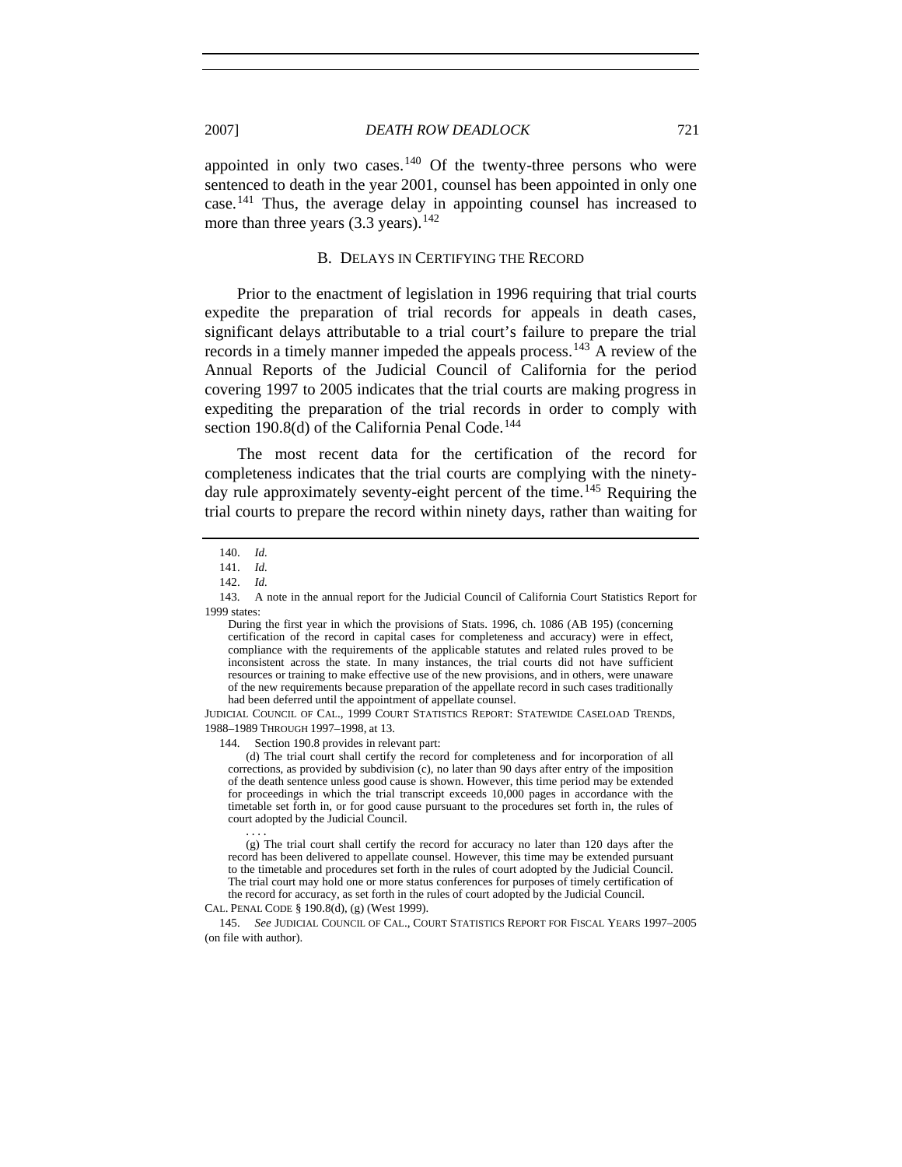appointed in only two cases.<sup>[140](#page-24-0)</sup> Of the twenty-three persons who were sentenced to death in the year 2001, counsel has been appointed in only one case.[141](#page-24-1) Thus, the average delay in appointing counsel has increased to more than three years  $(3.3 \text{ years})$ .<sup>[142](#page-24-2)</sup>

#### B. DELAYS IN CERTIFYING THE RECORD

Prior to the enactment of legislation in 1996 requiring that trial courts expedite the preparation of trial records for appeals in death cases, significant delays attributable to a trial court's failure to prepare the trial records in a timely manner impeded the appeals process.<sup>[143](#page-24-3)</sup> A review of the Annual Reports of the Judicial Council of California for the period covering 1997 to 2005 indicates that the trial courts are making progress in expediting the preparation of the trial records in order to comply with section 190.8(d) of the California Penal Code.<sup>[144](#page-24-4)</sup>

The most recent data for the certification of the record for completeness indicates that the trial courts are complying with the ninety-day rule approximately seventy-eight percent of the time.<sup>[145](#page-24-5)</sup> Requiring the trial courts to prepare the record within ninety days, rather than waiting for

<span id="page-24-4"></span>JUDICIAL COUNCIL OF CAL., 1999 COURT STATISTICS REPORT: STATEWIDE CASELOAD TRENDS, 1988–1989 THROUGH 1997–1998, at 13.

144. Section 190.8 provides in relevant part:

 (d) The trial court shall certify the record for completeness and for incorporation of all corrections, as provided by subdivision (c), no later than 90 days after entry of the imposition of the death sentence unless good cause is shown. However, this time period may be extended for proceedings in which the trial transcript exceeds 10,000 pages in accordance with the timetable set forth in, or for good cause pursuant to the procedures set forth in, the rules of court adopted by the Judicial Council.

 . . . . (g) The trial court shall certify the record for accuracy no later than 120 days after the record has been delivered to appellate counsel. However, this time may be extended pursuant to the timetable and procedures set forth in the rules of court adopted by the Judicial Council. The trial court may hold one or more status conferences for purposes of timely certification of the record for accuracy, as set forth in the rules of court adopted by the Judicial Council.

CAL. PENAL CODE § 190.8(d), (g) (West 1999).

<span id="page-24-5"></span> 145. *See* JUDICIAL COUNCIL OF CAL., COURT STATISTICS REPORT FOR FISCAL YEARS 1997–2005 (on file with author).

 <sup>140.</sup> *Id.*

 <sup>141.</sup> *Id.*

 <sup>142.</sup> *Id.*

<span id="page-24-3"></span><span id="page-24-2"></span><span id="page-24-1"></span><span id="page-24-0"></span> <sup>143.</sup> A note in the annual report for the Judicial Council of California Court Statistics Report for 1999 states:

During the first year in which the provisions of Stats. 1996, ch. 1086 (AB 195) (concerning certification of the record in capital cases for completeness and accuracy) were in effect, compliance with the requirements of the applicable statutes and related rules proved to be inconsistent across the state. In many instances, the trial courts did not have sufficient resources or training to make effective use of the new provisions, and in others, were unaware of the new requirements because preparation of the appellate record in such cases traditionally had been deferred until the appointment of appellate counsel.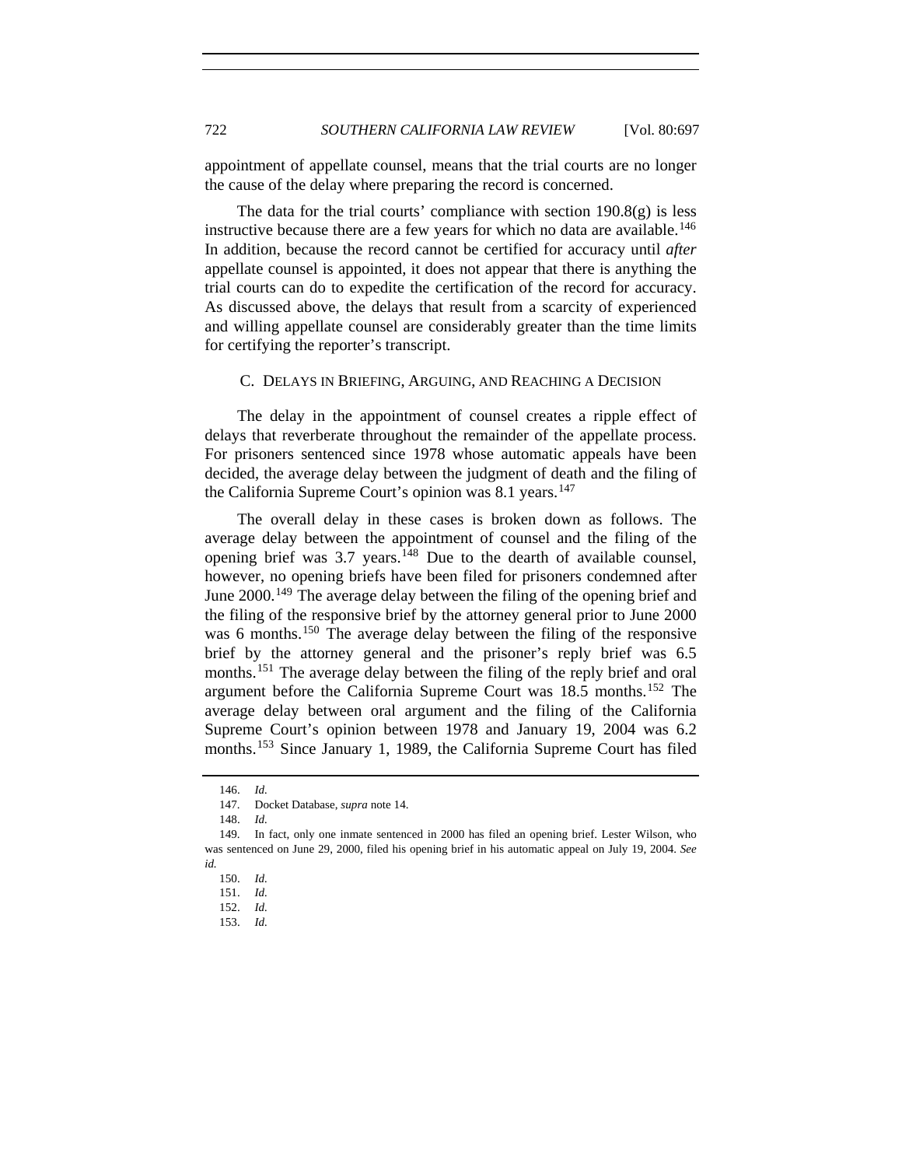appointment of appellate counsel, means that the trial courts are no longer the cause of the delay where preparing the record is concerned.

The data for the trial courts' compliance with section  $190.8(g)$  is less instructive because there are a few years for which no data are available.<sup>[146](#page-25-0)</sup> In addition, because the record cannot be certified for accuracy until *after* appellate counsel is appointed, it does not appear that there is anything the trial courts can do to expedite the certification of the record for accuracy. As discussed above, the delays that result from a scarcity of experienced and willing appellate counsel are considerably greater than the time limits for certifying the reporter's transcript.

#### C. DELAYS IN BRIEFING, ARGUING, AND REACHING A DECISION

The delay in the appointment of counsel creates a ripple effect of delays that reverberate throughout the remainder of the appellate process. For prisoners sentenced since 1978 whose automatic appeals have been decided, the average delay between the judgment of death and the filing of the California Supreme Court's opinion was 8.1 years.<sup>[147](#page-25-1)</sup>

The overall delay in these cases is broken down as follows. The average delay between the appointment of counsel and the filing of the opening brief was  $3.7$  years.<sup>[148](#page-25-2)</sup> Due to the dearth of available counsel, however, no opening briefs have been filed for prisoners condemned after June 2000.<sup>[149](#page-25-3)</sup> The average delay between the filing of the opening brief and the filing of the responsive brief by the attorney general prior to June 2000 was 6 months.<sup>[150](#page-25-4)</sup> The average delay between the filing of the responsive brief by the attorney general and the prisoner's reply brief was 6.5 months.<sup>[151](#page-25-5)</sup> The average delay between the filing of the reply brief and oral argument before the California Supreme Court was 18.5 months.<sup>[152](#page-25-6)</sup> The average delay between oral argument and the filing of the California Supreme Court's opinion between 1978 and January 19, 2004 was 6.2 months.<sup>[153](#page-25-7)</sup> Since January 1, 1989, the California Supreme Court has filed

 <sup>146.</sup> *Id.*

 <sup>147.</sup> Docket Database, *supra* note 14.

 <sup>148.</sup> *Id.* 

<span id="page-25-6"></span><span id="page-25-5"></span><span id="page-25-4"></span><span id="page-25-3"></span><span id="page-25-2"></span><span id="page-25-1"></span><span id="page-25-0"></span> <sup>149.</sup> In fact, only one inmate sentenced in 2000 has filed an opening brief. Lester Wilson, who was sentenced on June 29, 2000, filed his opening brief in his automatic appeal on July 19, 2004. *See id.*

 <sup>150.</sup> *Id.*

 <sup>151.</sup> *Id.*

<span id="page-25-7"></span> <sup>152.</sup> *Id.*

 <sup>153.</sup> *Id.*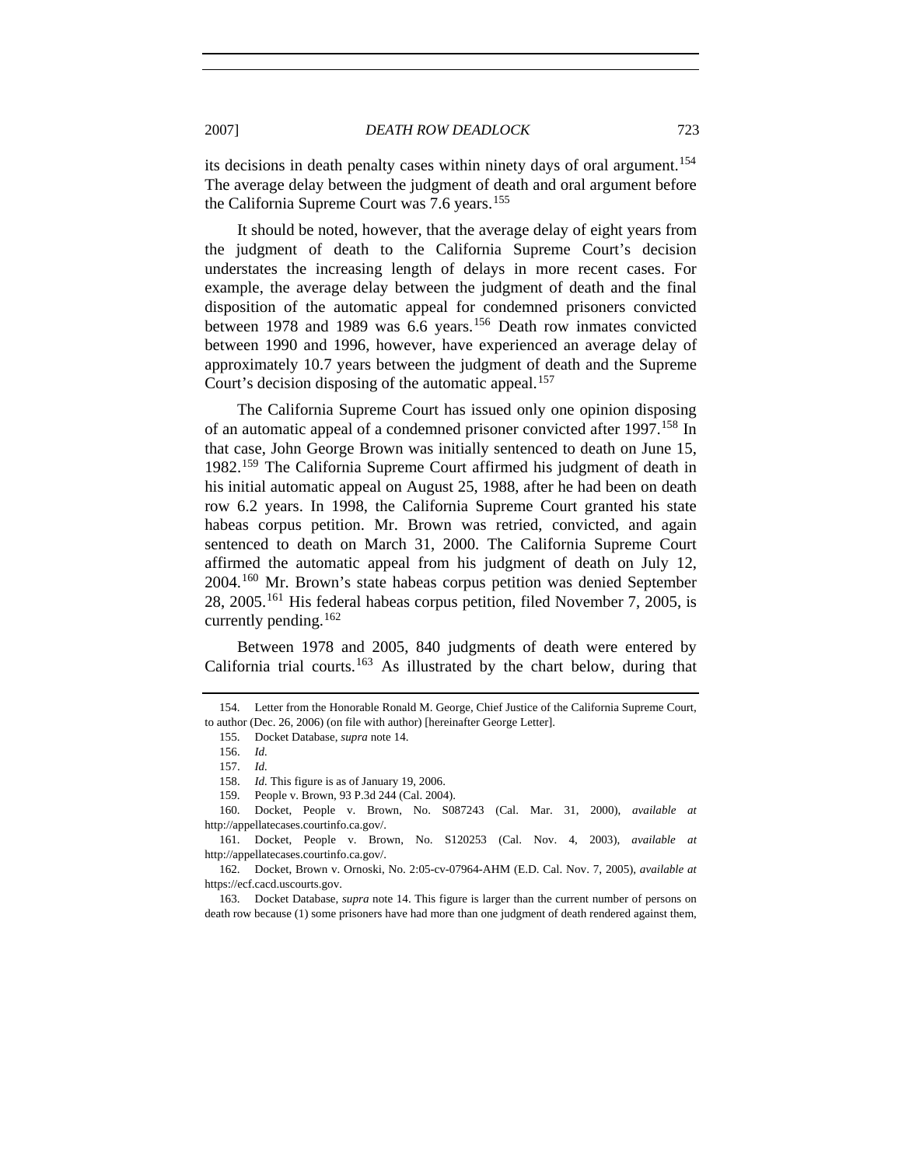its decisions in death penalty cases within ninety days of oral argument.<sup>[154](#page-26-0)</sup> The average delay between the judgment of death and oral argument before the California Supreme Court was 7.6 years.<sup>[155](#page-26-1)</sup>

It should be noted, however, that the average delay of eight years from the judgment of death to the California Supreme Court's decision understates the increasing length of delays in more recent cases. For example, the average delay between the judgment of death and the final disposition of the automatic appeal for condemned prisoners convicted between 1978 and 1989 was 6.6 years.<sup>[156](#page-26-2)</sup> Death row inmates convicted between 1990 and 1996, however, have experienced an average delay of approximately 10.7 years between the judgment of death and the Supreme Court's decision disposing of the automatic appeal.<sup>[157](#page-26-3)</sup>

The California Supreme Court has issued only one opinion disposing of an automatic appeal of a condemned prisoner convicted after 1997.<sup>[158](#page-26-4)</sup> In that case, John George Brown was initially sentenced to death on June 15, 1982.[159](#page-26-5) The California Supreme Court affirmed his judgment of death in his initial automatic appeal on August 25, 1988, after he had been on death row 6.2 years. In 1998, the California Supreme Court granted his state habeas corpus petition. Mr. Brown was retried, convicted, and again sentenced to death on March 31, 2000. The California Supreme Court affirmed the automatic appeal from his judgment of death on July 12, 2004.[160](#page-26-6) Mr. Brown's state habeas corpus petition was denied September 28, 2005.[161](#page-26-7) His federal habeas corpus petition, filed November 7, 2005, is currently pending.<sup>[162](#page-26-8)</sup>

Between 1978 and 2005, 840 judgments of death were entered by California trial courts.<sup>[163](#page-26-9)</sup> As illustrated by the chart below, during that

<span id="page-26-2"></span><span id="page-26-1"></span><span id="page-26-0"></span> <sup>154.</sup> Letter from the Honorable Ronald M. George, Chief Justice of the California Supreme Court, to author (Dec. 26, 2006) (on file with author) [hereinafter George Letter].

 <sup>155.</sup> Docket Database, *supra* note 14.

 <sup>156.</sup> *Id.*

 <sup>157.</sup> *Id.*

 <sup>158.</sup> *Id.* This figure is as of January 19, 2006.

 <sup>159.</sup> People v. Brown, 93 P.3d 244 (Cal. 2004).

<span id="page-26-6"></span><span id="page-26-5"></span><span id="page-26-4"></span><span id="page-26-3"></span> <sup>160.</sup> Docket, People v. Brown, No. S087243 (Cal. Mar. 31, 2000), *available at* http://appellatecases.courtinfo.ca.gov/.

<span id="page-26-7"></span> <sup>161.</sup> Docket, People v. Brown, No. S120253 (Cal. Nov. 4, 2003), *available at*  http://appellatecases.courtinfo.ca.gov/.

<span id="page-26-8"></span> <sup>162.</sup> Docket, Brown v. Ornoski, No. 2:05-cv-07964-AHM (E.D. Cal. Nov. 7, 2005), *available at*  https://ecf.cacd.uscourts.gov.

<span id="page-26-9"></span> <sup>163.</sup> Docket Database, *supra* note 14. This figure is larger than the current number of persons on death row because (1) some prisoners have had more than one judgment of death rendered against them,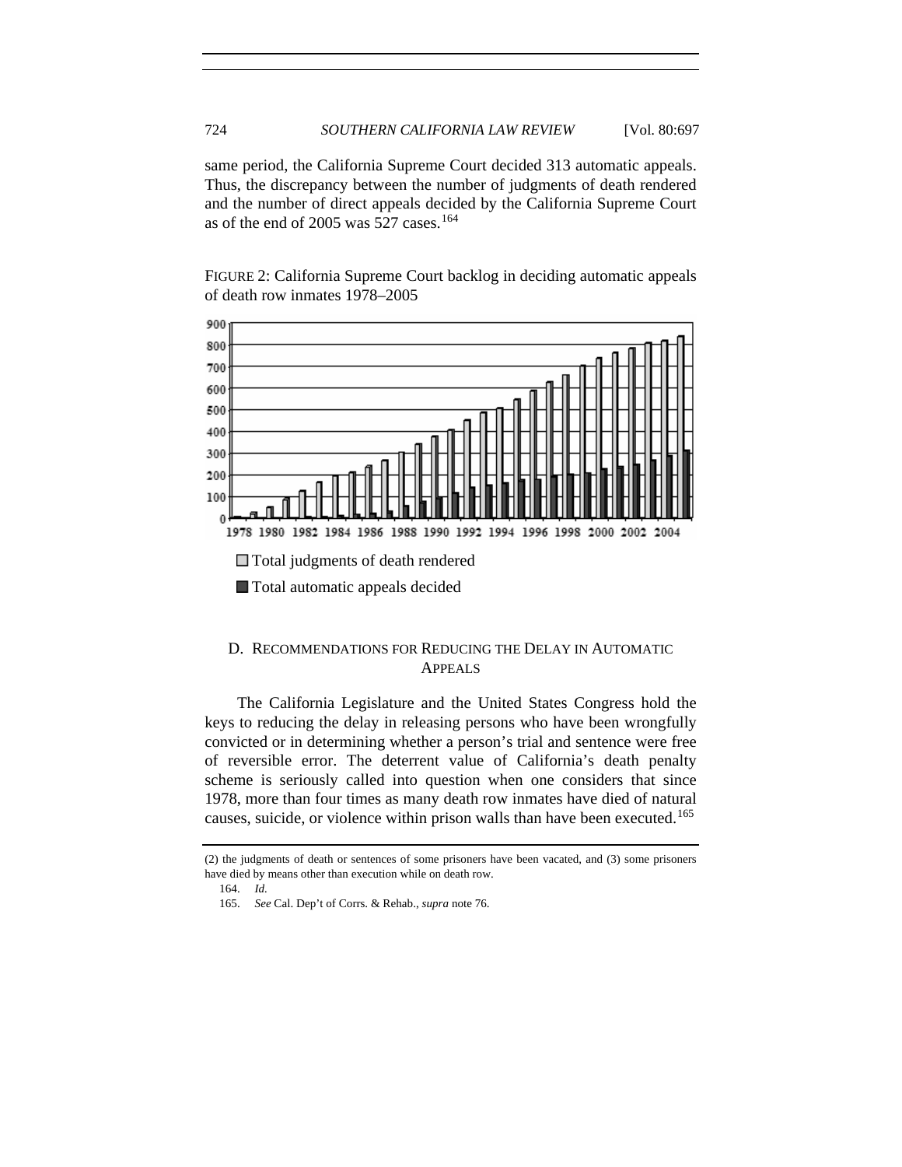same period, the California Supreme Court decided 313 automatic appeals. Thus, the discrepancy between the number of judgments of death rendered and the number of direct appeals decided by the California Supreme Court as of the end of 2005 was 527 cases.<sup>[164](#page-27-0)</sup>

FIGURE 2: California Supreme Court backlog in deciding automatic appeals of death row inmates 1978–2005



## D. RECOMMENDATIONS FOR REDUCING THE DELAY IN AUTOMATIC APPEALS

The California Legislature and the United States Congress hold the keys to reducing the delay in releasing persons who have been wrongfully convicted or in determining whether a person's trial and sentence were free of reversible error. The deterrent value of California's death penalty scheme is seriously called into question when one considers that since 1978, more than four times as many death row inmates have died of natural causes, suicide, or violence within prison walls than have been executed.<sup>[165](#page-27-1)</sup>

<span id="page-27-1"></span><span id="page-27-0"></span><sup>(2)</sup> the judgments of death or sentences of some prisoners have been vacated, and (3) some prisoners have died by means other than execution while on death row.

 <sup>164.</sup> *Id.*

 <sup>165.</sup> *See* Cal. Dep't of Corrs. & Rehab., *supra* note 76.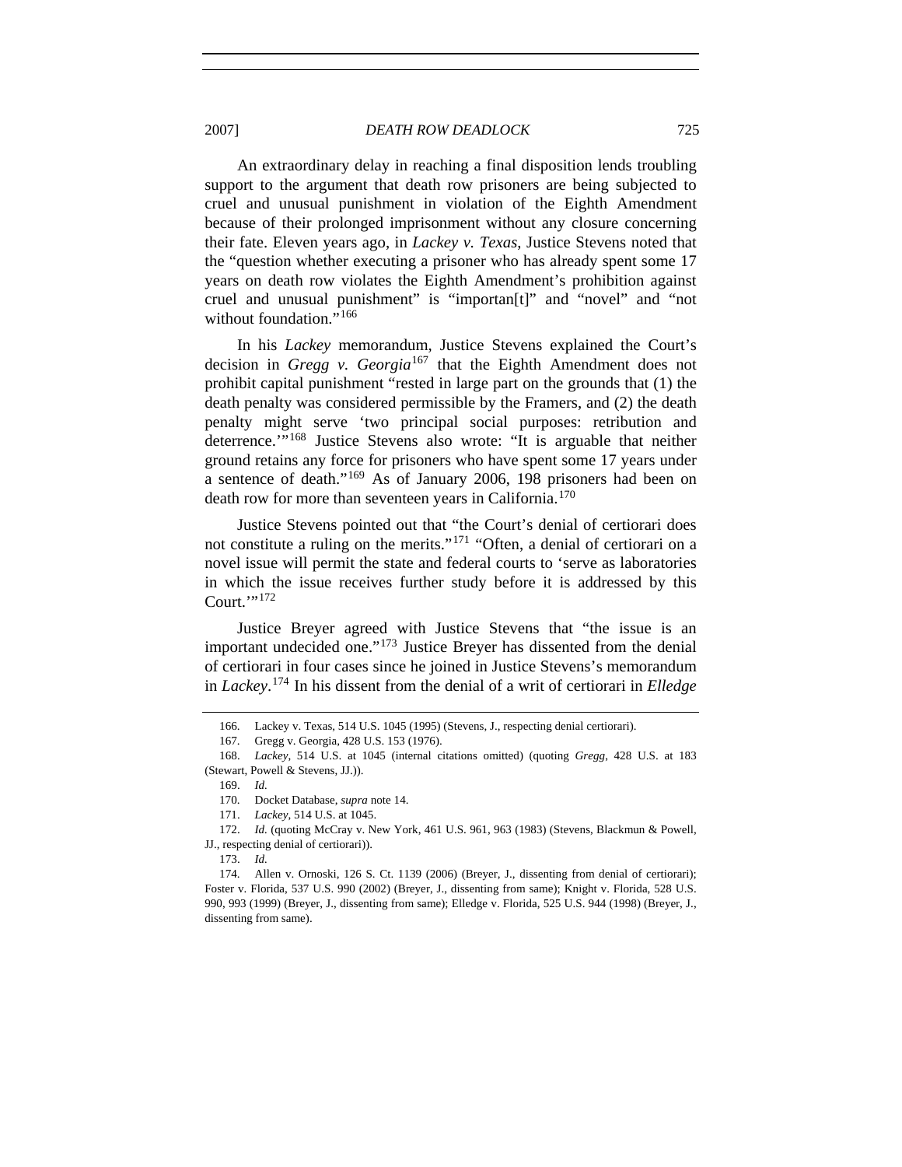2007] *DEATH ROW DEADLOCK* 725

An extraordinary delay in reaching a final disposition lends troubling support to the argument that death row prisoners are being subjected to cruel and unusual punishment in violation of the Eighth Amendment because of their prolonged imprisonment without any closure concerning their fate. Eleven years ago, in *Lackey v. Texas*, Justice Stevens noted that the "question whether executing a prisoner who has already spent some 17 years on death row violates the Eighth Amendment's prohibition against cruel and unusual punishment" is "importan[t]" and "novel" and "not without foundation."<sup>[166](#page-28-0)</sup>

In his *Lackey* memorandum, Justice Stevens explained the Court's decision in *Gregg v. Georgia*[167](#page-28-1) that the Eighth Amendment does not prohibit capital punishment "rested in large part on the grounds that (1) the death penalty was considered permissible by the Framers, and (2) the death penalty might serve 'two principal social purposes: retribution and deterrence.'"[168](#page-28-2) Justice Stevens also wrote: "It is arguable that neither ground retains any force for prisoners who have spent some 17 years under a sentence of death."[169](#page-28-3) As of January 2006, 198 prisoners had been on death row for more than seventeen years in California.<sup>[170](#page-28-4)</sup>

Justice Stevens pointed out that "the Court's denial of certiorari does not constitute a ruling on the merits."[171](#page-28-5) "Often, a denial of certiorari on a novel issue will permit the state and federal courts to 'serve as laboratories in which the issue receives further study before it is addressed by this Court."<sup>[172](#page-28-6)</sup>

Justice Breyer agreed with Justice Stevens that "the issue is an important undecided one."<sup>[173](#page-28-7)</sup> Justice Breyer has dissented from the denial of certiorari in four cases since he joined in Justice Stevens's memorandum in *Lackey*. [174](#page-28-8) In his dissent from the denial of a writ of certiorari in *Elledge* 

173. *Id.* 

 <sup>166.</sup> Lackey v. Texas, 514 U.S. 1045 (1995) (Stevens, J., respecting denial certiorari).

 <sup>167.</sup> Gregg v. Georgia, 428 U.S. 153 (1976).

<span id="page-28-3"></span><span id="page-28-2"></span><span id="page-28-1"></span><span id="page-28-0"></span> <sup>168.</sup> *Lackey*, 514 U.S. at 1045 (internal citations omitted) (quoting *Gregg*, 428 U.S. at 183 (Stewart, Powell & Stevens, JJ.)).

 <sup>169.</sup> *Id.* 

 <sup>170.</sup> Docket Database, *supra* note 14.

 <sup>171.</sup> *Lackey*, 514 U.S. at 1045.

<span id="page-28-6"></span><span id="page-28-5"></span><span id="page-28-4"></span> <sup>172.</sup> *Id.* (quoting McCray v. New York, 461 U.S. 961, 963 (1983) (Stevens, Blackmun & Powell, JJ., respecting denial of certiorari)).

<span id="page-28-8"></span><span id="page-28-7"></span> <sup>174.</sup> Allen v. Ornoski, 126 S. Ct. 1139 (2006) (Breyer, J., dissenting from denial of certiorari); Foster v. Florida, 537 U.S. 990 (2002) (Breyer, J., dissenting from same); Knight v. Florida, 528 U.S. 990, 993 (1999) (Breyer, J., dissenting from same); Elledge v. Florida, 525 U.S. 944 (1998) (Breyer, J., dissenting from same).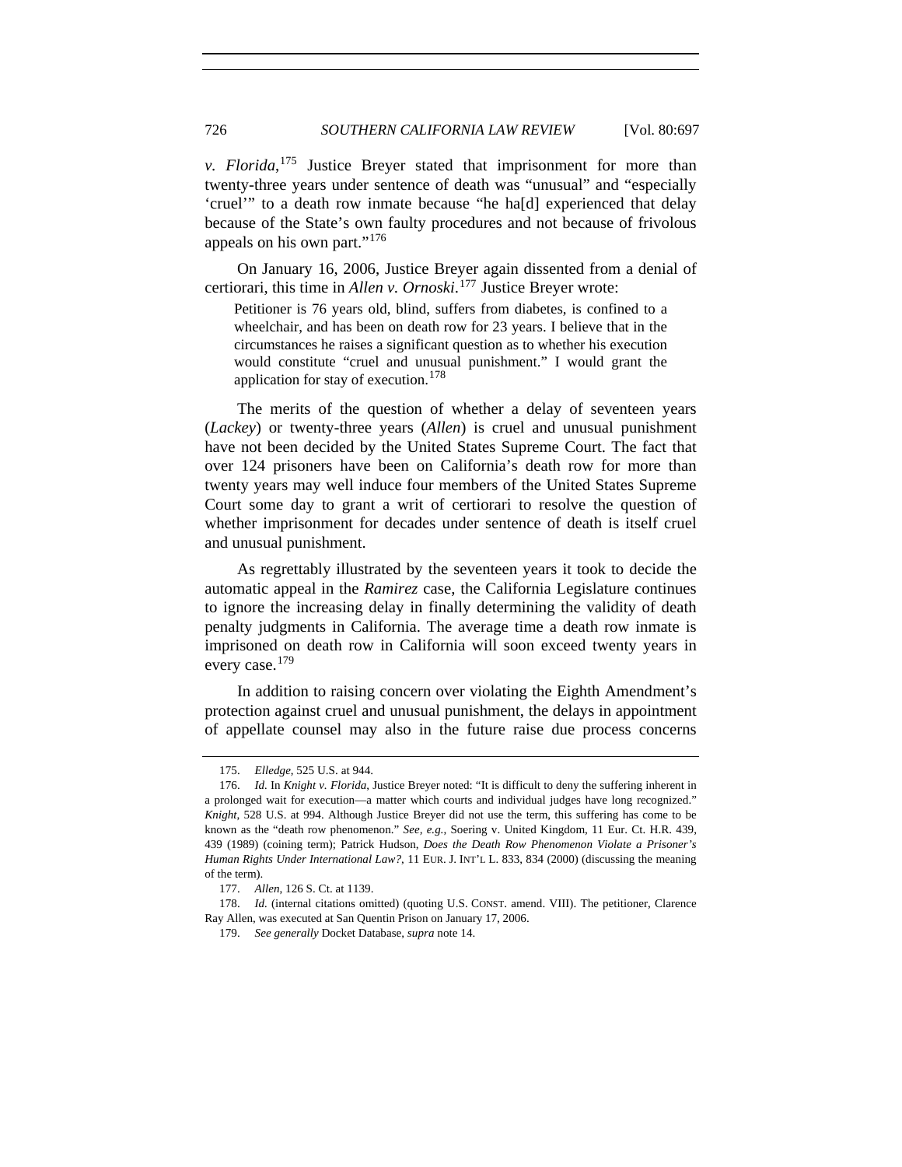*v. Florida*, [175](#page-29-0) Justice Breyer stated that imprisonment for more than twenty-three years under sentence of death was "unusual" and "especially 'cruel'" to a death row inmate because "he ha[d] experienced that delay because of the State's own faulty procedures and not because of frivolous appeals on his own part."<sup>[176](#page-29-1)</sup>

On January 16, 2006, Justice Breyer again dissented from a denial of certiorari, this time in *Allen v. Ornoski*. [177](#page-29-2) Justice Breyer wrote:

Petitioner is 76 years old, blind, suffers from diabetes, is confined to a wheelchair, and has been on death row for 23 years. I believe that in the circumstances he raises a significant question as to whether his execution would constitute "cruel and unusual punishment." I would grant the application for stay of execution.<sup>[178](#page-29-3)</sup>

The merits of the question of whether a delay of seventeen years (*Lackey*) or twenty-three years (*Allen*) is cruel and unusual punishment have not been decided by the United States Supreme Court. The fact that over 124 prisoners have been on California's death row for more than twenty years may well induce four members of the United States Supreme Court some day to grant a writ of certiorari to resolve the question of whether imprisonment for decades under sentence of death is itself cruel and unusual punishment.

As regrettably illustrated by the seventeen years it took to decide the automatic appeal in the *Ramirez* case, the California Legislature continues to ignore the increasing delay in finally determining the validity of death penalty judgments in California. The average time a death row inmate is imprisoned on death row in California will soon exceed twenty years in every case.[179](#page-29-4)

In addition to raising concern over violating the Eighth Amendment's protection against cruel and unusual punishment, the delays in appointment of appellate counsel may also in the future raise due process concerns

 <sup>175.</sup> *Elledge*, 525 U.S. at 944.

<span id="page-29-1"></span><span id="page-29-0"></span> <sup>176.</sup> *Id.* In *Knight v. Florida*, Justice Breyer noted: "It is difficult to deny the suffering inherent in a prolonged wait for execution—a matter which courts and individual judges have long recognized." *Knight*, 528 U.S. at 994. Although Justice Breyer did not use the term, this suffering has come to be known as the "death row phenomenon." *See, e.g.*, Soering v. United Kingdom, 11 Eur. Ct. H.R. 439, 439 (1989) (coining term); Patrick Hudson, *Does the Death Row Phenomenon Violate a Prisoner's Human Rights Under International Law?*, 11 EUR. J. INT'L L. 833, 834 (2000) (discussing the meaning of the term).

 <sup>177.</sup> *Allen*, 126 S. Ct. at 1139.

<span id="page-29-4"></span><span id="page-29-3"></span><span id="page-29-2"></span><sup>178.</sup> *Id.* (internal citations omitted) (quoting U.S. CONST. amend. VIII). The petitioner, Clarence Ray Allen, was executed at San Quentin Prison on January 17, 2006.

 <sup>179.</sup> *See generally* Docket Database, *supra* note 14.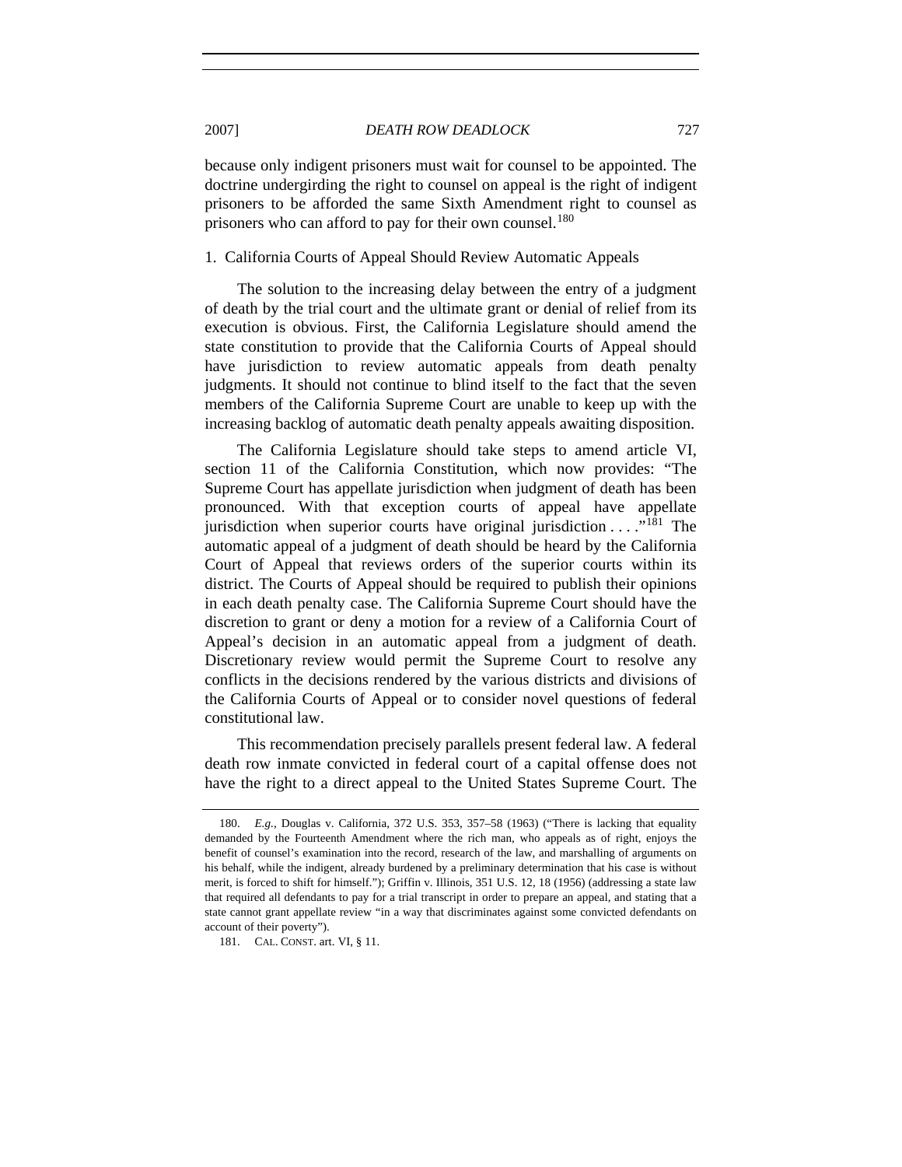because only indigent prisoners must wait for counsel to be appointed. The doctrine undergirding the right to counsel on appeal is the right of indigent prisoners to be afforded the same Sixth Amendment right to counsel as prisoners who can afford to pay for their own counsel.<sup>[180](#page-30-0)</sup>

#### 1. California Courts of Appeal Should Review Automatic Appeals

The solution to the increasing delay between the entry of a judgment of death by the trial court and the ultimate grant or denial of relief from its execution is obvious. First, the California Legislature should amend the state constitution to provide that the California Courts of Appeal should have jurisdiction to review automatic appeals from death penalty judgments. It should not continue to blind itself to the fact that the seven members of the California Supreme Court are unable to keep up with the increasing backlog of automatic death penalty appeals awaiting disposition.

The California Legislature should take steps to amend article VI, section 11 of the California Constitution, which now provides: "The Supreme Court has appellate jurisdiction when judgment of death has been pronounced. With that exception courts of appeal have appellate jurisdiction when superior courts have original jurisdiction  $\dots$ ."<sup>[181](#page-30-1)</sup> The automatic appeal of a judgment of death should be heard by the California Court of Appeal that reviews orders of the superior courts within its district. The Courts of Appeal should be required to publish their opinions in each death penalty case. The California Supreme Court should have the discretion to grant or deny a motion for a review of a California Court of Appeal's decision in an automatic appeal from a judgment of death. Discretionary review would permit the Supreme Court to resolve any conflicts in the decisions rendered by the various districts and divisions of the California Courts of Appeal or to consider novel questions of federal constitutional law.

This recommendation precisely parallels present federal law. A federal death row inmate convicted in federal court of a capital offense does not have the right to a direct appeal to the United States Supreme Court. The

<span id="page-30-0"></span> <sup>180.</sup> *E.g.*, Douglas v. California, 372 U.S. 353, 357–58 (1963) ("There is lacking that equality demanded by the Fourteenth Amendment where the rich man, who appeals as of right, enjoys the benefit of counsel's examination into the record, research of the law, and marshalling of arguments on his behalf, while the indigent, already burdened by a preliminary determination that his case is without merit, is forced to shift for himself."); Griffin v. Illinois, 351 U.S. 12, 18 (1956) (addressing a state law that required all defendants to pay for a trial transcript in order to prepare an appeal, and stating that a state cannot grant appellate review "in a way that discriminates against some convicted defendants on account of their poverty").

<span id="page-30-1"></span> <sup>181.</sup> CAL. CONST. art. VI, § 11.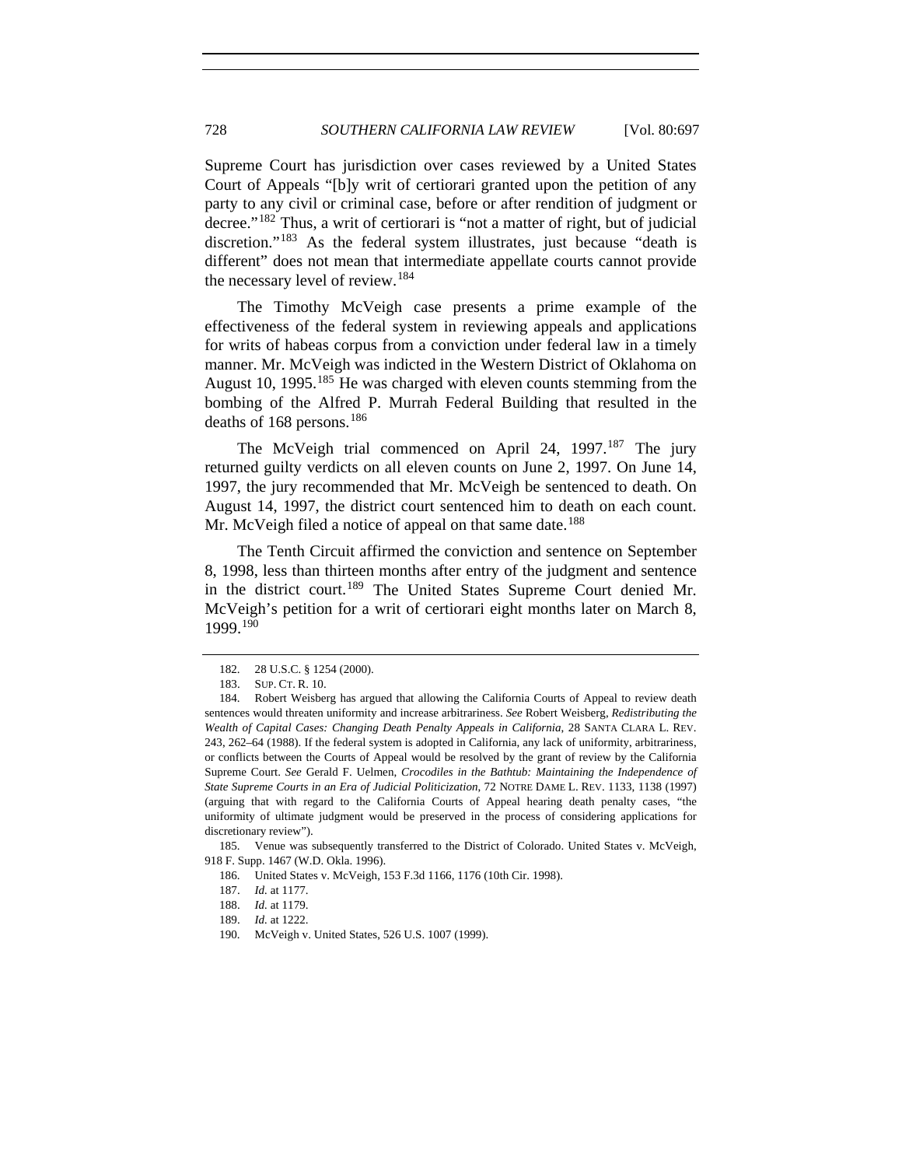Supreme Court has jurisdiction over cases reviewed by a United States Court of Appeals "[b]y writ of certiorari granted upon the petition of any party to any civil or criminal case, before or after rendition of judgment or decree."[182](#page-31-0) Thus, a writ of certiorari is "not a matter of right, but of judicial discretion."<sup>[183](#page-31-1)</sup> As the federal system illustrates, just because "death is different" does not mean that intermediate appellate courts cannot provide the necessary level of review.[184](#page-31-2)

The Timothy McVeigh case presents a prime example of the effectiveness of the federal system in reviewing appeals and applications for writs of habeas corpus from a conviction under federal law in a timely manner. Mr. McVeigh was indicted in the Western District of Oklahoma on August 10, 1995.<sup>[185](#page-31-3)</sup> He was charged with eleven counts stemming from the bombing of the Alfred P. Murrah Federal Building that resulted in the deaths of 168 persons.<sup>[186](#page-31-4)</sup>

The McVeigh trial commenced on April 24, 1997.<sup>[187](#page-31-5)</sup> The jury returned guilty verdicts on all eleven counts on June 2, 1997. On June 14, 1997, the jury recommended that Mr. McVeigh be sentenced to death. On August 14, 1997, the district court sentenced him to death on each count. Mr. McVeigh filed a notice of appeal on that same date.<sup>[188](#page-31-6)</sup>

The Tenth Circuit affirmed the conviction and sentence on September 8, 1998, less than thirteen months after entry of the judgment and sentence in the district court.[189](#page-31-7) The United States Supreme Court denied Mr. McVeigh's petition for a writ of certiorari eight months later on March 8, 1999.[190](#page-31-8)

<span id="page-31-7"></span><span id="page-31-6"></span><span id="page-31-5"></span><span id="page-31-4"></span><span id="page-31-3"></span> 185. Venue was subsequently transferred to the District of Colorado. United States v. McVeigh, 918 F. Supp. 1467 (W.D. Okla. 1996).

 <sup>182. 28</sup> U.S.C. § 1254 (2000).

 <sup>183.</sup> SUP. CT. R. 10.

<span id="page-31-2"></span><span id="page-31-1"></span><span id="page-31-0"></span> <sup>184.</sup> Robert Weisberg has argued that allowing the California Courts of Appeal to review death sentences would threaten uniformity and increase arbitrariness. *See* Robert Weisberg, *Redistributing the Wealth of Capital Cases: Changing Death Penalty Appeals in California*, 28 SANTA CLARA L. REV. 243, 262–64 (1988). If the federal system is adopted in California, any lack of uniformity, arbitrariness, or conflicts between the Courts of Appeal would be resolved by the grant of review by the California Supreme Court. *See* Gerald F. Uelmen, *Crocodiles in the Bathtub: Maintaining the Independence of State Supreme Courts in an Era of Judicial Politicization*, 72 NOTRE DAME L. REV. 1133, 1138 (1997) (arguing that with regard to the California Courts of Appeal hearing death penalty cases, "the uniformity of ultimate judgment would be preserved in the process of considering applications for discretionary review").

 <sup>186.</sup> United States v. McVeigh, 153 F.3d 1166, 1176 (10th Cir. 1998).

 <sup>187.</sup> *Id.* at 1177.

 <sup>188.</sup> *Id.* at 1179.

 <sup>189.</sup> *Id.* at 1222.

<span id="page-31-8"></span> <sup>190.</sup> McVeigh v. United States, 526 U.S. 1007 (1999).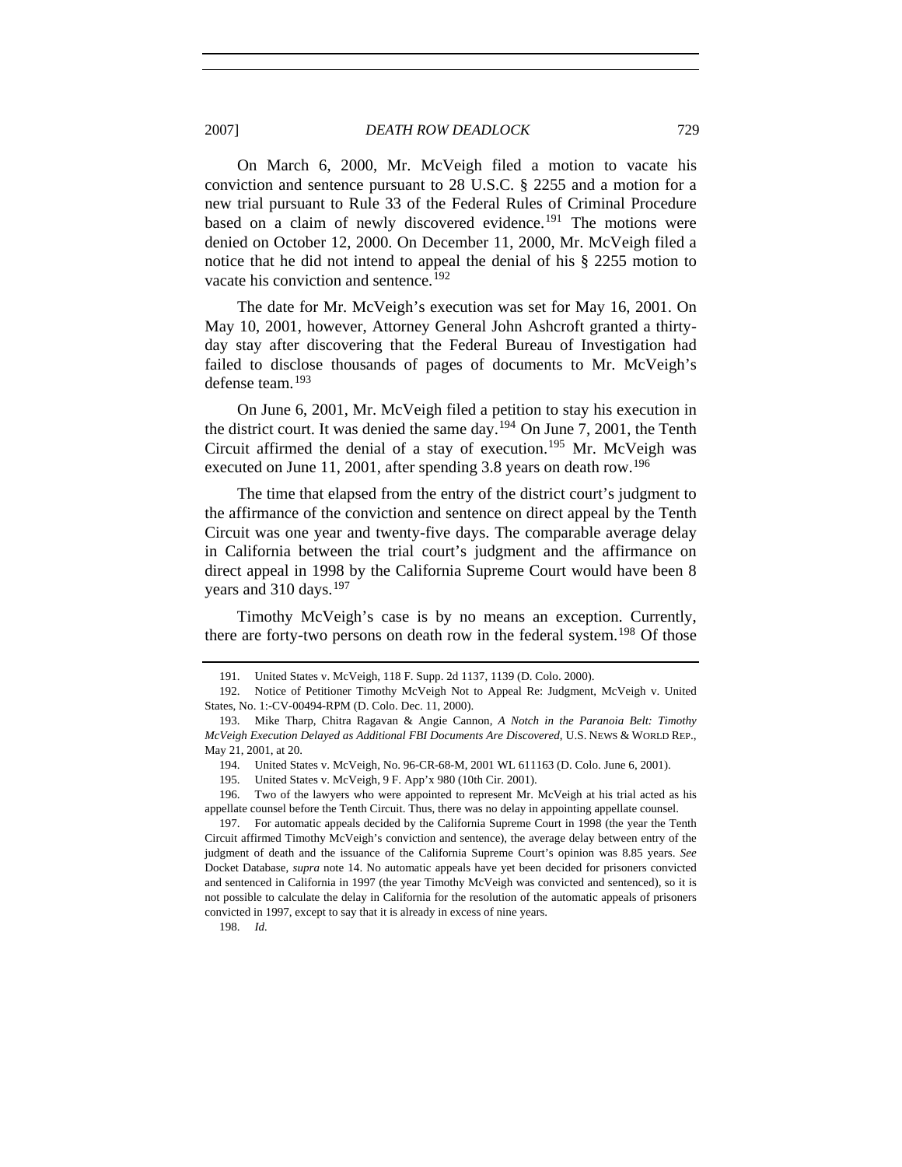2007] *DEATH ROW DEADLOCK* 729

On March 6, 2000, Mr. McVeigh filed a motion to vacate his conviction and sentence pursuant to 28 U.S.C. § 2255 and a motion for a new trial pursuant to Rule 33 of the Federal Rules of Criminal Procedure based on a claim of newly discovered evidence.<sup>[191](#page-32-0)</sup> The motions were denied on October 12, 2000. On December 11, 2000, Mr. McVeigh filed a notice that he did not intend to appeal the denial of his § 2255 motion to vacate his conviction and sentence.<sup>[192](#page-32-1)</sup>

The date for Mr. McVeigh's execution was set for May 16, 2001. On May 10, 2001, however, Attorney General John Ashcroft granted a thirtyday stay after discovering that the Federal Bureau of Investigation had failed to disclose thousands of pages of documents to Mr. McVeigh's defense team.[193](#page-32-2)

On June 6, 2001, Mr. McVeigh filed a petition to stay his execution in the district court. It was denied the same day.<sup>[194](#page-32-3)</sup> On June 7, 2001, the Tenth Circuit affirmed the denial of a stay of execution.<sup>[195](#page-32-4)</sup> Mr. McVeigh was executed on June 11, 2001, after spending 3.8 years on death row.<sup>[196](#page-32-5)</sup>

The time that elapsed from the entry of the district court's judgment to the affirmance of the conviction and sentence on direct appeal by the Tenth Circuit was one year and twenty-five days. The comparable average delay in California between the trial court's judgment and the affirmance on direct appeal in 1998 by the California Supreme Court would have been 8 years and 310 days.<sup>[197](#page-32-6)</sup>

Timothy McVeigh's case is by no means an exception. Currently, there are forty-two persons on death row in the federal system.<sup>[198](#page-32-7)</sup> Of those

<span id="page-32-7"></span>198. *Id.*

 <sup>191.</sup> United States v. McVeigh, 118 F. Supp. 2d 1137, 1139 (D. Colo. 2000).

<span id="page-32-1"></span><span id="page-32-0"></span> <sup>192.</sup> Notice of Petitioner Timothy McVeigh Not to Appeal Re: Judgment, McVeigh v. United States, No. 1:-CV-00494-RPM (D. Colo. Dec. 11, 2000).

<span id="page-32-2"></span> <sup>193.</sup> Mike Tharp, Chitra Ragavan & Angie Cannon, *A Notch in the Paranoia Belt: Timothy McVeigh Execution Delayed as Additional FBI Documents Are Discovered*, U.S. NEWS & WORLD REP., May 21, 2001, at 20.

 <sup>194.</sup> United States v. McVeigh, No. 96-CR-68-M, 2001 WL 611163 (D. Colo. June 6, 2001).

 <sup>195.</sup> United States v. McVeigh, 9 F. App'x 980 (10th Cir. 2001).

<span id="page-32-5"></span><span id="page-32-4"></span><span id="page-32-3"></span> <sup>196.</sup> Two of the lawyers who were appointed to represent Mr. McVeigh at his trial acted as his appellate counsel before the Tenth Circuit. Thus, there was no delay in appointing appellate counsel.

<span id="page-32-6"></span> <sup>197.</sup> For automatic appeals decided by the California Supreme Court in 1998 (the year the Tenth Circuit affirmed Timothy McVeigh's conviction and sentence), the average delay between entry of the judgment of death and the issuance of the California Supreme Court's opinion was 8.85 years. *See* Docket Database, *supra* note 14. No automatic appeals have yet been decided for prisoners convicted and sentenced in California in 1997 (the year Timothy McVeigh was convicted and sentenced), so it is not possible to calculate the delay in California for the resolution of the automatic appeals of prisoners convicted in 1997, except to say that it is already in excess of nine years.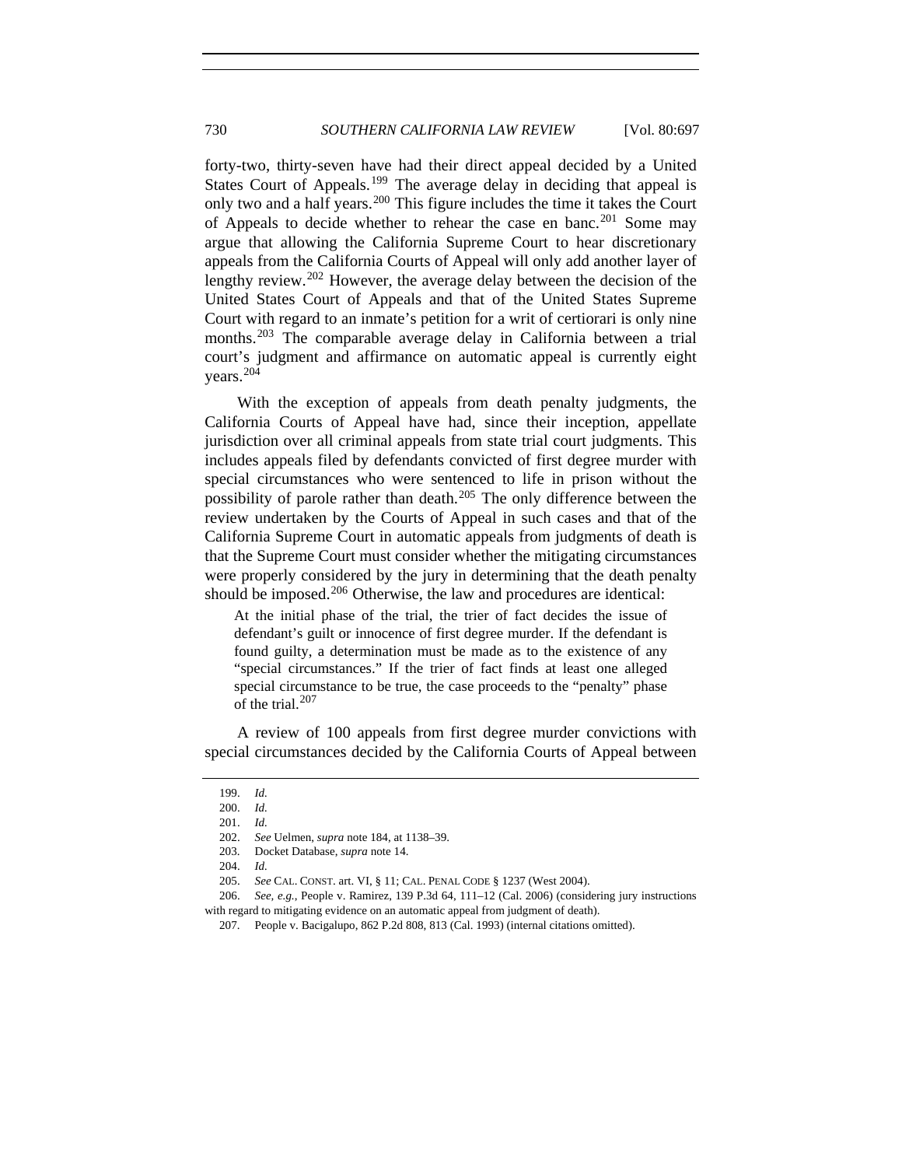forty-two, thirty-seven have had their direct appeal decided by a United States Court of Appeals.<sup>[199](#page-33-0)</sup> The average delay in deciding that appeal is only two and a half years.[200](#page-33-1) This figure includes the time it takes the Court of Appeals to decide whether to rehear the case en banc.<sup>[201](#page-33-2)</sup> Some may argue that allowing the California Supreme Court to hear discretionary appeals from the California Courts of Appeal will only add another layer of lengthy review.<sup>[202](#page-33-3)</sup> However, the average delay between the decision of the United States Court of Appeals and that of the United States Supreme Court with regard to an inmate's petition for a writ of certiorari is only nine months.<sup>[203](#page-33-4)</sup> The comparable average delay in California between a trial court's judgment and affirmance on automatic appeal is currently eight years.[204](#page-33-5)

With the exception of appeals from death penalty judgments, the California Courts of Appeal have had, since their inception, appellate jurisdiction over all criminal appeals from state trial court judgments. This includes appeals filed by defendants convicted of first degree murder with special circumstances who were sentenced to life in prison without the possibility of parole rather than death.<sup>[205](#page-33-6)</sup> The only difference between the review undertaken by the Courts of Appeal in such cases and that of the California Supreme Court in automatic appeals from judgments of death is that the Supreme Court must consider whether the mitigating circumstances were properly considered by the jury in determining that the death penalty should be imposed.<sup>[206](#page-33-7)</sup> Otherwise, the law and procedures are identical:

At the initial phase of the trial, the trier of fact decides the issue of defendant's guilt or innocence of first degree murder. If the defendant is found guilty, a determination must be made as to the existence of any "special circumstances." If the trier of fact finds at least one alleged special circumstance to be true, the case proceeds to the "penalty" phase of the trial.<sup>[207](#page-33-8)</sup>

<span id="page-33-1"></span><span id="page-33-0"></span>A review of 100 appeals from first degree murder convictions with special circumstances decided by the California Courts of Appeal between

 <sup>199.</sup> *Id.* 

 <sup>200.</sup> *Id.*

 <sup>201.</sup> *Id.* 

<span id="page-33-2"></span> <sup>202.</sup> *See* Uelmen, *supra* note 184, at 1138–39.

 <sup>203.</sup> Docket Database, *supra* note 14.

 <sup>204.</sup> *Id.* 

 <sup>205.</sup> *See* CAL. CONST. art. VI, § 11; CAL. PENAL CODE § 1237 (West 2004).

<span id="page-33-8"></span><span id="page-33-7"></span><span id="page-33-6"></span><span id="page-33-5"></span><span id="page-33-4"></span><span id="page-33-3"></span> <sup>206.</sup> *See, e.g.*, People v. Ramirez, 139 P.3d 64, 111–12 (Cal. 2006) (considering jury instructions with regard to mitigating evidence on an automatic appeal from judgment of death).

 <sup>207.</sup> People v. Bacigalupo, 862 P.2d 808, 813 (Cal. 1993) (internal citations omitted).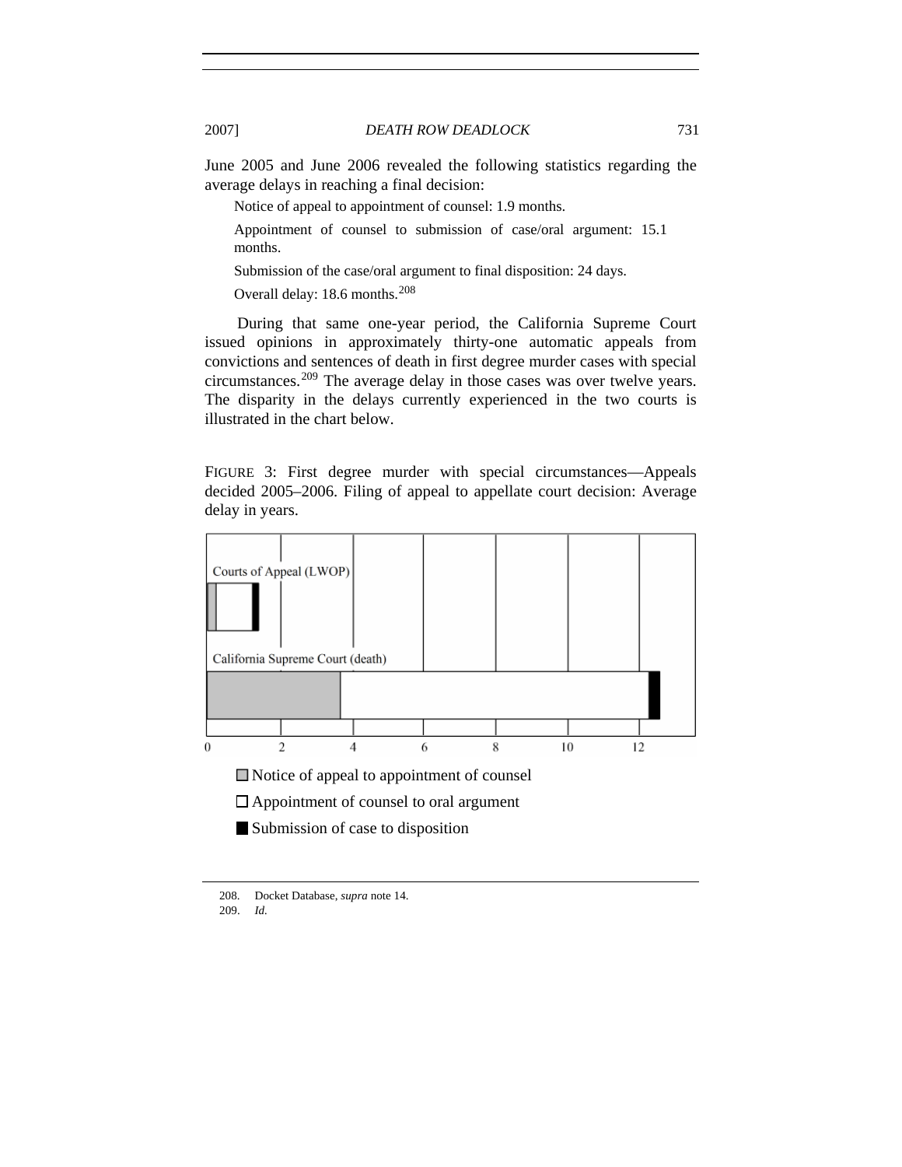June 2005 and June 2006 revealed the following statistics regarding the average delays in reaching a final decision:

Notice of appeal to appointment of counsel: 1.9 months.

Appointment of counsel to submission of case/oral argument: 15.1 months.

Submission of the case/oral argument to final disposition: 24 days.

Overall delay: 18.6 months.[208](#page-34-0)

During that same one-year period, the California Supreme Court issued opinions in approximately thirty-one automatic appeals from convictions and sentences of death in first degree murder cases with special circumstances.[209](#page-34-1) The average delay in those cases was over twelve years. The disparity in the delays currently experienced in the two courts is illustrated in the chart below.

FIGURE 3: First degree murder with special circumstances—Appeals decided 2005–2006. Filing of appeal to appellate court decision: Average delay in years.



Appointment of counsel to oral argument

Submission of case to disposition

<span id="page-34-1"></span><span id="page-34-0"></span> <sup>208.</sup> Docket Database, *supra* note 14.

 <sup>209.</sup> *Id.*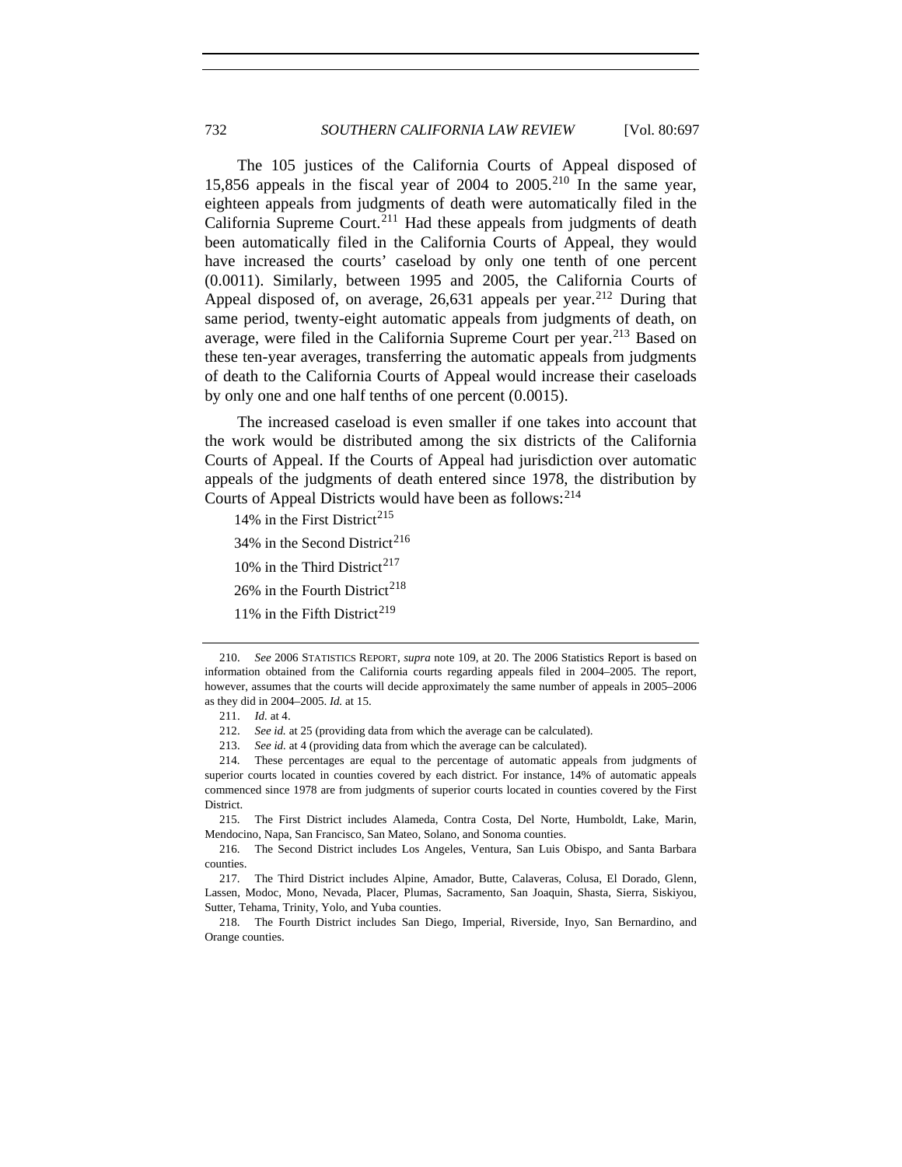The 105 justices of the California Courts of Appeal disposed of 15,856 appeals in the fiscal year of 2004 to 2005.<sup>[210](#page-35-0)</sup> In the same year, eighteen appeals from judgments of death were automatically filed in the California Supreme Court.<sup>[211](#page-35-1)</sup> Had these appeals from judgments of death been automatically filed in the California Courts of Appeal, they would have increased the courts' caseload by only one tenth of one percent (0.0011). Similarly, between 1995 and 2005, the California Courts of Appeal disposed of, on average,  $26,631$  appeals per year.<sup>[212](#page-35-2)</sup> During that same period, twenty-eight automatic appeals from judgments of death, on average, were filed in the California Supreme Court per year.<sup>[213](#page-35-3)</sup> Based on these ten-year averages, transferring the automatic appeals from judgments of death to the California Courts of Appeal would increase their caseloads by only one and one half tenths of one percent (0.0015).

The increased caseload is even smaller if one takes into account that the work would be distributed among the six districts of the California Courts of Appeal. If the Courts of Appeal had jurisdiction over automatic appeals of the judgments of death entered since 1978, the distribution by Courts of Appeal Districts would have been as follows: <sup>[214](#page-35-4)</sup>

- 14% in the First District<sup>[215](#page-35-5)</sup>
- 34% in the Second District<sup>[216](#page-35-6)</sup>
- 10% in the Third District<sup>[217](#page-35-7)</sup>
- 26% in the Fourth District<sup>[218](#page-35-8)</sup>
- 11% in the Fifth District<sup>[219](#page-35-7)</sup>

<span id="page-35-5"></span> 215. The First District includes Alameda, Contra Costa, Del Norte, Humboldt, Lake, Marin, Mendocino, Napa, San Francisco, San Mateo, Solano, and Sonoma counties.

<span id="page-35-6"></span> 216. The Second District includes Los Angeles, Ventura, San Luis Obispo, and Santa Barbara counties.

<span id="page-35-8"></span> 218. The Fourth District includes San Diego, Imperial, Riverside, Inyo, San Bernardino, and Orange counties.

<span id="page-35-0"></span> <sup>210.</sup> *See* 2006 STATISTICS REPORT, *supra* note 109, at 20. The 2006 Statistics Report is based on information obtained from the California courts regarding appeals filed in 2004–2005. The report, however, assumes that the courts will decide approximately the same number of appeals in 2005–2006 as they did in 2004–2005. *Id.* at 15.

 <sup>211.</sup> *Id.* at 4.

 <sup>212.</sup> *See id.* at 25 (providing data from which the average can be calculated).

 <sup>213.</sup> *See id.* at 4 (providing data from which the average can be calculated).

<span id="page-35-4"></span><span id="page-35-3"></span><span id="page-35-2"></span><span id="page-35-1"></span> <sup>214.</sup> These percentages are equal to the percentage of automatic appeals from judgments of superior courts located in counties covered by each district. For instance, 14% of automatic appeals commenced since 1978 are from judgments of superior courts located in counties covered by the First District.

<span id="page-35-7"></span> <sup>217.</sup> The Third District includes Alpine, Amador, Butte, Calaveras, Colusa, El Dorado, Glenn, Lassen, Modoc, Mono, Nevada, Placer, Plumas, Sacramento, San Joaquin, Shasta, Sierra, Siskiyou, Sutter, Tehama, Trinity, Yolo, and Yuba counties.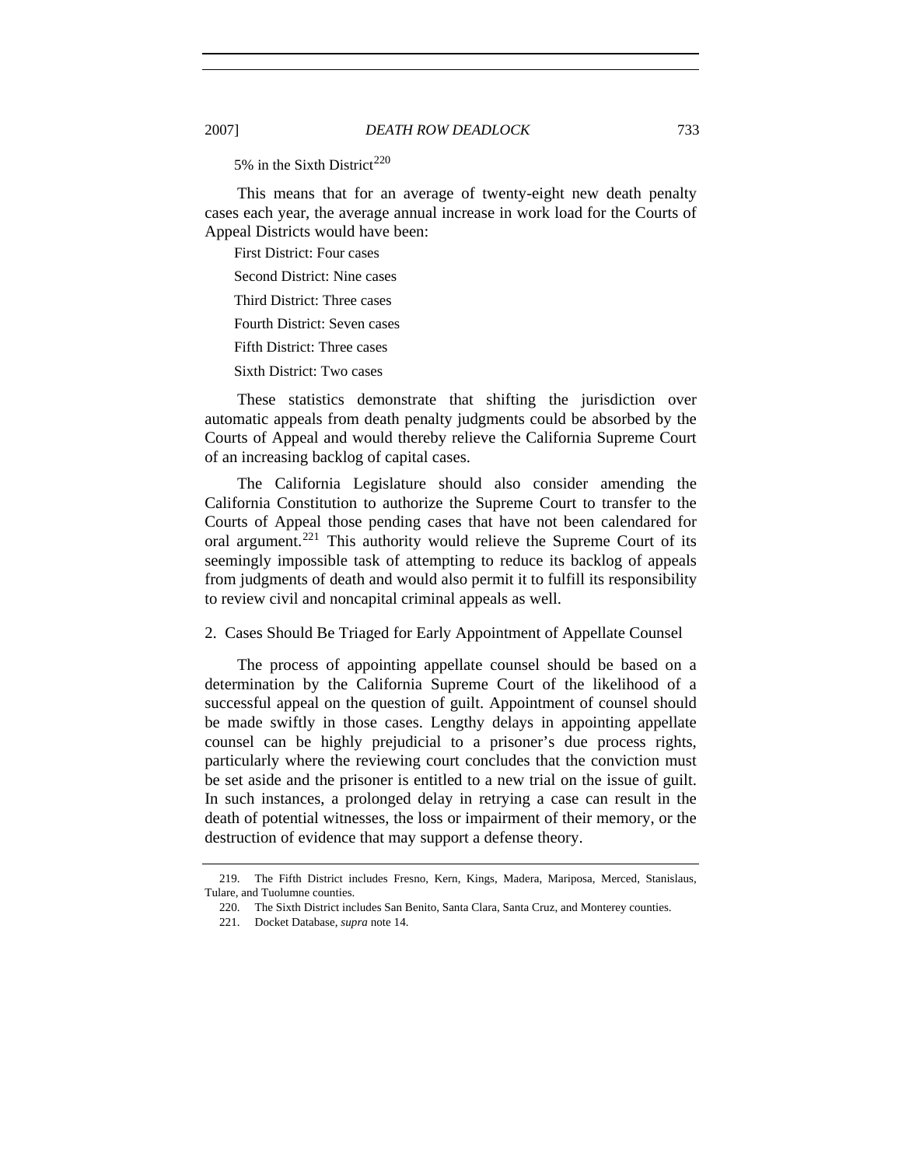5% in the Sixth District<sup>[220](#page-36-0)</sup>

This means that for an average of twenty-eight new death penalty cases each year, the average annual increase in work load for the Courts of Appeal Districts would have been:

First District: Four cases

Second District: Nine cases

Third District: Three cases

Fourth District: Seven cases

Fifth District: Three cases

Sixth District: Two cases

These statistics demonstrate that shifting the jurisdiction over automatic appeals from death penalty judgments could be absorbed by the Courts of Appeal and would thereby relieve the California Supreme Court of an increasing backlog of capital cases.

The California Legislature should also consider amending the California Constitution to authorize the Supreme Court to transfer to the Courts of Appeal those pending cases that have not been calendared for oral argument.<sup>[221](#page-36-1)</sup> This authority would relieve the Supreme Court of its seemingly impossible task of attempting to reduce its backlog of appeals from judgments of death and would also permit it to fulfill its responsibility to review civil and noncapital criminal appeals as well.

2. Cases Should Be Triaged for Early Appointment of Appellate Counsel

The process of appointing appellate counsel should be based on a determination by the California Supreme Court of the likelihood of a successful appeal on the question of guilt. Appointment of counsel should be made swiftly in those cases. Lengthy delays in appointing appellate counsel can be highly prejudicial to a prisoner's due process rights, particularly where the reviewing court concludes that the conviction must be set aside and the prisoner is entitled to a new trial on the issue of guilt. In such instances, a prolonged delay in retrying a case can result in the death of potential witnesses, the loss or impairment of their memory, or the destruction of evidence that may support a defense theory.

<span id="page-36-1"></span><span id="page-36-0"></span> <sup>219.</sup> The Fifth District includes Fresno, Kern, Kings, Madera, Mariposa, Merced, Stanislaus, Tulare, and Tuolumne counties.

 <sup>220.</sup> The Sixth District includes San Benito, Santa Clara, Santa Cruz, and Monterey counties.

 <sup>221.</sup> Docket Database, *supra* note 14.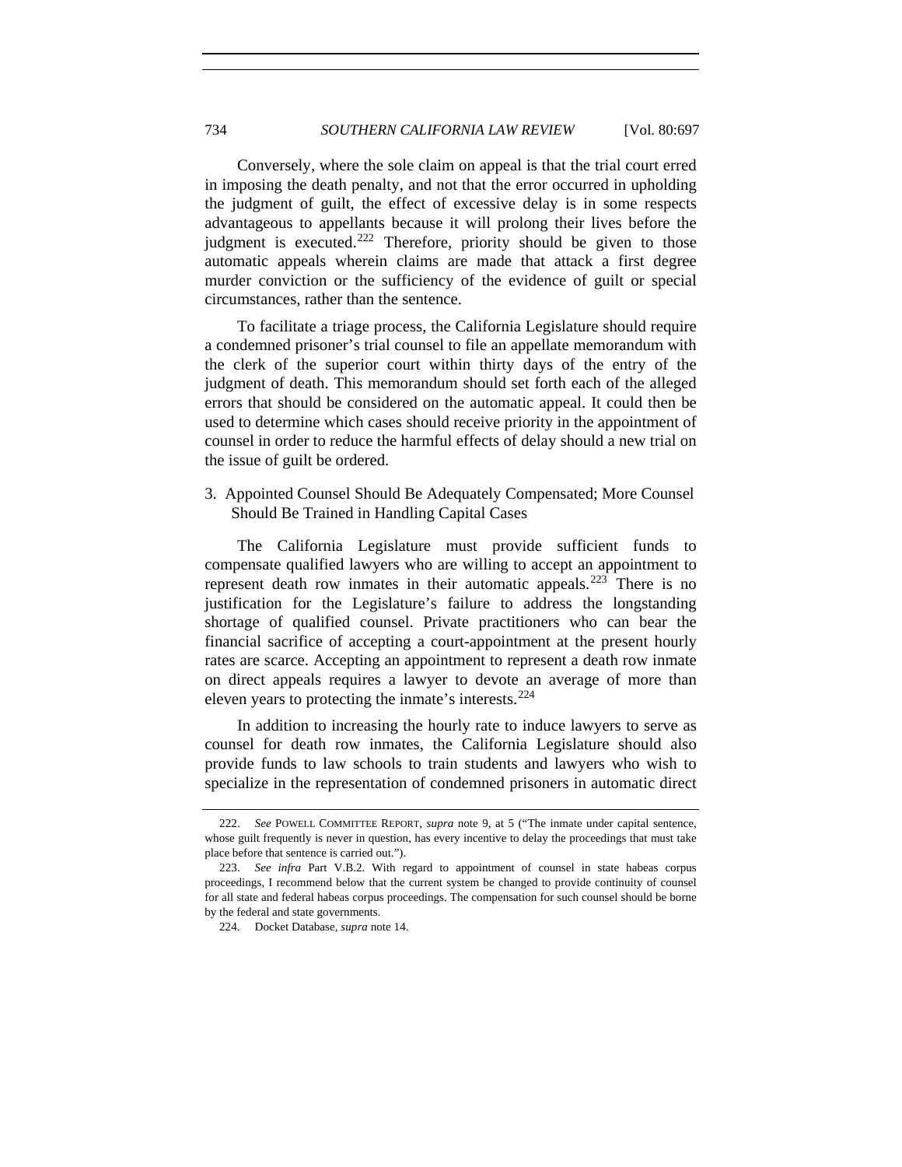Conversely, where the sole claim on appeal is that the trial court erred in imposing the death penalty, and not that the error occurred in upholding the judgment of guilt, the effect of excessive delay is in some respects advantageous to appellants because it will prolong their lives before the judgment is executed.<sup>[222](#page-37-0)</sup> Therefore, priority should be given to those automatic appeals wherein claims are made that attack a first degree murder conviction or the sufficiency of the evidence of guilt or special circumstances, rather than the sentence.

To facilitate a triage process, the California Legislature should require a condemned prisoner's trial counsel to file an appellate memorandum with the clerk of the superior court within thirty days of the entry of the judgment of death. This memorandum should set forth each of the alleged errors that should be considered on the automatic appeal. It could then be used to determine which cases should receive priority in the appointment of counsel in order to reduce the harmful effects of delay should a new trial on the issue of guilt be ordered.

3. Appointed Counsel Should Be Adequately Compensated; More Counsel Should Be Trained in Handling Capital Cases

The California Legislature must provide sufficient funds to compensate qualified lawyers who are willing to accept an appointment to represent death row inmates in their automatic appeals.[223](#page-37-1) There is no justification for the Legislature's failure to address the longstanding shortage of qualified counsel. Private practitioners who can bear the financial sacrifice of accepting a court-appointment at the present hourly rates are scarce. Accepting an appointment to represent a death row inmate on direct appeals requires a lawyer to devote an average of more than eleven years to protecting the inmate's interests.[224](#page-37-2)

In addition to increasing the hourly rate to induce lawyers to serve as counsel for death row inmates, the California Legislature should also provide funds to law schools to train students and lawyers who wish to specialize in the representation of condemned prisoners in automatic direct

<span id="page-37-0"></span> <sup>222.</sup> *See* POWELL COMMITTEE REPORT, *supra* note 9, at 5 ("The inmate under capital sentence, whose guilt frequently is never in question, has every incentive to delay the proceedings that must take place before that sentence is carried out.").

<span id="page-37-2"></span><span id="page-37-1"></span> <sup>223.</sup> *See infra* Part V.B.2. With regard to appointment of counsel in state habeas corpus proceedings, I recommend below that the current system be changed to provide continuity of counsel for all state and federal habeas corpus proceedings. The compensation for such counsel should be borne by the federal and state governments.

 <sup>224.</sup> Docket Database, *supra* note 14.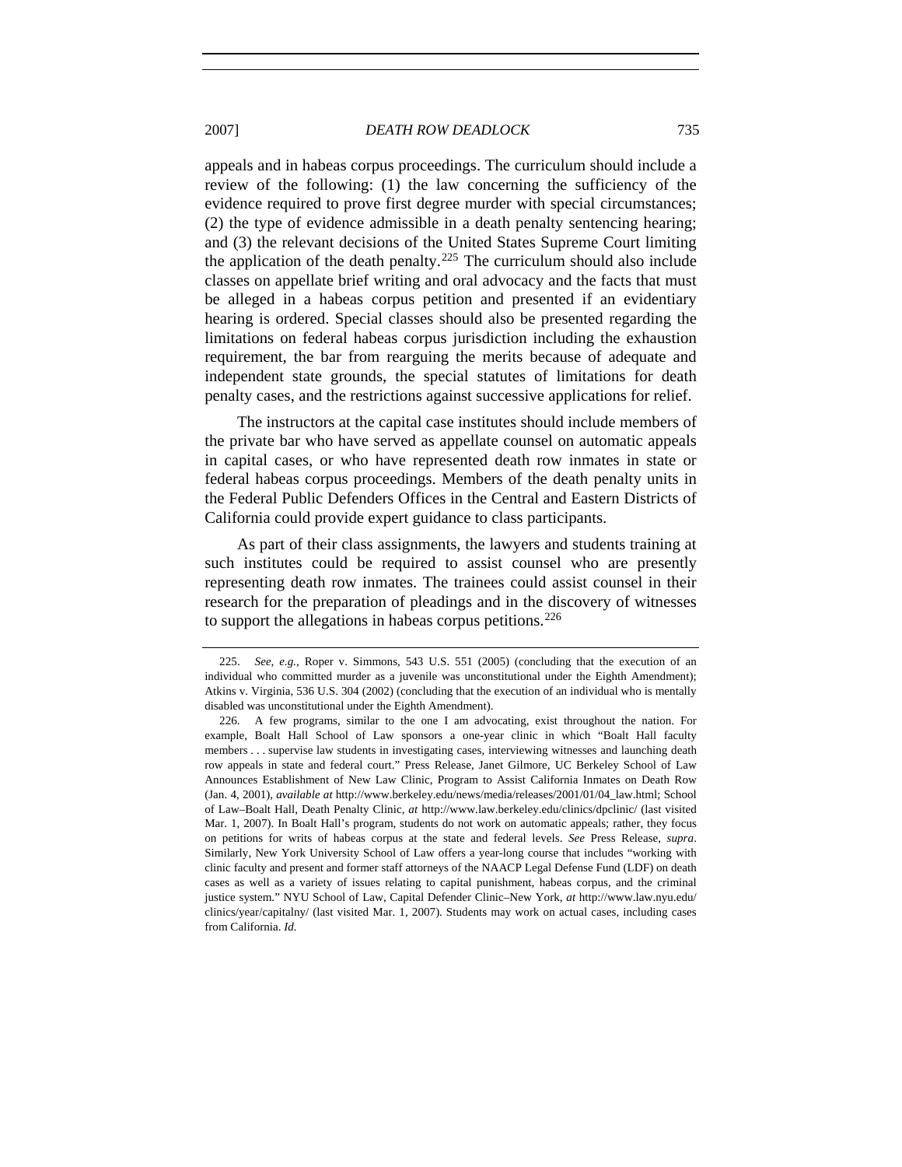appeals and in habeas corpus proceedings. The curriculum should include a review of the following: (1) the law concerning the sufficiency of the evidence required to prove first degree murder with special circumstances; (2) the type of evidence admissible in a death penalty sentencing hearing; and (3) the relevant decisions of the United States Supreme Court limiting the application of the death penalty.<sup>[225](#page-38-0)</sup> The curriculum should also include classes on appellate brief writing and oral advocacy and the facts that must be alleged in a habeas corpus petition and presented if an evidentiary hearing is ordered. Special classes should also be presented regarding the limitations on federal habeas corpus jurisdiction including the exhaustion requirement, the bar from rearguing the merits because of adequate and independent state grounds, the special statutes of limitations for death penalty cases, and the restrictions against successive applications for relief.

The instructors at the capital case institutes should include members of the private bar who have served as appellate counsel on automatic appeals in capital cases, or who have represented death row inmates in state or federal habeas corpus proceedings. Members of the death penalty units in the Federal Public Defenders Offices in the Central and Eastern Districts of California could provide expert guidance to class participants.

As part of their class assignments, the lawyers and students training at such institutes could be required to assist counsel who are presently representing death row inmates. The trainees could assist counsel in their research for the preparation of pleadings and in the discovery of witnesses to support the allegations in habeas corpus petitions.<sup>[226](#page-38-1)</sup>

<span id="page-38-0"></span> <sup>225.</sup> *See, e.g.*, Roper v. Simmons, 543 U.S. 551 (2005) (concluding that the execution of an individual who committed murder as a juvenile was unconstitutional under the Eighth Amendment); Atkins v. Virginia, 536 U.S. 304 (2002) (concluding that the execution of an individual who is mentally disabled was unconstitutional under the Eighth Amendment).

<span id="page-38-1"></span> <sup>226.</sup> A few programs, similar to the one I am advocating, exist throughout the nation. For example, Boalt Hall School of Law sponsors a one-year clinic in which "Boalt Hall faculty members . . . supervise law students in investigating cases, interviewing witnesses and launching death row appeals in state and federal court." Press Release, Janet Gilmore, UC Berkeley School of Law Announces Establishment of New Law Clinic, Program to Assist California Inmates on Death Row (Jan. 4, 2001), *available at* http://www.berkeley.edu/news/media/releases/2001/01/04\_law.html; School of Law–Boalt Hall, Death Penalty Clinic, *at* http://www.law.berkeley.edu/clinics/dpclinic/ (last visited Mar. 1, 2007). In Boalt Hall's program, students do not work on automatic appeals; rather, they focus on petitions for writs of habeas corpus at the state and federal levels. *See* Press Release, *supra*. Similarly, New York University School of Law offers a year-long course that includes "working with clinic faculty and present and former staff attorneys of the NAACP Legal Defense Fund (LDF) on death cases as well as a variety of issues relating to capital punishment, habeas corpus, and the criminal justice system." NYU School of Law, Capital Defender Clinic–New York, *at* http://www.law.nyu.edu/ clinics/year/capitalny/ (last visited Mar. 1, 2007). Students may work on actual cases, including cases from California. *Id.*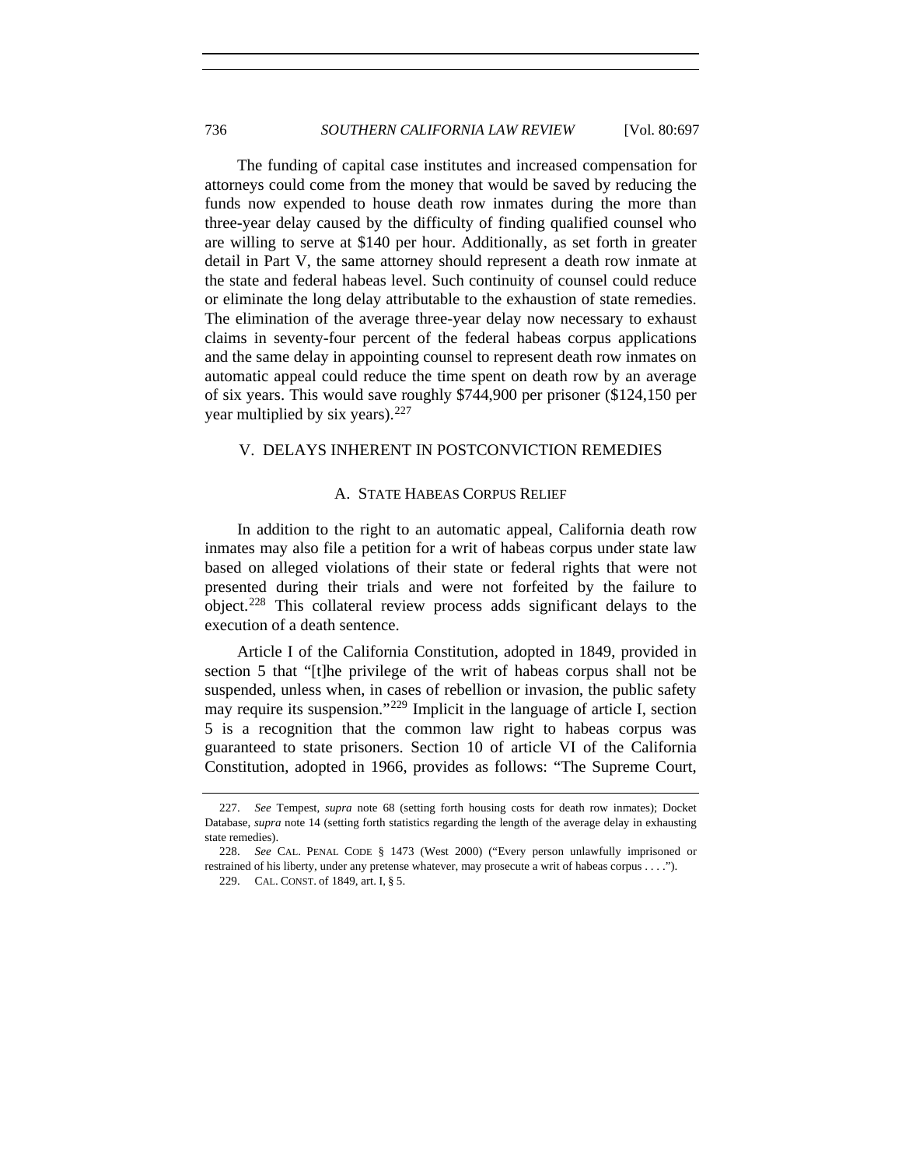The funding of capital case institutes and increased compensation for attorneys could come from the money that would be saved by reducing the funds now expended to house death row inmates during the more than three-year delay caused by the difficulty of finding qualified counsel who are willing to serve at \$140 per hour. Additionally, as set forth in greater detail in Part V, the same attorney should represent a death row inmate at the state and federal habeas level. Such continuity of counsel could reduce or eliminate the long delay attributable to the exhaustion of state remedies. The elimination of the average three-year delay now necessary to exhaust claims in seventy-four percent of the federal habeas corpus applications and the same delay in appointing counsel to represent death row inmates on automatic appeal could reduce the time spent on death row by an average of six years. This would save roughly \$744,900 per prisoner (\$124,150 per year multiplied by six years).  $227$ 

#### V. DELAYS INHERENT IN POSTCONVICTION REMEDIES

#### A. STATE HABEAS CORPUS RELIEF

In addition to the right to an automatic appeal, California death row inmates may also file a petition for a writ of habeas corpus under state law based on alleged violations of their state or federal rights that were not presented during their trials and were not forfeited by the failure to object.[228](#page-39-1) This collateral review process adds significant delays to the execution of a death sentence.

Article I of the California Constitution, adopted in 1849, provided in section 5 that "[t]he privilege of the writ of habeas corpus shall not be suspended, unless when, in cases of rebellion or invasion, the public safety may require its suspension."<sup>[229](#page-39-2)</sup> Implicit in the language of article I, section 5 is a recognition that the common law right to habeas corpus was guaranteed to state prisoners. Section 10 of article VI of the California Constitution, adopted in 1966, provides as follows: "The Supreme Court,

<span id="page-39-0"></span> <sup>227.</sup> *See* Tempest, *supra* note 68 (setting forth housing costs for death row inmates); Docket Database, *supra* note 14 (setting forth statistics regarding the length of the average delay in exhausting state remedies).

<span id="page-39-2"></span><span id="page-39-1"></span> <sup>228.</sup> *See* CAL. PENAL CODE § 1473 (West 2000) ("Every person unlawfully imprisoned or restrained of his liberty, under any pretense whatever, may prosecute a writ of habeas corpus . . . .").

 <sup>229.</sup> CAL. CONST. of 1849, art. I, § 5.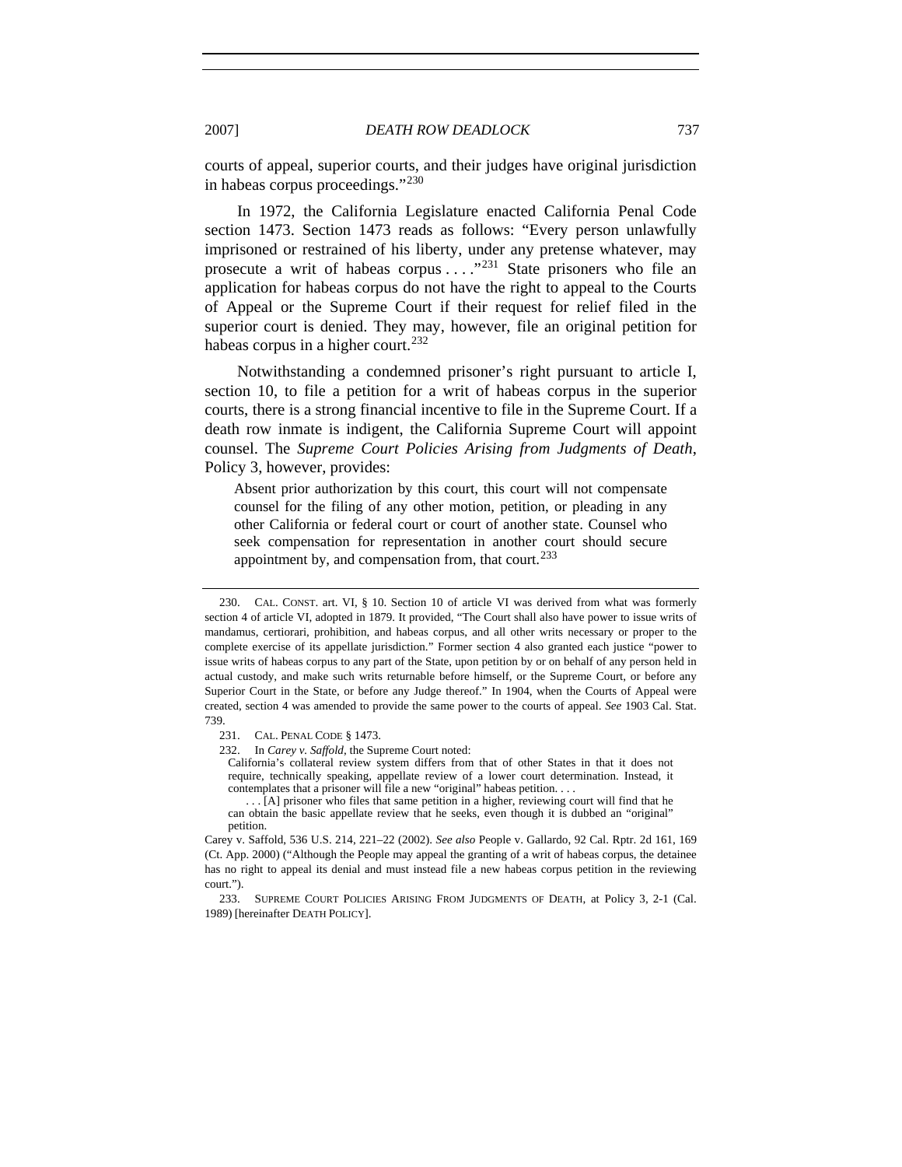courts of appeal, superior courts, and their judges have original jurisdiction in habeas corpus proceedings."[230](#page-40-0)

In 1972, the California Legislature enacted California Penal Code section 1473. Section 1473 reads as follows: "Every person unlawfully imprisoned or restrained of his liberty, under any pretense whatever, may prosecute a writ of habeas corpus . . . ."[231](#page-40-1) State prisoners who file an application for habeas corpus do not have the right to appeal to the Courts of Appeal or the Supreme Court if their request for relief filed in the superior court is denied. They may, however, file an original petition for habeas corpus in a higher court.<sup>[232](#page-40-2)</sup>

Notwithstanding a condemned prisoner's right pursuant to article I, section 10, to file a petition for a writ of habeas corpus in the superior courts, there is a strong financial incentive to file in the Supreme Court. If a death row inmate is indigent, the California Supreme Court will appoint counsel. The *Supreme Court Policies Arising from Judgments of Death*, Policy 3, however, provides:

Absent prior authorization by this court, this court will not compensate counsel for the filing of any other motion, petition, or pleading in any other California or federal court or court of another state. Counsel who seek compensation for representation in another court should secure appointment by, and compensation from, that court.<sup>[233](#page-40-3)</sup>

<span id="page-40-0"></span> <sup>230.</sup> CAL. CONST. art. VI, § 10. Section 10 of article VI was derived from what was formerly section 4 of article VI, adopted in 1879. It provided, "The Court shall also have power to issue writs of mandamus, certiorari, prohibition, and habeas corpus, and all other writs necessary or proper to the complete exercise of its appellate jurisdiction." Former section 4 also granted each justice "power to issue writs of habeas corpus to any part of the State, upon petition by or on behalf of any person held in actual custody, and make such writs returnable before himself, or the Supreme Court, or before any Superior Court in the State, or before any Judge thereof." In 1904, when the Courts of Appeal were created, section 4 was amended to provide the same power to the courts of appeal. *See* 1903 Cal. Stat. 739.

<span id="page-40-2"></span><span id="page-40-1"></span> <sup>231.</sup> CAL. PENAL CODE § 1473.

 <sup>232.</sup> In *Carey v. Saffold*, the Supreme Court noted:

California's collateral review system differs from that of other States in that it does not require, technically speaking, appellate review of a lower court determination. Instead, it contemplates that a prisoner will file a new "original" habeas petition. . . .

 <sup>. . . [</sup>A] prisoner who files that same petition in a higher, reviewing court will find that he can obtain the basic appellate review that he seeks, even though it is dubbed an "original" petition.

Carey v. Saffold, 536 U.S. 214, 221–22 (2002). *See also* People v. Gallardo, 92 Cal. Rptr. 2d 161, 169 (Ct. App. 2000) ("Although the People may appeal the granting of a writ of habeas corpus, the detainee has no right to appeal its denial and must instead file a new habeas corpus petition in the reviewing court.").

<span id="page-40-3"></span> <sup>233.</sup> SUPREME COURT POLICIES ARISING FROM JUDGMENTS OF DEATH, at Policy 3, 2-1 (Cal. 1989) [hereinafter DEATH POLICY].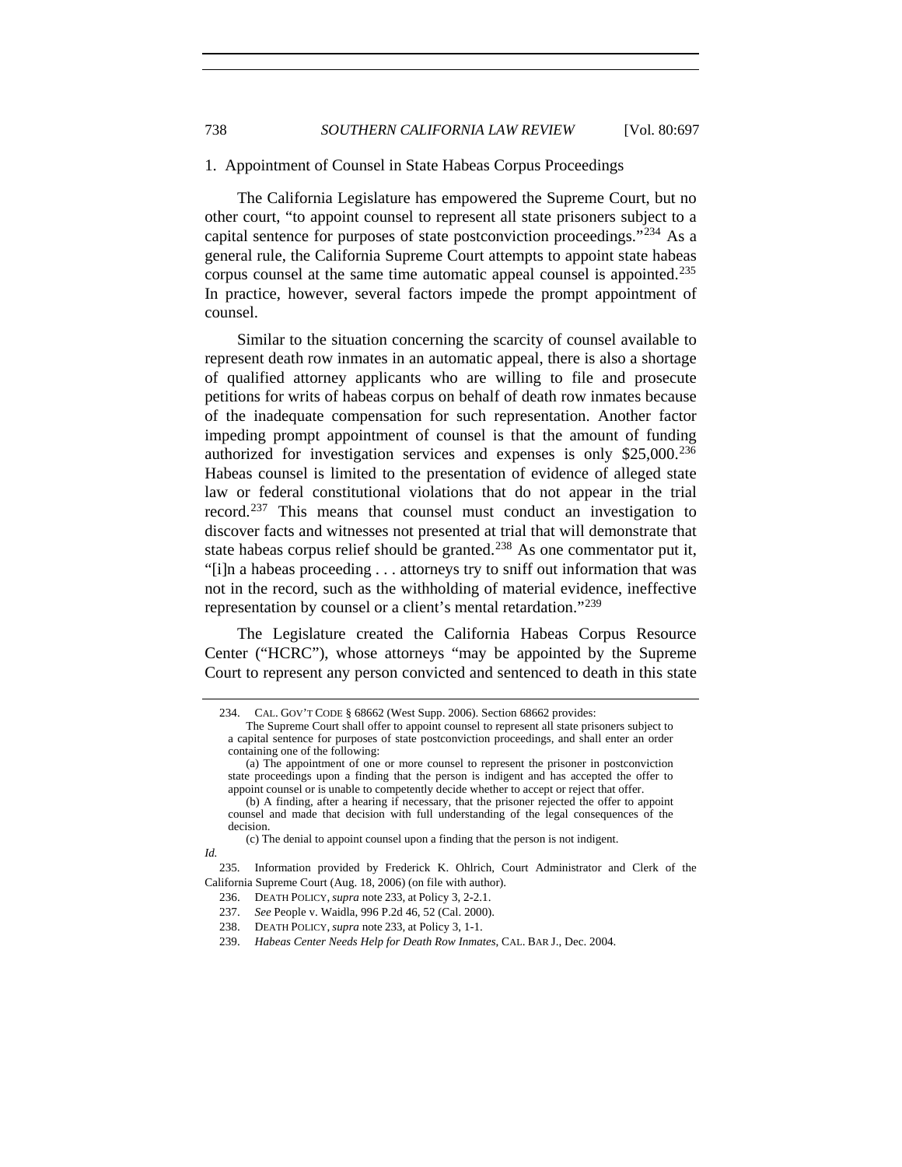#### 1. Appointment of Counsel in State Habeas Corpus Proceedings

The California Legislature has empowered the Supreme Court, but no other court, "to appoint counsel to represent all state prisoners subject to a capital sentence for purposes of state postconviction proceedings."<sup>[234](#page-41-0)</sup> As a general rule, the California Supreme Court attempts to appoint state habeas corpus counsel at the same time automatic appeal counsel is appointed.<sup>[235](#page-41-1)</sup> In practice, however, several factors impede the prompt appointment of counsel.

Similar to the situation concerning the scarcity of counsel available to represent death row inmates in an automatic appeal, there is also a shortage of qualified attorney applicants who are willing to file and prosecute petitions for writs of habeas corpus on behalf of death row inmates because of the inadequate compensation for such representation. Another factor impeding prompt appointment of counsel is that the amount of funding authorized for investigation services and expenses is only  $$25,000.<sup>236</sup>$  $$25,000.<sup>236</sup>$  $$25,000.<sup>236</sup>$ Habeas counsel is limited to the presentation of evidence of alleged state law or federal constitutional violations that do not appear in the trial record.<sup>[237](#page-41-3)</sup> This means that counsel must conduct an investigation to discover facts and witnesses not presented at trial that will demonstrate that state habeas corpus relief should be granted.<sup>[238](#page-41-4)</sup> As one commentator put it, "[i]n a habeas proceeding . . . attorneys try to sniff out information that was not in the record, such as the withholding of material evidence, ineffective representation by counsel or a client's mental retardation."<sup>[239](#page-41-5)</sup>

<span id="page-41-0"></span>The Legislature created the California Habeas Corpus Resource Center ("HCRC"), whose attorneys "may be appointed by the Supreme Court to represent any person convicted and sentenced to death in this state

 <sup>234.</sup> CAL. GOV'T CODE § 68662 (West Supp. 2006). Section 68662 provides:

The Supreme Court shall offer to appoint counsel to represent all state prisoners subject to a capital sentence for purposes of state postconviction proceedings, and shall enter an order containing one of the following:

 <sup>(</sup>a) The appointment of one or more counsel to represent the prisoner in postconviction state proceedings upon a finding that the person is indigent and has accepted the offer to appoint counsel or is unable to competently decide whether to accept or reject that offer.

 <sup>(</sup>b) A finding, after a hearing if necessary, that the prisoner rejected the offer to appoint counsel and made that decision with full understanding of the legal consequences of the decision.

 <sup>(</sup>c) The denial to appoint counsel upon a finding that the person is not indigent.

*Id.*

<span id="page-41-5"></span><span id="page-41-4"></span><span id="page-41-3"></span><span id="page-41-2"></span><span id="page-41-1"></span> <sup>235.</sup> Information provided by Frederick K. Ohlrich, Court Administrator and Clerk of the California Supreme Court (Aug. 18, 2006) (on file with author).

 <sup>236.</sup> DEATH POLICY, *supra* note 233, at Policy 3, 2-2.1.

 <sup>237.</sup> *See* People v. Waidla, 996 P.2d 46, 52 (Cal. 2000).

 <sup>238.</sup> DEATH POLICY, *supra* note 233, at Policy 3, 1-1.

 <sup>239.</sup> *Habeas Center Needs Help for Death Row Inmates*, CAL. BAR J., Dec. 2004.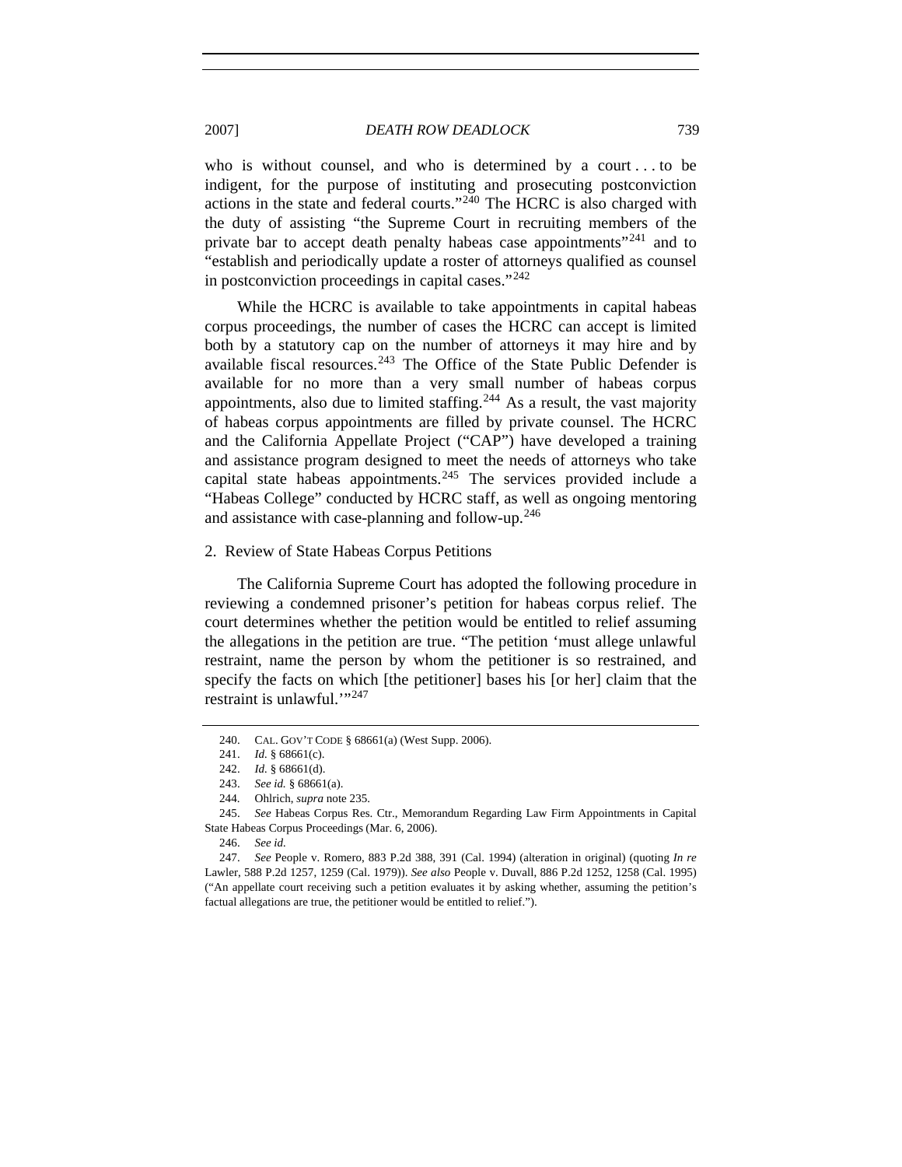2007] *DEATH ROW DEADLOCK* 739

who is without counsel, and who is determined by a court . . . to be indigent, for the purpose of instituting and prosecuting postconviction actions in the state and federal courts."[240](#page-42-0) The HCRC is also charged with the duty of assisting "the Supreme Court in recruiting members of the private bar to accept death penalty habeas case appointments"<sup>[241](#page-42-1)</sup> and to "establish and periodically update a roster of attorneys qualified as counsel in postconviction proceedings in capital cases."[242](#page-42-2)

While the HCRC is available to take appointments in capital habeas corpus proceedings, the number of cases the HCRC can accept is limited both by a statutory cap on the number of attorneys it may hire and by available fiscal resources. $243$  The Office of the State Public Defender is available for no more than a very small number of habeas corpus appointments, also due to limited staffing.<sup>[244](#page-42-4)</sup> As a result, the vast majority of habeas corpus appointments are filled by private counsel. The HCRC and the California Appellate Project ("CAP") have developed a training and assistance program designed to meet the needs of attorneys who take capital state habeas appointments.<sup>[245](#page-42-5)</sup> The services provided include a "Habeas College" conducted by HCRC staff, as well as ongoing mentoring and assistance with case-planning and follow-up.<sup>[246](#page-42-6)</sup>

2. Review of State Habeas Corpus Petitions

The California Supreme Court has adopted the following procedure in reviewing a condemned prisoner's petition for habeas corpus relief. The court determines whether the petition would be entitled to relief assuming the allegations in the petition are true. "The petition 'must allege unlawful restraint, name the person by whom the petitioner is so restrained, and specify the facts on which [the petitioner] bases his [or her] claim that the restraint is unlawful."<sup>[247](#page-42-7)</sup>

246. *See id.* 

 <sup>240.</sup> CAL. GOV'T CODE § 68661(a) (West Supp. 2006).

 <sup>241.</sup> *Id.* § 68661(c).

 <sup>242.</sup> *Id.* § 68661(d).

 <sup>243.</sup> *See id.* § 68661(a).

 <sup>244.</sup> Ohlrich, *supra* note 235.

<span id="page-42-5"></span><span id="page-42-4"></span><span id="page-42-3"></span><span id="page-42-2"></span><span id="page-42-1"></span><span id="page-42-0"></span> <sup>245.</sup> *See* Habeas Corpus Res. Ctr., Memorandum Regarding Law Firm Appointments in Capital State Habeas Corpus Proceedings (Mar. 6, 2006).

<span id="page-42-7"></span><span id="page-42-6"></span> <sup>247.</sup> *See* People v. Romero, 883 P.2d 388, 391 (Cal. 1994) (alteration in original) (quoting *In re* Lawler, 588 P.2d 1257, 1259 (Cal. 1979)). *See also* People v. Duvall, 886 P.2d 1252, 1258 (Cal. 1995) ("An appellate court receiving such a petition evaluates it by asking whether, assuming the petition's factual allegations are true, the petitioner would be entitled to relief.").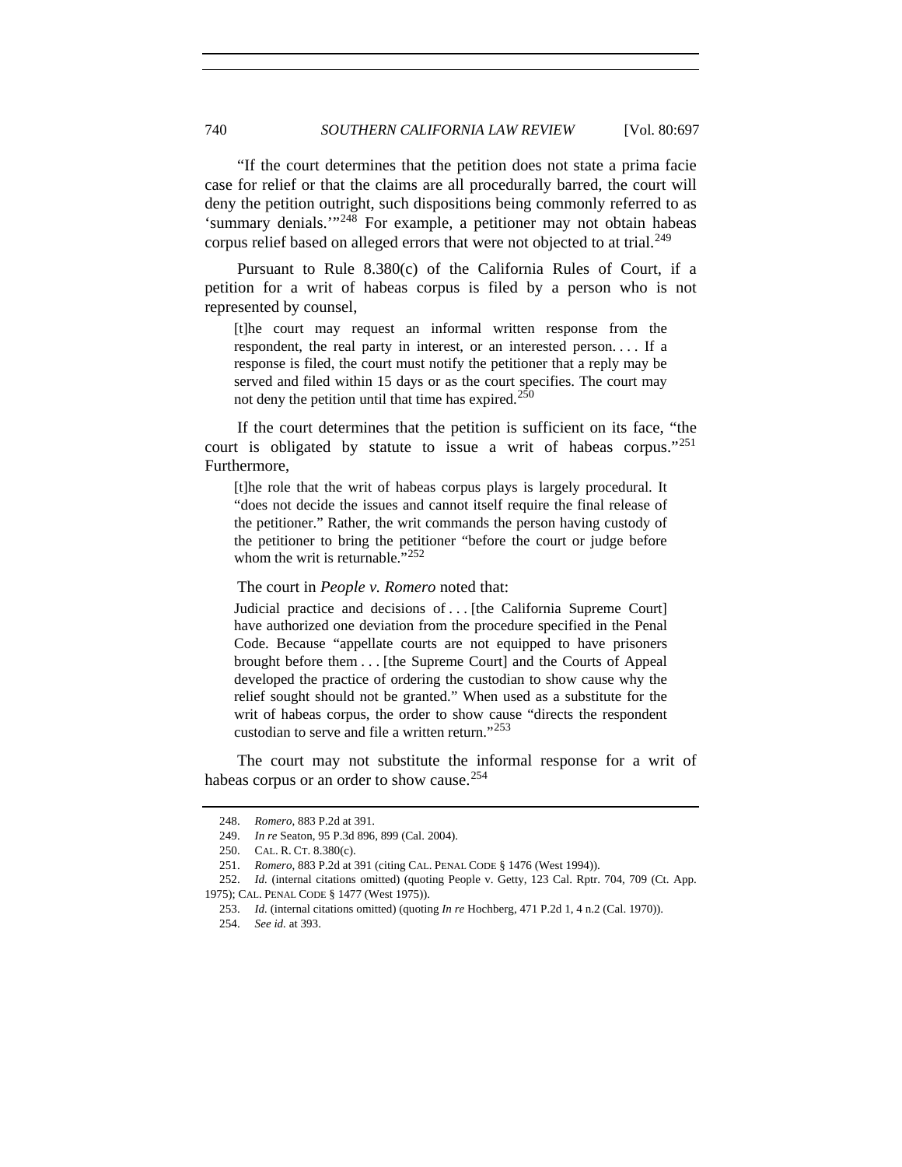"If the court determines that the petition does not state a prima facie case for relief or that the claims are all procedurally barred, the court will deny the petition outright, such dispositions being commonly referred to as 'summary denials.'"[248](#page-43-0) For example, a petitioner may not obtain habeas corpus relief based on alleged errors that were not objected to at trial.<sup>[249](#page-43-1)</sup>

Pursuant to Rule 8.380(c) of the California Rules of Court, if a petition for a writ of habeas corpus is filed by a person who is not represented by counsel,

[t]he court may request an informal written response from the respondent, the real party in interest, or an interested person. . . . If a response is filed, the court must notify the petitioner that a reply may be served and filed within 15 days or as the court specifies. The court may not deny the petition until that time has expired.<sup>[250](#page-43-2)</sup>

If the court determines that the petition is sufficient on its face, "the court is obligated by statute to issue a writ of habeas corpus."[251](#page-43-3) Furthermore,

[t]he role that the writ of habeas corpus plays is largely procedural. It "does not decide the issues and cannot itself require the final release of the petitioner." Rather, the writ commands the person having custody of the petitioner to bring the petitioner "before the court or judge before whom the writ is returnable."<sup>[252](#page-43-4)</sup>

#### The court in *People v. Romero* noted that:

Judicial practice and decisions of ... [the California Supreme Court] have authorized one deviation from the procedure specified in the Penal Code. Because "appellate courts are not equipped to have prisoners brought before them . . . [the Supreme Court] and the Courts of Appeal developed the practice of ordering the custodian to show cause why the relief sought should not be granted." When used as a substitute for the writ of habeas corpus, the order to show cause "directs the respondent custodian to serve and file a written return."<sup>[253](#page-43-5)</sup>

<span id="page-43-0"></span>The court may not substitute the informal response for a writ of habeas corpus or an order to show cause.<sup>[254](#page-43-6)</sup>

 <sup>248.</sup> *Romero*, 883 P.2d at 391.

 <sup>249.</sup> *In re* Seaton, 95 P.3d 896, 899 (Cal. 2004).

 <sup>250.</sup> CAL. R. CT. 8.380(c).

 <sup>251.</sup> *Romero*, 883 P.2d at 391 (citing CAL. PENAL CODE § 1476 (West 1994)).

<span id="page-43-6"></span><span id="page-43-5"></span><span id="page-43-4"></span><span id="page-43-3"></span><span id="page-43-2"></span><span id="page-43-1"></span> <sup>252.</sup> *Id.* (internal citations omitted) (quoting People v. Getty, 123 Cal. Rptr. 704, 709 (Ct. App. 1975); CAL. PENAL CODE § 1477 (West 1975)).

 <sup>253.</sup> *Id.* (internal citations omitted) (quoting *In re* Hochberg, 471 P.2d 1, 4 n.2 (Cal. 1970)).

 <sup>254.</sup> *See id.* at 393.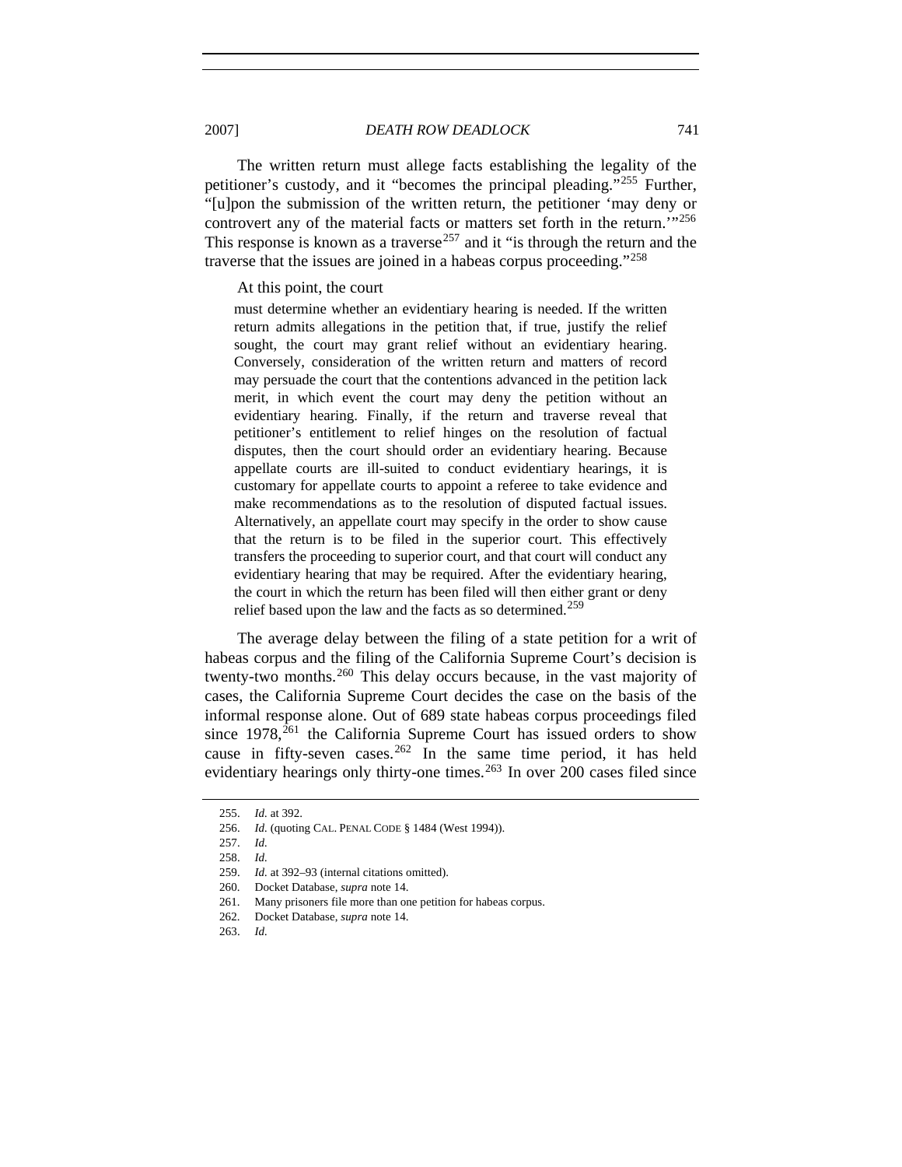2007] *DEATH ROW DEADLOCK* 741

The written return must allege facts establishing the legality of the petitioner's custody, and it "becomes the principal pleading."[255](#page-44-0) Further, "[u]pon the submission of the written return, the petitioner 'may deny or controvert any of the material facts or matters set forth in the return.<sup>'"[256](#page-44-1)</sup> This response is known as a traverse<sup>[257](#page-44-2)</sup> and it "is through the return and the traverse that the issues are joined in a habeas corpus proceeding."[258](#page-44-3)

#### At this point, the court

must determine whether an evidentiary hearing is needed. If the written return admits allegations in the petition that, if true, justify the relief sought, the court may grant relief without an evidentiary hearing. Conversely, consideration of the written return and matters of record may persuade the court that the contentions advanced in the petition lack merit, in which event the court may deny the petition without an evidentiary hearing. Finally, if the return and traverse reveal that petitioner's entitlement to relief hinges on the resolution of factual disputes, then the court should order an evidentiary hearing. Because appellate courts are ill-suited to conduct evidentiary hearings, it is customary for appellate courts to appoint a referee to take evidence and make recommendations as to the resolution of disputed factual issues. Alternatively, an appellate court may specify in the order to show cause that the return is to be filed in the superior court. This effectively transfers the proceeding to superior court, and that court will conduct any evidentiary hearing that may be required. After the evidentiary hearing, the court in which the return has been filed will then either grant or deny relief based upon the law and the facts as so determined.<sup>[259](#page-44-4)</sup>

The average delay between the filing of a state petition for a writ of habeas corpus and the filing of the California Supreme Court's decision is twenty-two months.[260](#page-44-5) This delay occurs because, in the vast majority of cases, the California Supreme Court decides the case on the basis of the informal response alone. Out of 689 state habeas corpus proceedings filed since  $1978$ ,<sup>[261](#page-44-6)</sup> the California Supreme Court has issued orders to show cause in fifty-seven cases.<sup>[262](#page-44-7)</sup> In the same time period, it has held evidentiary hearings only thirty-one times. $263$  In over 200 cases filed since

 <sup>255.</sup> *Id.* at 392.

<span id="page-44-3"></span><span id="page-44-2"></span><span id="page-44-1"></span><span id="page-44-0"></span> <sup>256.</sup> *Id.* (quoting CAL. PENAL CODE § 1484 (West 1994)).

 <sup>257.</sup> *Id.* 

 <sup>258.</sup> *Id.* 

<span id="page-44-4"></span> <sup>259.</sup> *Id.* at 392–93 (internal citations omitted).

<span id="page-44-5"></span> <sup>260.</sup> Docket Database, *supra* note 14.

<span id="page-44-6"></span> <sup>261.</sup> Many prisoners file more than one petition for habeas corpus.

<span id="page-44-7"></span> <sup>262.</sup> Docket Database, *supra* note 14.

<span id="page-44-8"></span> <sup>263.</sup> *Id.*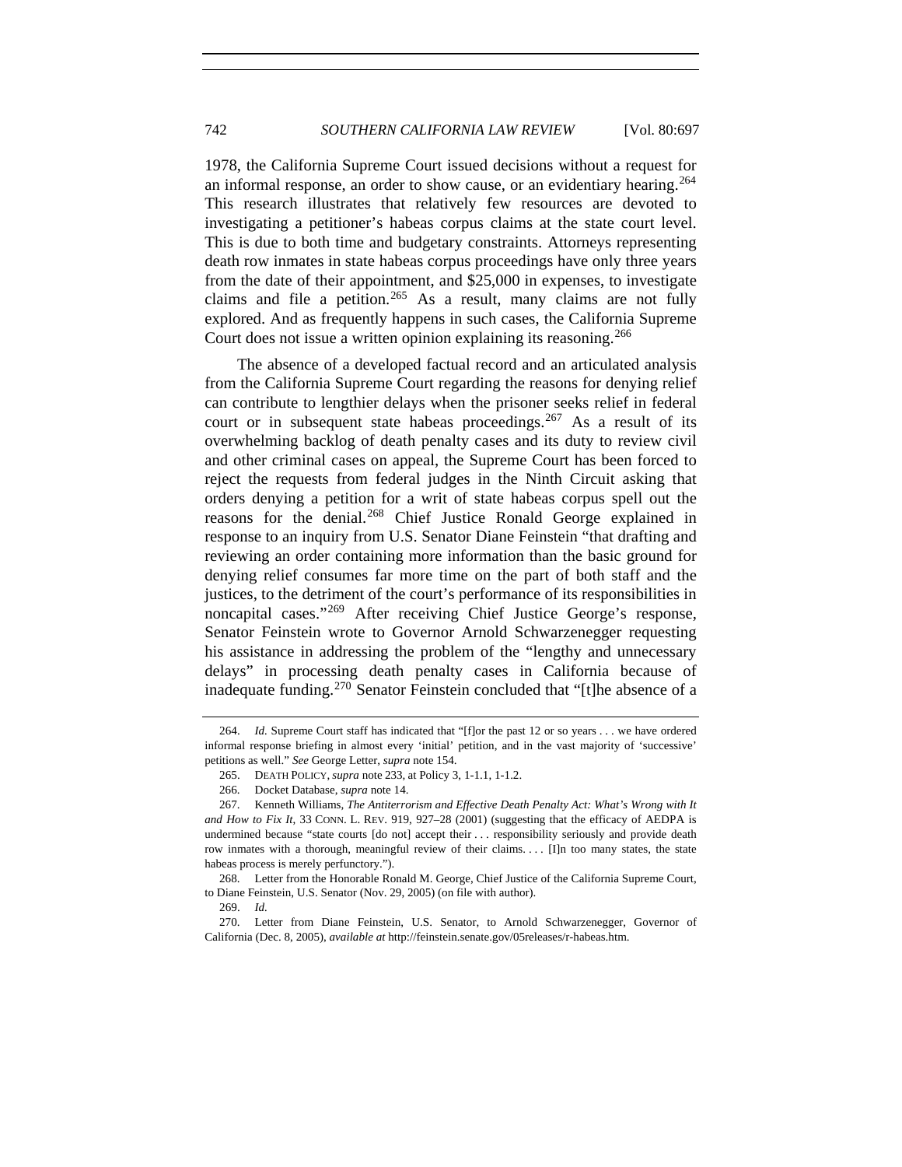1978, the California Supreme Court issued decisions without a request for an informal response, an order to show cause, or an evidentiary hearing.<sup>[264](#page-45-0)</sup> This research illustrates that relatively few resources are devoted to investigating a petitioner's habeas corpus claims at the state court level. This is due to both time and budgetary constraints. Attorneys representing death row inmates in state habeas corpus proceedings have only three years from the date of their appointment, and \$25,000 in expenses, to investigate claims and file a petition.<sup>[265](#page-45-1)</sup> As a result, many claims are not fully explored. And as frequently happens in such cases, the California Supreme Court does not issue a written opinion explaining its reasoning.<sup>[266](#page-45-2)</sup>

The absence of a developed factual record and an articulated analysis from the California Supreme Court regarding the reasons for denying relief can contribute to lengthier delays when the prisoner seeks relief in federal court or in subsequent state habeas proceedings.  $267$  As a result of its overwhelming backlog of death penalty cases and its duty to review civil and other criminal cases on appeal, the Supreme Court has been forced to reject the requests from federal judges in the Ninth Circuit asking that orders denying a petition for a writ of state habeas corpus spell out the reasons for the denial.[268](#page-45-4) Chief Justice Ronald George explained in response to an inquiry from U.S. Senator Diane Feinstein "that drafting and reviewing an order containing more information than the basic ground for denying relief consumes far more time on the part of both staff and the justices, to the detriment of the court's performance of its responsibilities in noncapital cases."[269](#page-45-5) After receiving Chief Justice George's response, Senator Feinstein wrote to Governor Arnold Schwarzenegger requesting his assistance in addressing the problem of the "lengthy and unnecessary delays" in processing death penalty cases in California because of inadequate funding.[270](#page-45-6) Senator Feinstein concluded that "[t]he absence of a

<span id="page-45-0"></span> <sup>264.</sup> *Id.* Supreme Court staff has indicated that "[f]or the past 12 or so years . . . we have ordered informal response briefing in almost every 'initial' petition, and in the vast majority of 'successive' petitions as well." *See* George Letter, *supra* note 154.

 <sup>265.</sup> DEATH POLICY, *supra* note 233, at Policy 3, 1-1.1, 1-1.2.

 <sup>266.</sup> Docket Database, *supra* note 14.

<span id="page-45-3"></span><span id="page-45-2"></span><span id="page-45-1"></span> <sup>267.</sup> Kenneth Williams, *The Antiterrorism and Effective Death Penalty Act: What's Wrong with It and How to Fix It*, 33 CONN. L. REV. 919, 927–28 (2001) (suggesting that the efficacy of AEDPA is undermined because "state courts [do not] accept their . . . responsibility seriously and provide death row inmates with a thorough, meaningful review of their claims. . . [I]n too many states, the state habeas process is merely perfunctory.").

<span id="page-45-4"></span> <sup>268.</sup> Letter from the Honorable Ronald M. George, Chief Justice of the California Supreme Court, to Diane Feinstein, U.S. Senator (Nov. 29, 2005) (on file with author).

 <sup>269.</sup> *Id.* 

<span id="page-45-6"></span><span id="page-45-5"></span> <sup>270.</sup> Letter from Diane Feinstein, U.S. Senator, to Arnold Schwarzenegger, Governor of California (Dec. 8, 2005), *available at* [http://feinstein.senate.gov](http://feinstein.senate.gov/)/05releases/r-habeas.htm.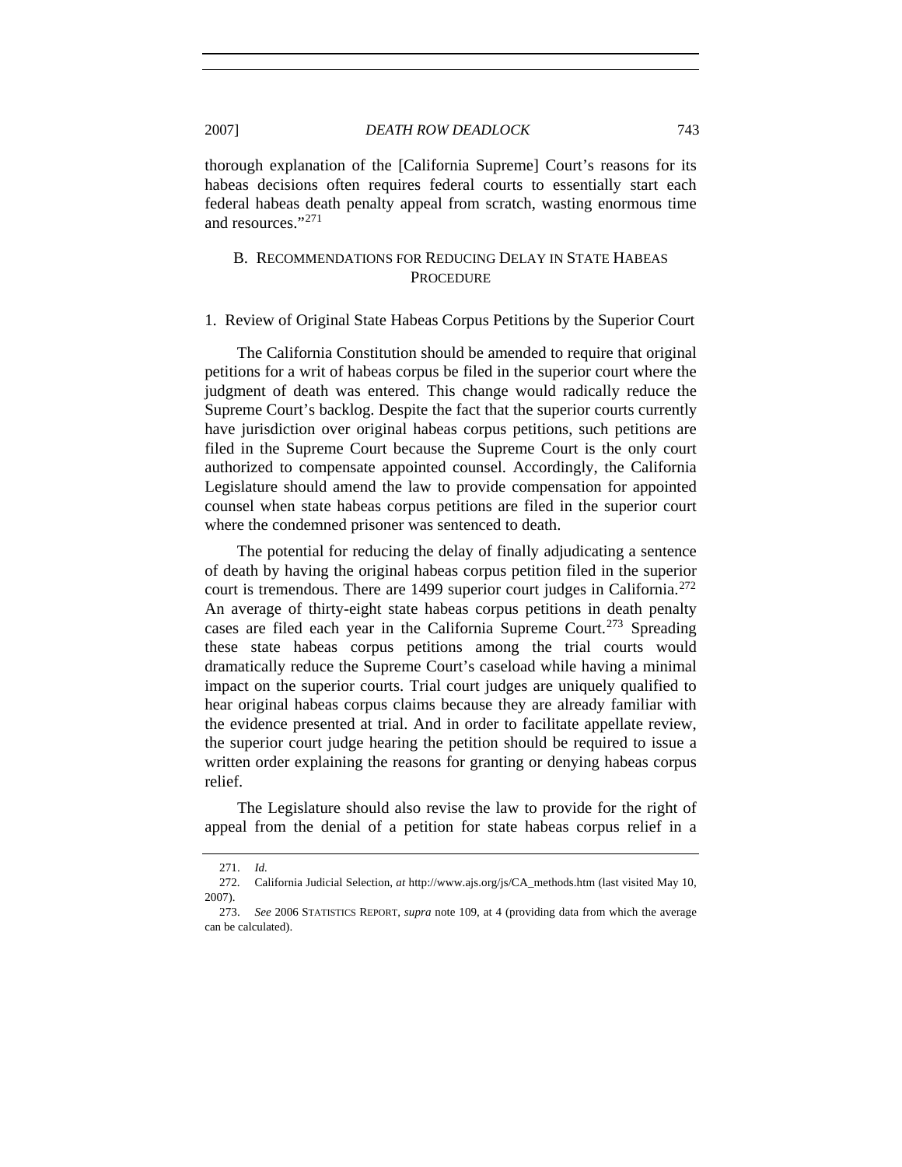thorough explanation of the [California Supreme] Court's reasons for its habeas decisions often requires federal courts to essentially start each federal habeas death penalty appeal from scratch, wasting enormous time and resources."[271](#page-46-0)

## B. RECOMMENDATIONS FOR REDUCING DELAY IN STATE HABEAS **PROCEDURE**

#### 1. Review of Original State Habeas Corpus Petitions by the Superior Court

The California Constitution should be amended to require that original petitions for a writ of habeas corpus be filed in the superior court where the judgment of death was entered. This change would radically reduce the Supreme Court's backlog. Despite the fact that the superior courts currently have jurisdiction over original habeas corpus petitions, such petitions are filed in the Supreme Court because the Supreme Court is the only court authorized to compensate appointed counsel. Accordingly, the California Legislature should amend the law to provide compensation for appointed counsel when state habeas corpus petitions are filed in the superior court where the condemned prisoner was sentenced to death.

The potential for reducing the delay of finally adjudicating a sentence of death by having the original habeas corpus petition filed in the superior court is tremendous. There are 1499 superior court judges in California.<sup>[272](#page-46-1)</sup> An average of thirty-eight state habeas corpus petitions in death penalty cases are filed each year in the California Supreme Court.<sup>[273](#page-46-2)</sup> Spreading these state habeas corpus petitions among the trial courts would dramatically reduce the Supreme Court's caseload while having a minimal impact on the superior courts. Trial court judges are uniquely qualified to hear original habeas corpus claims because they are already familiar with the evidence presented at trial. And in order to facilitate appellate review, the superior court judge hearing the petition should be required to issue a written order explaining the reasons for granting or denying habeas corpus relief.

The Legislature should also revise the law to provide for the right of appeal from the denial of a petition for state habeas corpus relief in a

 <sup>271.</sup> *Id.*

<span id="page-46-1"></span><span id="page-46-0"></span> <sup>272.</sup> California Judicial Selection, *at* http://www.ajs.org/js/CA\_methods.htm (last visited May 10, 2007).

<span id="page-46-2"></span> <sup>273.</sup> *See* 2006 STATISTICS REPORT, *supra* note 109, at 4 (providing data from which the average can be calculated).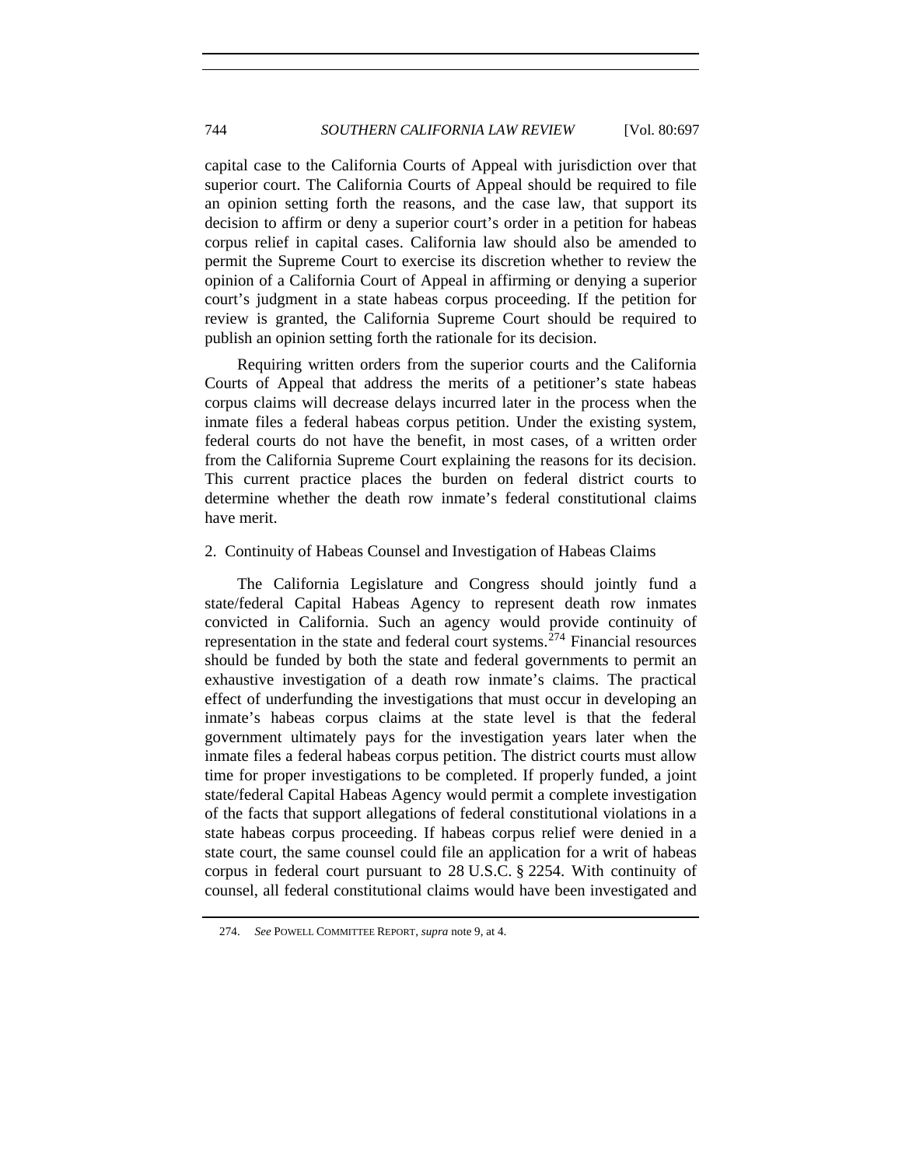## 744 *SOUTHERN CALIFORNIA LAW REVIEW* [Vol. 80:697

capital case to the California Courts of Appeal with jurisdiction over that superior court. The California Courts of Appeal should be required to file an opinion setting forth the reasons, and the case law, that support its decision to affirm or deny a superior court's order in a petition for habeas corpus relief in capital cases. California law should also be amended to permit the Supreme Court to exercise its discretion whether to review the opinion of a California Court of Appeal in affirming or denying a superior court's judgment in a state habeas corpus proceeding. If the petition for review is granted, the California Supreme Court should be required to publish an opinion setting forth the rationale for its decision.

Requiring written orders from the superior courts and the California Courts of Appeal that address the merits of a petitioner's state habeas corpus claims will decrease delays incurred later in the process when the inmate files a federal habeas corpus petition. Under the existing system, federal courts do not have the benefit, in most cases, of a written order from the California Supreme Court explaining the reasons for its decision. This current practice places the burden on federal district courts to determine whether the death row inmate's federal constitutional claims have merit.

#### 2. Continuity of Habeas Counsel and Investigation of Habeas Claims

The California Legislature and Congress should jointly fund a state/federal Capital Habeas Agency to represent death row inmates convicted in California. Such an agency would provide continuity of representation in the state and federal court systems.<sup> $274$ </sup> Financial resources should be funded by both the state and federal governments to permit an exhaustive investigation of a death row inmate's claims. The practical effect of underfunding the investigations that must occur in developing an inmate's habeas corpus claims at the state level is that the federal government ultimately pays for the investigation years later when the inmate files a federal habeas corpus petition. The district courts must allow time for proper investigations to be completed. If properly funded, a joint state/federal Capital Habeas Agency would permit a complete investigation of the facts that support allegations of federal constitutional violations in a state habeas corpus proceeding. If habeas corpus relief were denied in a state court, the same counsel could file an application for a writ of habeas corpus in federal court pursuant to 28 U.S.C. § 2254. With continuity of counsel, all federal constitutional claims would have been investigated and

<span id="page-47-0"></span> <sup>274.</sup> *See* POWELL COMMITTEE REPORT, *supra* note 9, at 4.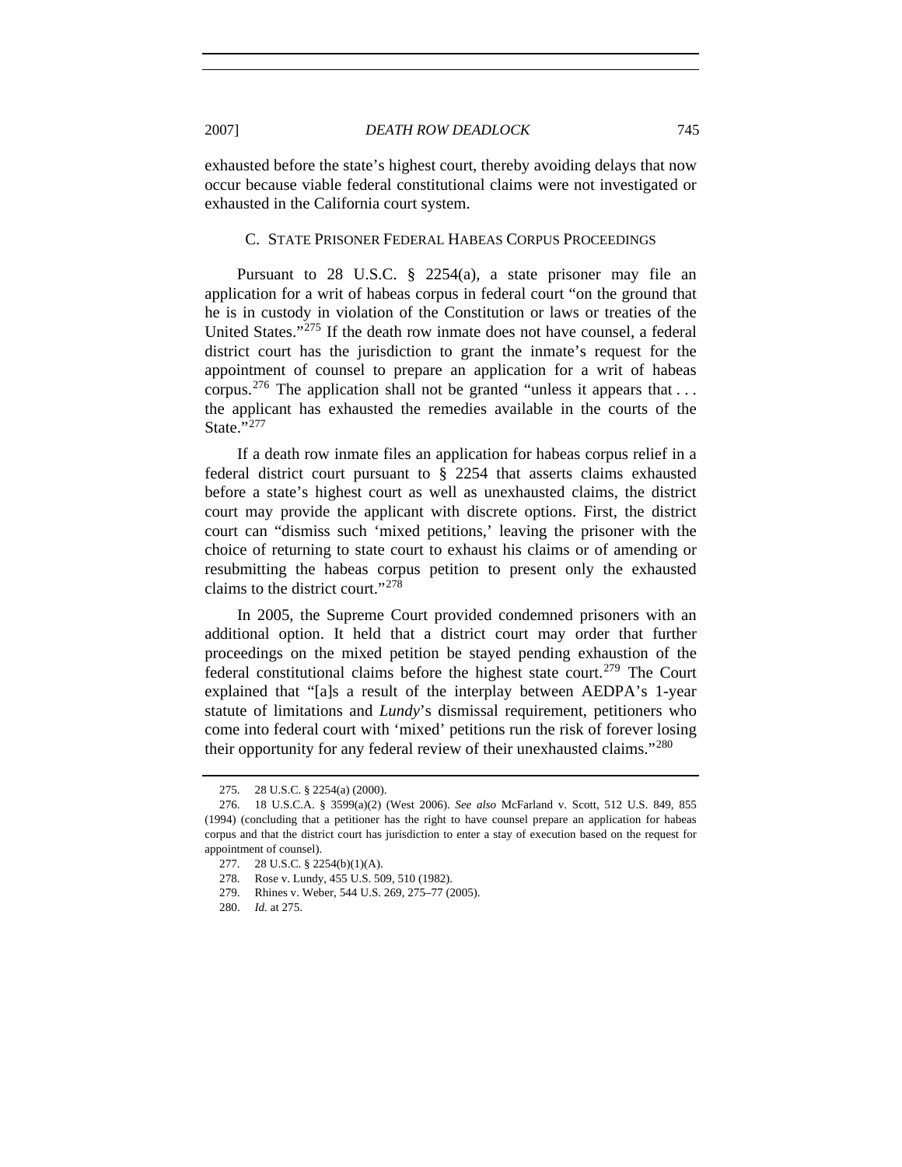exhausted before the state's highest court, thereby avoiding delays that now occur because viable federal constitutional claims were not investigated or exhausted in the California court system.

#### C. STATE PRISONER FEDERAL HABEAS CORPUS PROCEEDINGS

Pursuant to 28 U.S.C. § 2254(a), a state prisoner may file an application for a writ of habeas corpus in federal court "on the ground that he is in custody in violation of the Constitution or laws or treaties of the United States."[275](#page-48-0) If the death row inmate does not have counsel, a federal district court has the jurisdiction to grant the inmate's request for the appointment of counsel to prepare an application for a writ of habeas corpus.<sup>[276](#page-48-1)</sup> The application shall not be granted "unless it appears that ... the applicant has exhausted the remedies available in the courts of the State."<sup>[277](#page-48-2)</sup>

If a death row inmate files an application for habeas corpus relief in a federal district court pursuant to § 2254 that asserts claims exhausted before a state's highest court as well as unexhausted claims, the district court may provide the applicant with discrete options. First, the district court can "dismiss such 'mixed petitions,' leaving the prisoner with the choice of returning to state court to exhaust his claims or of amending or resubmitting the habeas corpus petition to present only the exhausted claims to the district court."[278](#page-48-3)

In 2005, the Supreme Court provided condemned prisoners with an additional option. It held that a district court may order that further proceedings on the mixed petition be stayed pending exhaustion of the federal constitutional claims before the highest state court.<sup>[279](#page-48-4)</sup> The Court explained that "[a]s a result of the interplay between AEDPA's 1-year statute of limitations and *Lundy*'s dismissal requirement, petitioners who come into federal court with 'mixed' petitions run the risk of forever losing their opportunity for any federal review of their unexhausted claims."<sup>[280](#page-48-5)</sup>

 <sup>275. 28</sup> U.S.C. § 2254(a) (2000).

<span id="page-48-2"></span><span id="page-48-1"></span><span id="page-48-0"></span> <sup>276. 18</sup> U.S.C.A. § 3599(a)(2) (West 2006). *See also* McFarland v. Scott, 512 U.S. 849, 855 (1994) (concluding that a petitioner has the right to have counsel prepare an application for habeas corpus and that the district court has jurisdiction to enter a stay of execution based on the request for appointment of counsel).

<span id="page-48-4"></span><span id="page-48-3"></span> <sup>277. 28</sup> U.S.C. § 2254(b)(1)(A).

 <sup>278.</sup> Rose v. Lundy, 455 U.S. 509, 510 (1982).

<span id="page-48-5"></span> <sup>279.</sup> Rhines v. Weber, 544 U.S. 269, 275–77 (2005).

 <sup>280.</sup> *Id.* at 275.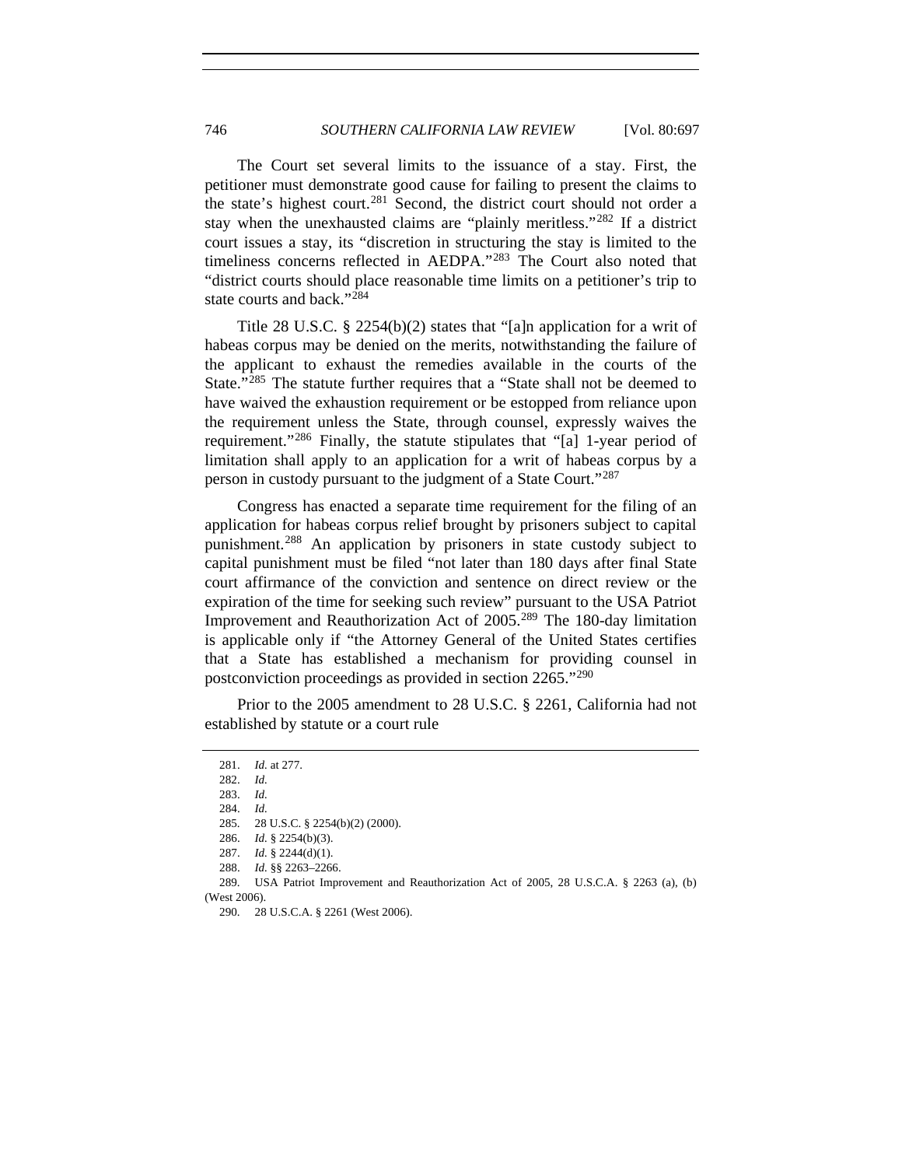The Court set several limits to the issuance of a stay. First, the petitioner must demonstrate good cause for failing to present the claims to the state's highest court.<sup>[281](#page-49-0)</sup> Second, the district court should not order a stay when the unexhausted claims are "plainly meritless."[282](#page-49-1) If a district court issues a stay, its "discretion in structuring the stay is limited to the timeliness concerns reflected in AEDPA."[283](#page-49-2) The Court also noted that "district courts should place reasonable time limits on a petitioner's trip to state courts and back."<sup>[284](#page-49-3)</sup>

Title 28 U.S.C. § 2254(b)(2) states that "[a]n application for a writ of habeas corpus may be denied on the merits, notwithstanding the failure of the applicant to exhaust the remedies available in the courts of the State."<sup>[285](#page-49-4)</sup> The statute further requires that a "State shall not be deemed to have waived the exhaustion requirement or be estopped from reliance upon the requirement unless the State, through counsel, expressly waives the requirement."[286](#page-49-5) Finally, the statute stipulates that "[a] 1-year period of limitation shall apply to an application for a writ of habeas corpus by a person in custody pursuant to the judgment of a State Court."[287](#page-49-6)

Congress has enacted a separate time requirement for the filing of an application for habeas corpus relief brought by prisoners subject to capital punishment.[288](#page-49-7) An application by prisoners in state custody subject to capital punishment must be filed "not later than 180 days after final State court affirmance of the conviction and sentence on direct review or the expiration of the time for seeking such review" pursuant to the USA Patriot Improvement and Reauthorization Act of 2005.[289](#page-49-8) The 180-day limitation is applicable only if "the Attorney General of the United States certifies that a State has established a mechanism for providing counsel in postconviction proceedings as provided in section 2265."[290](#page-49-9)

<span id="page-49-1"></span><span id="page-49-0"></span>Prior to the 2005 amendment to 28 U.S.C. § 2261, California had not established by statute or a court rule

 <sup>281.</sup> *Id.* at 277.

 <sup>282.</sup> *Id.*

<span id="page-49-2"></span> <sup>283.</sup> *Id.* 

 <sup>284.</sup> *Id.*

 <sup>285. 28</sup> U.S.C. § 2254(b)(2) (2000).

 <sup>286.</sup> *Id.* § 2254(b)(3).

 <sup>287.</sup> *Id.* § 2244(d)(1).

 <sup>288.</sup> *Id.* §§ 2263–2266.

<span id="page-49-9"></span><span id="page-49-8"></span><span id="page-49-7"></span><span id="page-49-6"></span><span id="page-49-5"></span><span id="page-49-4"></span><span id="page-49-3"></span> <sup>289.</sup> USA Patriot Improvement and Reauthorization Act of 2005, 28 U.S.C.A. § 2263 (a), (b) (West 2006).

 <sup>290. 28</sup> U.S.C.A. § 2261 (West 2006).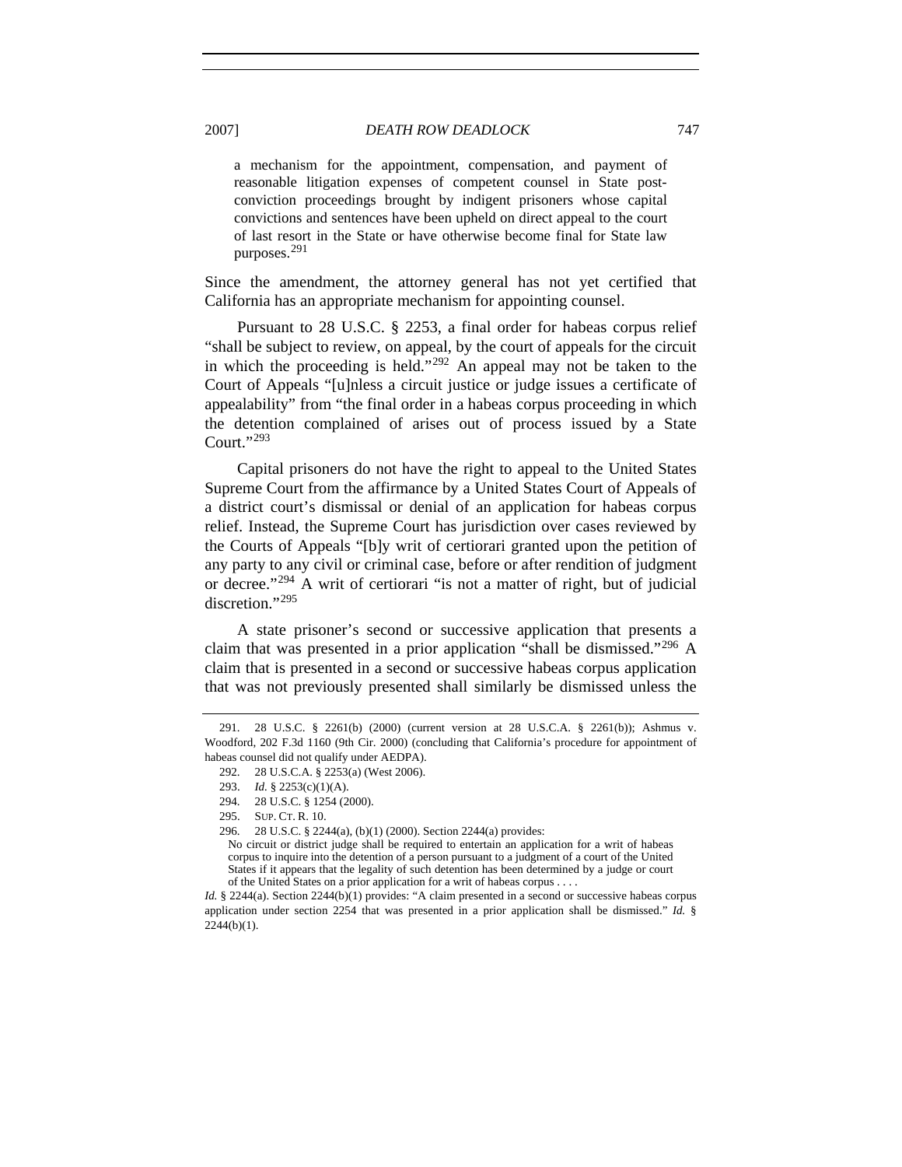a mechanism for the appointment, compensation, and payment of reasonable litigation expenses of competent counsel in State postconviction proceedings brought by indigent prisoners whose capital convictions and sentences have been upheld on direct appeal to the court of last resort in the State or have otherwise become final for State law purposes.[291](#page-50-0)

Since the amendment, the attorney general has not yet certified that California has an appropriate mechanism for appointing counsel.

Pursuant to 28 U.S.C. § 2253, a final order for habeas corpus relief "shall be subject to review, on appeal, by the court of appeals for the circuit in which the proceeding is held."<sup>[292](#page-50-1)</sup> An appeal may not be taken to the Court of Appeals "[u]nless a circuit justice or judge issues a certificate of appealability" from "the final order in a habeas corpus proceeding in which the detention complained of arises out of process issued by a State Court."[293](#page-50-2)

Capital prisoners do not have the right to appeal to the United States Supreme Court from the affirmance by a United States Court of Appeals of a district court's dismissal or denial of an application for habeas corpus relief. Instead, the Supreme Court has jurisdiction over cases reviewed by the Courts of Appeals "[b]y writ of certiorari granted upon the petition of any party to any civil or criminal case, before or after rendition of judgment or decree."[294](#page-50-3) A writ of certiorari "is not a matter of right, but of judicial discretion."[295](#page-50-4)

A state prisoner's second or successive application that presents a claim that was presented in a prior application "shall be dismissed."<sup>[296](#page-50-5)</sup> A claim that is presented in a second or successive habeas corpus application that was not previously presented shall similarly be dismissed unless the

<span id="page-50-3"></span><span id="page-50-2"></span><span id="page-50-1"></span><span id="page-50-0"></span> <sup>291. 28</sup> U.S.C. § 2261(b) (2000) (current version at 28 U.S.C.A. § 2261(b)); Ashmus v. Woodford, 202 F.3d 1160 (9th Cir. 2000) (concluding that California's procedure for appointment of habeas counsel did not qualify under AEDPA).

 <sup>292. 28</sup> U.S.C.A. § 2253(a) (West 2006).

<sup>293.</sup> *Id.* § 2253(c)(1)(A).<br>294. 28 U.S.C. § 1254 (2

<sup>28</sup> U.S.C. § 1254 (2000).

<span id="page-50-4"></span> <sup>295.</sup> SUP. CT. R. 10.

 <sup>296. 28</sup> U.S.C. § 2244(a), (b)(1) (2000). Section 2244(a) provides:

No circuit or district judge shall be required to entertain an application for a writ of habeas corpus to inquire into the detention of a person pursuant to a judgment of a court of the United States if it appears that the legality of such detention has been determined by a judge or court of the United States on a prior application for a writ of habeas corpus . . . .

<span id="page-50-5"></span>*Id.* § 2244(a). Section 2244(b)(1) provides: "A claim presented in a second or successive habeas corpus application under section 2254 that was presented in a prior application shall be dismissed." *Id.* § 2244(b)(1).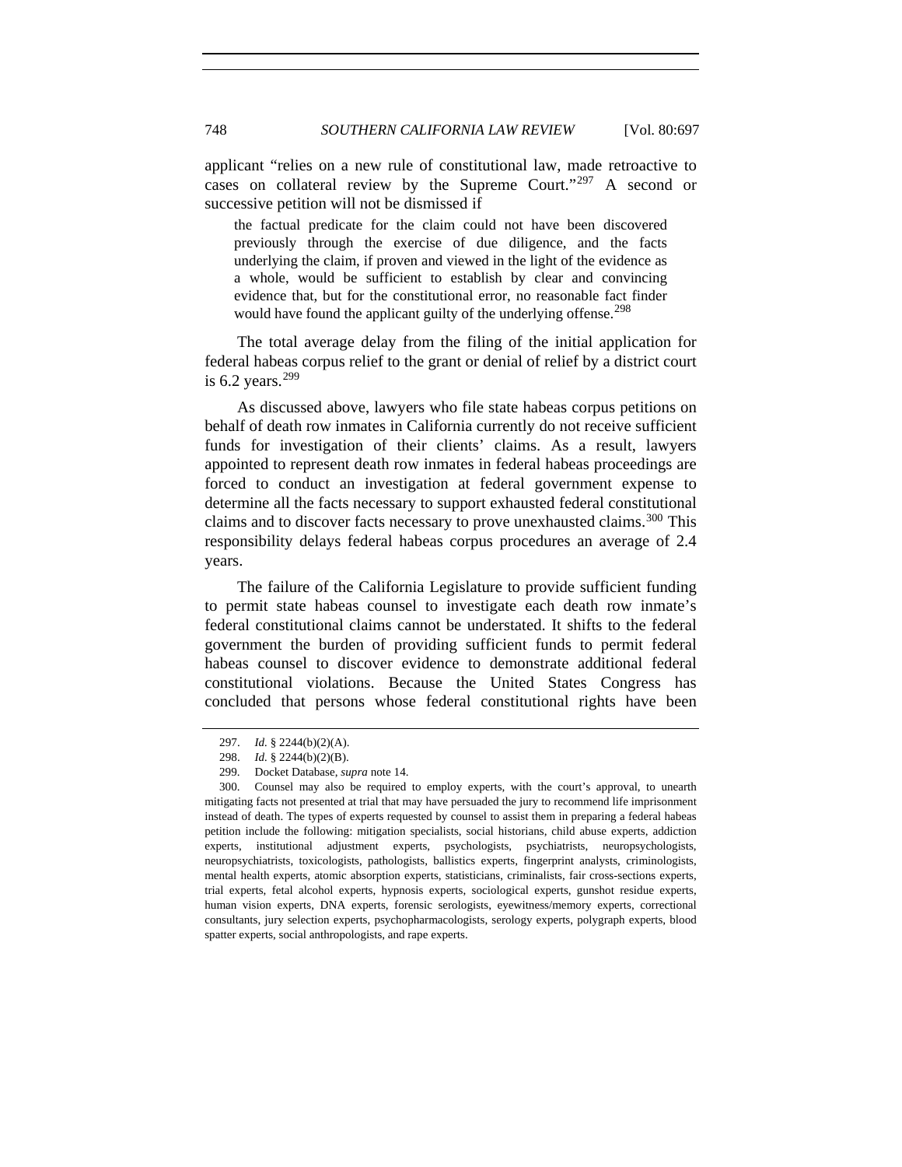applicant "relies on a new rule of constitutional law, made retroactive to cases on collateral review by the Supreme Court."[297](#page-51-0) A second or successive petition will not be dismissed if

the factual predicate for the claim could not have been discovered previously through the exercise of due diligence, and the facts underlying the claim, if proven and viewed in the light of the evidence as a whole, would be sufficient to establish by clear and convincing evidence that, but for the constitutional error, no reasonable fact finder would have found the applicant guilty of the underlying offense.<sup>[298](#page-51-1)</sup>

The total average delay from the filing of the initial application for federal habeas corpus relief to the grant or denial of relief by a district court is 6.2 years. $299$ 

As discussed above, lawyers who file state habeas corpus petitions on behalf of death row inmates in California currently do not receive sufficient funds for investigation of their clients' claims. As a result, lawyers appointed to represent death row inmates in federal habeas proceedings are forced to conduct an investigation at federal government expense to determine all the facts necessary to support exhausted federal constitutional claims and to discover facts necessary to prove unexhausted claims.<sup>[300](#page-51-3)</sup> This responsibility delays federal habeas corpus procedures an average of 2.4 years.

The failure of the California Legislature to provide sufficient funding to permit state habeas counsel to investigate each death row inmate's federal constitutional claims cannot be understated. It shifts to the federal government the burden of providing sufficient funds to permit federal habeas counsel to discover evidence to demonstrate additional federal constitutional violations. Because the United States Congress has concluded that persons whose federal constitutional rights have been

 <sup>297.</sup> *Id.* § 2244(b)(2)(A).

 <sup>298.</sup> *Id.* § 2244(b)(2)(B).

 <sup>299.</sup> Docket Database, *supra* note 14.

<span id="page-51-3"></span><span id="page-51-2"></span><span id="page-51-1"></span><span id="page-51-0"></span> <sup>300.</sup> Counsel may also be required to employ experts, with the court's approval, to unearth mitigating facts not presented at trial that may have persuaded the jury to recommend life imprisonment instead of death. The types of experts requested by counsel to assist them in preparing a federal habeas petition include the following: mitigation specialists, social historians, child abuse experts, addiction experts, institutional adjustment experts, psychologists, psychiatrists, neuropsychologists, neuropsychiatrists, toxicologists, pathologists, ballistics experts, fingerprint analysts, criminologists, mental health experts, atomic absorption experts, statisticians, criminalists, fair cross-sections experts, trial experts, fetal alcohol experts, hypnosis experts, sociological experts, gunshot residue experts, human vision experts, DNA experts, forensic serologists, eyewitness/memory experts, correctional consultants, jury selection experts, psychopharmacologists, serology experts, polygraph experts, blood spatter experts, social anthropologists, and rape experts.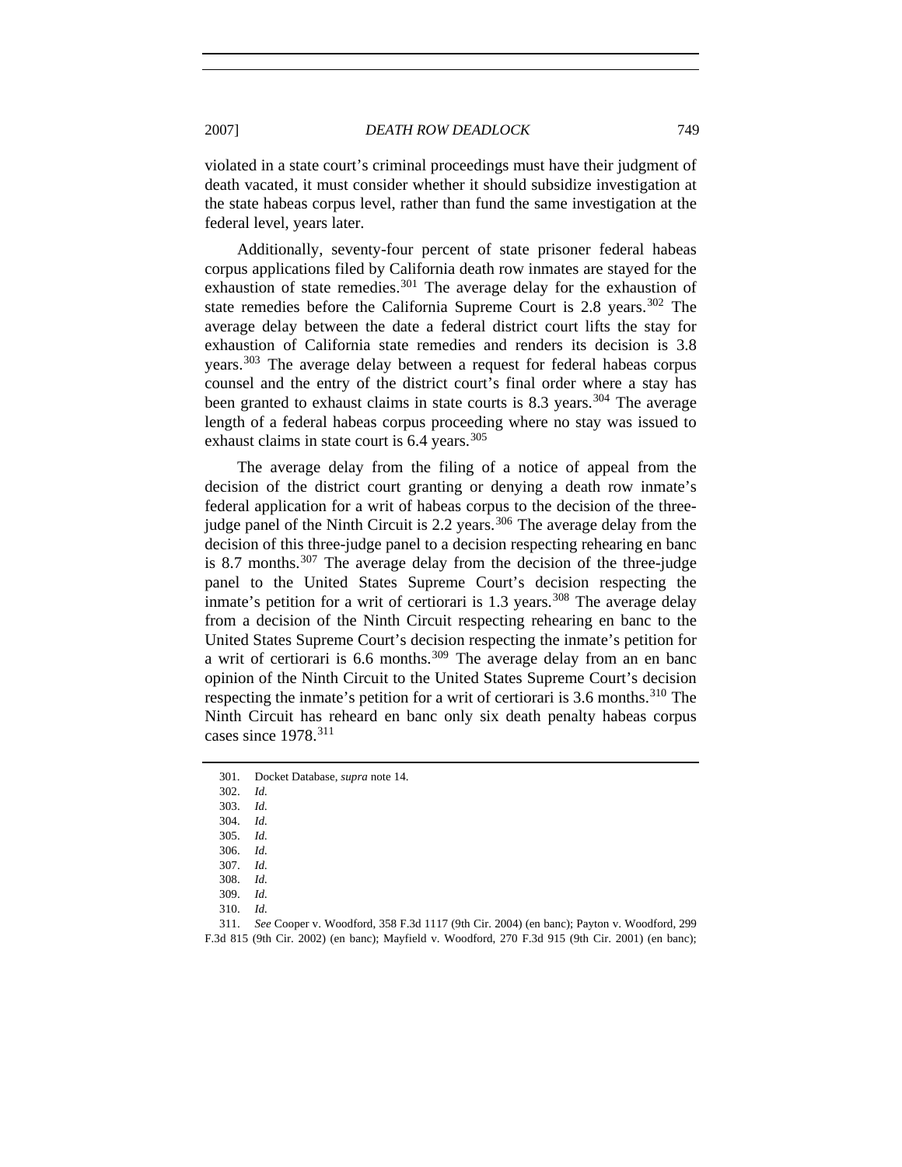violated in a state court's criminal proceedings must have their judgment of death vacated, it must consider whether it should subsidize investigation at the state habeas corpus level, rather than fund the same investigation at the federal level, years later.

Additionally, seventy-four percent of state prisoner federal habeas corpus applications filed by California death row inmates are stayed for the exhaustion of state remedies.<sup>[301](#page-52-0)</sup> The average delay for the exhaustion of state remedies before the California Supreme Court is  $2.8$  years.<sup>[302](#page-52-1)</sup> The average delay between the date a federal district court lifts the stay for exhaustion of California state remedies and renders its decision is 3.8 years.[303](#page-52-2) The average delay between a request for federal habeas corpus counsel and the entry of the district court's final order where a stay has been granted to exhaust claims in state courts is 8.3 years.<sup>[304](#page-52-3)</sup> The average length of a federal habeas corpus proceeding where no stay was issued to exhaust claims in state court is  $6.4$  years.<sup>[305](#page-52-4)</sup>

The average delay from the filing of a notice of appeal from the decision of the district court granting or denying a death row inmate's federal application for a writ of habeas corpus to the decision of the three-judge panel of the Ninth Circuit is 2.2 years.<sup>[306](#page-52-5)</sup> The average delay from the decision of this three-judge panel to a decision respecting rehearing en banc is 8.7 months.<sup>[307](#page-52-6)</sup> The average delay from the decision of the three-judge panel to the United States Supreme Court's decision respecting the inmate's petition for a writ of certiorari is  $1.3$  years.<sup>[308](#page-52-7)</sup> The average delay from a decision of the Ninth Circuit respecting rehearing en banc to the United States Supreme Court's decision respecting the inmate's petition for a writ of certiorari is 6.6 months.[309](#page-52-8) The average delay from an en banc opinion of the Ninth Circuit to the United States Supreme Court's decision respecting the inmate's petition for a writ of certiorari is 3.6 months.<sup>[310](#page-52-9)</sup> The Ninth Circuit has reheard en banc only six death penalty habeas corpus cases since 1978.[311](#page-52-10)

<span id="page-52-2"></span><span id="page-52-1"></span><span id="page-52-0"></span> <sup>301.</sup> Docket Database, *supra* note 14.

 <sup>302.</sup> *Id.*

 <sup>303.</sup> *Id.*

<span id="page-52-3"></span> <sup>304.</sup> *Id.*

<span id="page-52-4"></span> <sup>305.</sup> *Id.*

 <sup>306.</sup> *Id.* 307. *Id.*

 <sup>308.</sup> *Id.*

 <sup>309.</sup> *Id.*

 <sup>310.</sup> *Id.*

<span id="page-52-10"></span><span id="page-52-9"></span><span id="page-52-8"></span><span id="page-52-7"></span><span id="page-52-6"></span><span id="page-52-5"></span> <sup>311.</sup> *See* Cooper v. Woodford, 358 F.3d 1117 (9th Cir. 2004) (en banc); Payton v. Woodford, 299 F.3d 815 (9th Cir. 2002) (en banc); Mayfield v. Woodford, 270 F.3d 915 (9th Cir. 2001) (en banc);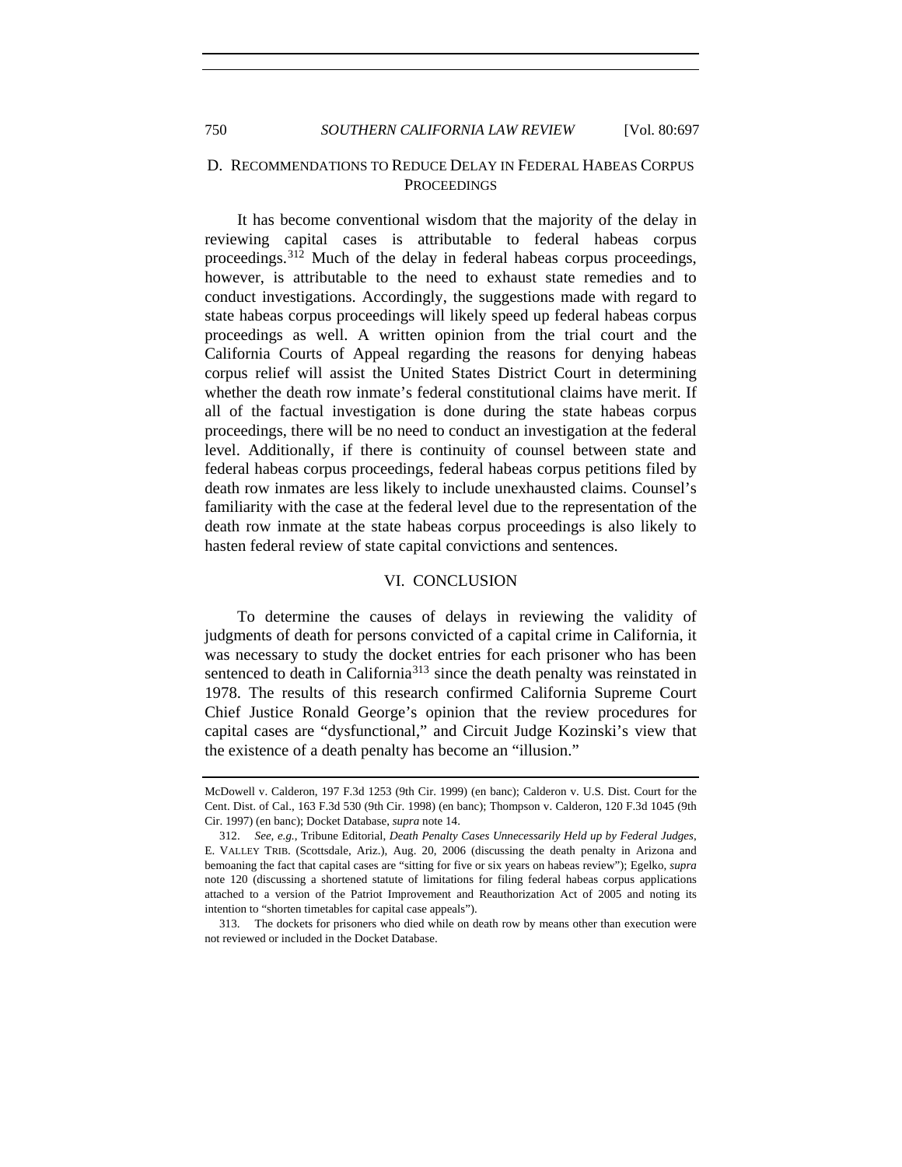## D. RECOMMENDATIONS TO REDUCE DELAY IN FEDERAL HABEAS CORPUS **PROCEEDINGS**

It has become conventional wisdom that the majority of the delay in reviewing capital cases is attributable to federal habeas corpus proceedings.<sup>[312](#page-53-0)</sup> Much of the delay in federal habeas corpus proceedings, however, is attributable to the need to exhaust state remedies and to conduct investigations. Accordingly, the suggestions made with regard to state habeas corpus proceedings will likely speed up federal habeas corpus proceedings as well. A written opinion from the trial court and the California Courts of Appeal regarding the reasons for denying habeas corpus relief will assist the United States District Court in determining whether the death row inmate's federal constitutional claims have merit. If all of the factual investigation is done during the state habeas corpus proceedings, there will be no need to conduct an investigation at the federal level. Additionally, if there is continuity of counsel between state and federal habeas corpus proceedings, federal habeas corpus petitions filed by death row inmates are less likely to include unexhausted claims. Counsel's familiarity with the case at the federal level due to the representation of the death row inmate at the state habeas corpus proceedings is also likely to hasten federal review of state capital convictions and sentences.

#### VI. CONCLUSION

To determine the causes of delays in reviewing the validity of judgments of death for persons convicted of a capital crime in California, it was necessary to study the docket entries for each prisoner who has been sentenced to death in California<sup>[313](#page-53-1)</sup> since the death penalty was reinstated in 1978. The results of this research confirmed California Supreme Court Chief Justice Ronald George's opinion that the review procedures for capital cases are "dysfunctional," and Circuit Judge Kozinski's view that the existence of a death penalty has become an "illusion."

McDowell v. Calderon, 197 F.3d 1253 (9th Cir. 1999) (en banc); Calderon v. U.S. Dist. Court for the Cent. Dist. of Cal., 163 F.3d 530 (9th Cir. 1998) (en banc); Thompson v. Calderon, 120 F.3d 1045 (9th Cir. 1997) (en banc); Docket Database, *supra* note 14.

<span id="page-53-0"></span> <sup>312.</sup> *See, e.g.*, Tribune Editorial, *Death Penalty Cases Unnecessarily Held up by Federal Judges*, E. VALLEY TRIB. (Scottsdale, Ariz.), Aug. 20, 2006 (discussing the death penalty in Arizona and bemoaning the fact that capital cases are "sitting for five or six years on habeas review"); Egelko, *supra* note 120 (discussing a shortened statute of limitations for filing federal habeas corpus applications attached to a version of the Patriot Improvement and Reauthorization Act of 2005 and noting its intention to "shorten timetables for capital case appeals").

<span id="page-53-1"></span> <sup>313.</sup> The dockets for prisoners who died while on death row by means other than execution were not reviewed or included in the Docket Database.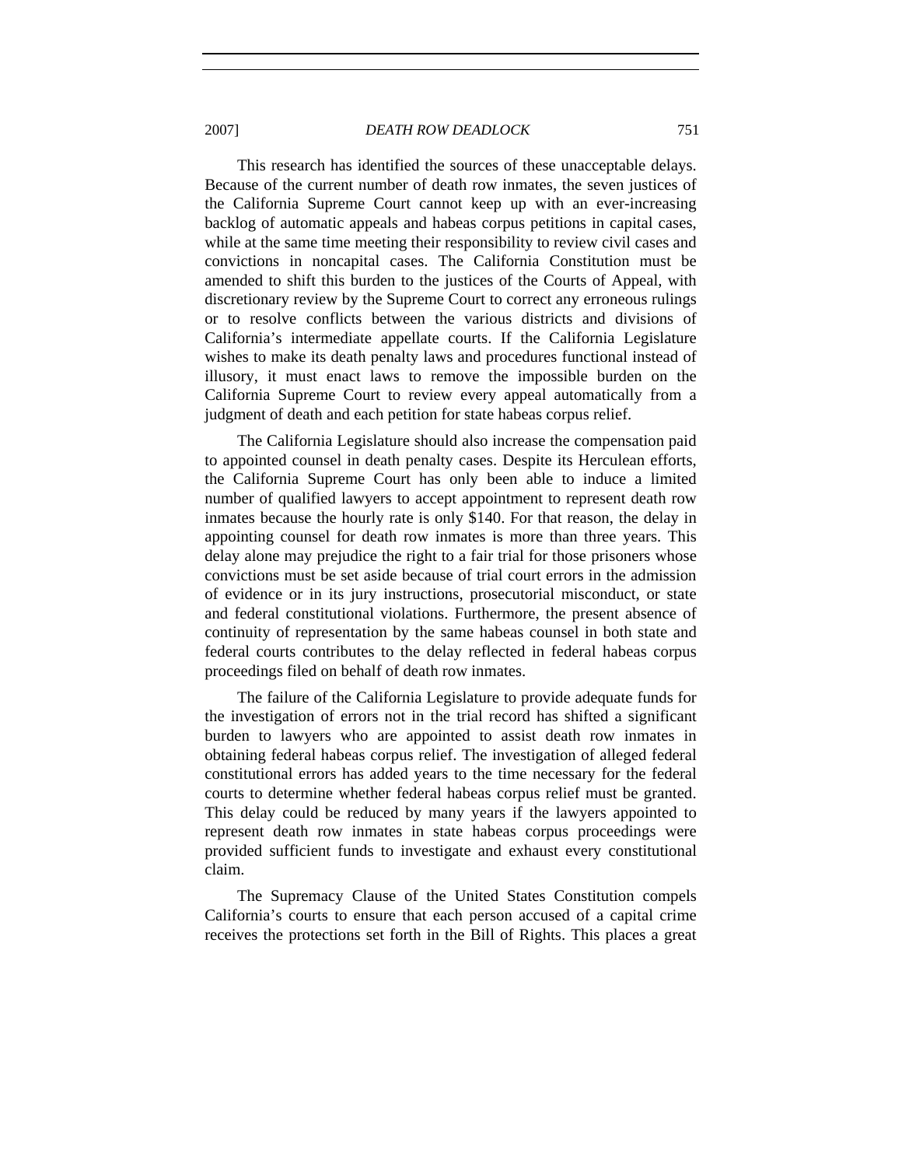2007] *DEATH ROW DEADLOCK* 751

This research has identified the sources of these unacceptable delays. Because of the current number of death row inmates, the seven justices of the California Supreme Court cannot keep up with an ever-increasing backlog of automatic appeals and habeas corpus petitions in capital cases, while at the same time meeting their responsibility to review civil cases and convictions in noncapital cases. The California Constitution must be amended to shift this burden to the justices of the Courts of Appeal, with discretionary review by the Supreme Court to correct any erroneous rulings or to resolve conflicts between the various districts and divisions of California's intermediate appellate courts. If the California Legislature wishes to make its death penalty laws and procedures functional instead of illusory, it must enact laws to remove the impossible burden on the California Supreme Court to review every appeal automatically from a judgment of death and each petition for state habeas corpus relief.

The California Legislature should also increase the compensation paid to appointed counsel in death penalty cases. Despite its Herculean efforts, the California Supreme Court has only been able to induce a limited number of qualified lawyers to accept appointment to represent death row inmates because the hourly rate is only \$140. For that reason, the delay in appointing counsel for death row inmates is more than three years. This delay alone may prejudice the right to a fair trial for those prisoners whose convictions must be set aside because of trial court errors in the admission of evidence or in its jury instructions, prosecutorial misconduct, or state and federal constitutional violations. Furthermore, the present absence of continuity of representation by the same habeas counsel in both state and federal courts contributes to the delay reflected in federal habeas corpus proceedings filed on behalf of death row inmates.

The failure of the California Legislature to provide adequate funds for the investigation of errors not in the trial record has shifted a significant burden to lawyers who are appointed to assist death row inmates in obtaining federal habeas corpus relief. The investigation of alleged federal constitutional errors has added years to the time necessary for the federal courts to determine whether federal habeas corpus relief must be granted. This delay could be reduced by many years if the lawyers appointed to represent death row inmates in state habeas corpus proceedings were provided sufficient funds to investigate and exhaust every constitutional claim.

The Supremacy Clause of the United States Constitution compels California's courts to ensure that each person accused of a capital crime receives the protections set forth in the Bill of Rights. This places a great